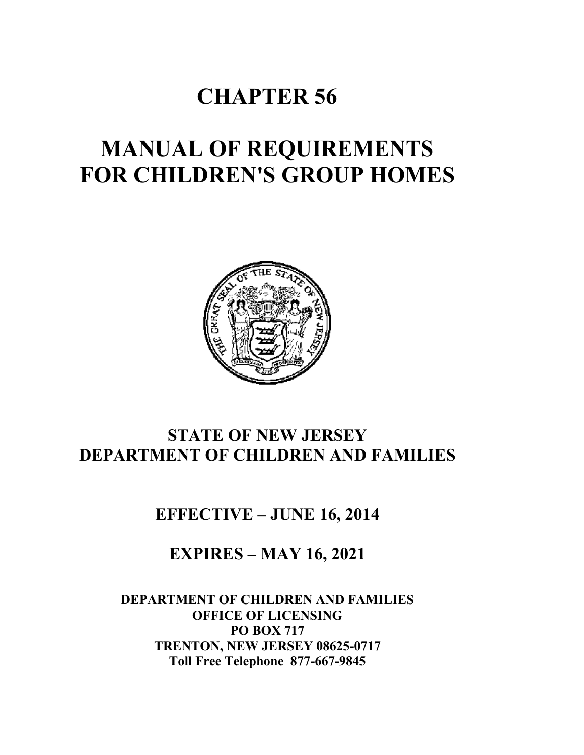# **CHAPTER 56**

# **MANUAL OF REQUIREMENTS FOR CHILDREN'S GROUP HOMES**



# **STATE OF NEW JERSEY DEPARTMENT OF CHILDREN AND FAMILIES**

**EFFECTIVE – JUNE 16, 2014**

**EXPIRES – MAY 16, 2021**

**DEPARTMENT OF CHILDREN AND FAMILIES OFFICE OF LICENSING PO BOX 717 TRENTON, NEW JERSEY 08625-0717 Toll Free Telephone 877-667-9845**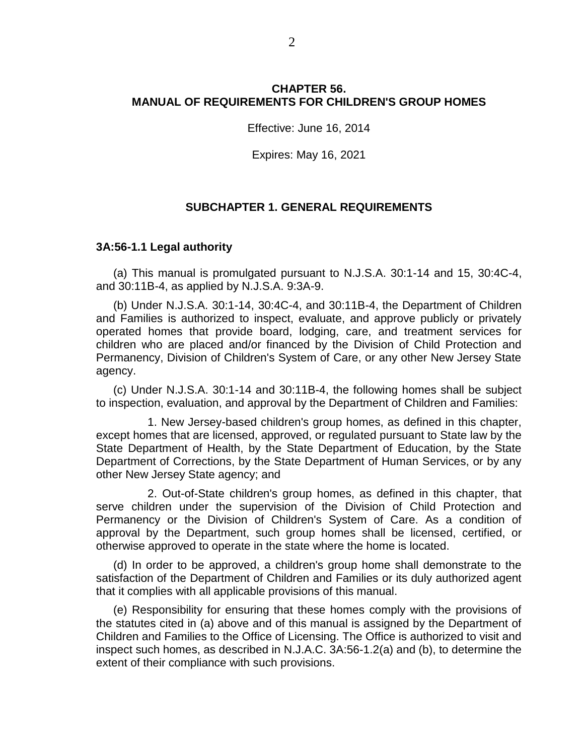# **CHAPTER 56. MANUAL OF REQUIREMENTS FOR CHILDREN'S GROUP HOMES**

Effective: June 16, 2014

Expires: May 16, 2021

#### **SUBCHAPTER 1. GENERAL REQUIREMENTS**

#### **3A:56-1.1 Legal authority**

(a) This manual is promulgated pursuant to N.J.S.A. 30:1-14 and 15, 30:4C-4, and 30:11B-4, as applied by N.J.S.A. 9:3A-9.

(b) Under N.J.S.A. 30:1-14, 30:4C-4, and 30:11B-4, the Department of Children and Families is authorized to inspect, evaluate, and approve publicly or privately operated homes that provide board, lodging, care, and treatment services for children who are placed and/or financed by the Division of Child Protection and Permanency, Division of Children's System of Care, or any other New Jersey State agency.

(c) Under N.J.S.A. 30:1-14 and 30:11B-4, the following homes shall be subject to inspection, evaluation, and approval by the Department of Children and Families:

1. New Jersey-based children's group homes, as defined in this chapter, except homes that are licensed, approved, or regulated pursuant to State law by the State Department of Health, by the State Department of Education, by the State Department of Corrections, by the State Department of Human Services, or by any other New Jersey State agency; and

2. Out-of-State children's group homes, as defined in this chapter, that serve children under the supervision of the Division of Child Protection and Permanency or the Division of Children's System of Care. As a condition of approval by the Department, such group homes shall be licensed, certified, or otherwise approved to operate in the state where the home is located.

(d) In order to be approved, a children's group home shall demonstrate to the satisfaction of the Department of Children and Families or its duly authorized agent that it complies with all applicable provisions of this manual.

(e) Responsibility for ensuring that these homes comply with the provisions of the statutes cited in (a) above and of this manual is assigned by the Department of Children and Families to the Office of Licensing. The Office is authorized to visit and inspect such homes, as described in N.J.A.C. 3A:56-1.2(a) and (b), to determine the extent of their compliance with such provisions.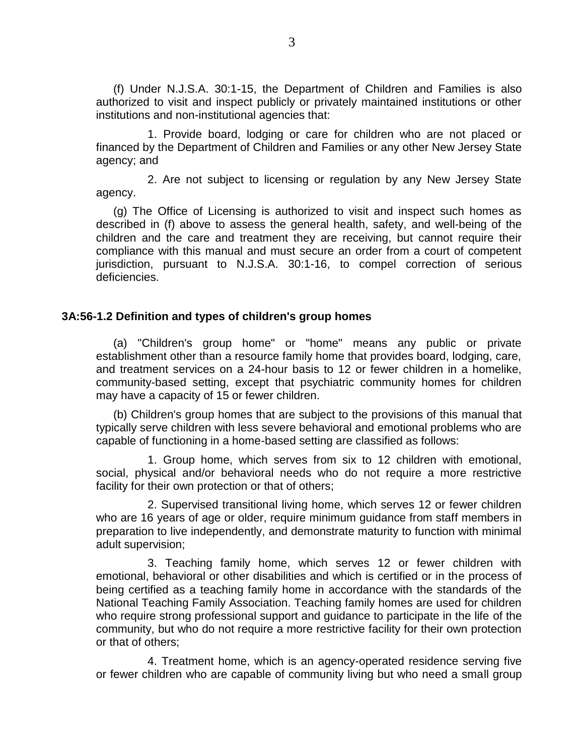(f) Under N.J.S.A. 30:1-15, the Department of Children and Families is also authorized to visit and inspect publicly or privately maintained institutions or other institutions and non-institutional agencies that:

1. Provide board, lodging or care for children who are not placed or financed by the Department of Children and Families or any other New Jersey State agency; and

2. Are not subject to licensing or regulation by any New Jersey State agency.

(g) The Office of Licensing is authorized to visit and inspect such homes as described in (f) above to assess the general health, safety, and well-being of the children and the care and treatment they are receiving, but cannot require their compliance with this manual and must secure an order from a court of competent jurisdiction, pursuant to N.J.S.A. 30:1-16, to compel correction of serious deficiencies.

# **3A:56-1.2 Definition and types of children's group homes**

(a) "Children's group home" or "home" means any public or private establishment other than a resource family home that provides board, lodging, care, and treatment services on a 24-hour basis to 12 or fewer children in a homelike, community-based setting, except that psychiatric community homes for children may have a capacity of 15 or fewer children.

(b) Children's group homes that are subject to the provisions of this manual that typically serve children with less severe behavioral and emotional problems who are capable of functioning in a home-based setting are classified as follows:

1. Group home, which serves from six to 12 children with emotional, social, physical and/or behavioral needs who do not require a more restrictive facility for their own protection or that of others;

2. Supervised transitional living home, which serves 12 or fewer children who are 16 years of age or older, require minimum guidance from staff members in preparation to live independently, and demonstrate maturity to function with minimal adult supervision;

3. Teaching family home, which serves 12 or fewer children with emotional, behavioral or other disabilities and which is certified or in the process of being certified as a teaching family home in accordance with the standards of the National Teaching Family Association. Teaching family homes are used for children who require strong professional support and guidance to participate in the life of the community, but who do not require a more restrictive facility for their own protection or that of others;

4. Treatment home, which is an agency-operated residence serving five or fewer children who are capable of community living but who need a small group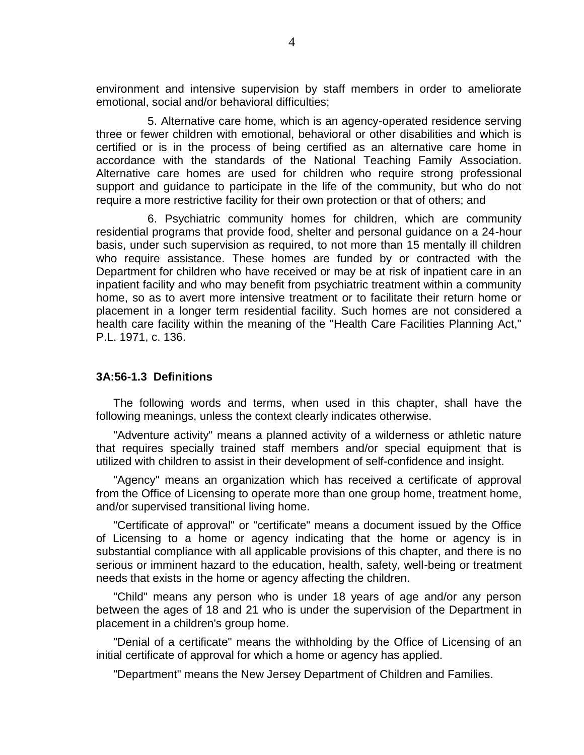environment and intensive supervision by staff members in order to ameliorate emotional, social and/or behavioral difficulties;

5. Alternative care home, which is an agency-operated residence serving three or fewer children with emotional, behavioral or other disabilities and which is certified or is in the process of being certified as an alternative care home in accordance with the standards of the National Teaching Family Association. Alternative care homes are used for children who require strong professional support and guidance to participate in the life of the community, but who do not require a more restrictive facility for their own protection or that of others; and

6. Psychiatric community homes for children, which are community residential programs that provide food, shelter and personal guidance on a 24-hour basis, under such supervision as required, to not more than 15 mentally ill children who require assistance. These homes are funded by or contracted with the Department for children who have received or may be at risk of inpatient care in an inpatient facility and who may benefit from psychiatric treatment within a community home, so as to avert more intensive treatment or to facilitate their return home or placement in a longer term residential facility. Such homes are not considered a health care facility within the meaning of the "Health Care Facilities Planning Act," P.L. 1971, c. 136.

#### **3A:56-1.3 Definitions**

The following words and terms, when used in this chapter, shall have the following meanings, unless the context clearly indicates otherwise.

"Adventure activity" means a planned activity of a wilderness or athletic nature that requires specially trained staff members and/or special equipment that is utilized with children to assist in their development of self-confidence and insight.

"Agency" means an organization which has received a certificate of approval from the Office of Licensing to operate more than one group home, treatment home, and/or supervised transitional living home.

"Certificate of approval" or "certificate" means a document issued by the Office of Licensing to a home or agency indicating that the home or agency is in substantial compliance with all applicable provisions of this chapter, and there is no serious or imminent hazard to the education, health, safety, well-being or treatment needs that exists in the home or agency affecting the children.

"Child" means any person who is under 18 years of age and/or any person between the ages of 18 and 21 who is under the supervision of the Department in placement in a children's group home.

"Denial of a certificate" means the withholding by the Office of Licensing of an initial certificate of approval for which a home or agency has applied.

"Department" means the New Jersey Department of Children and Families.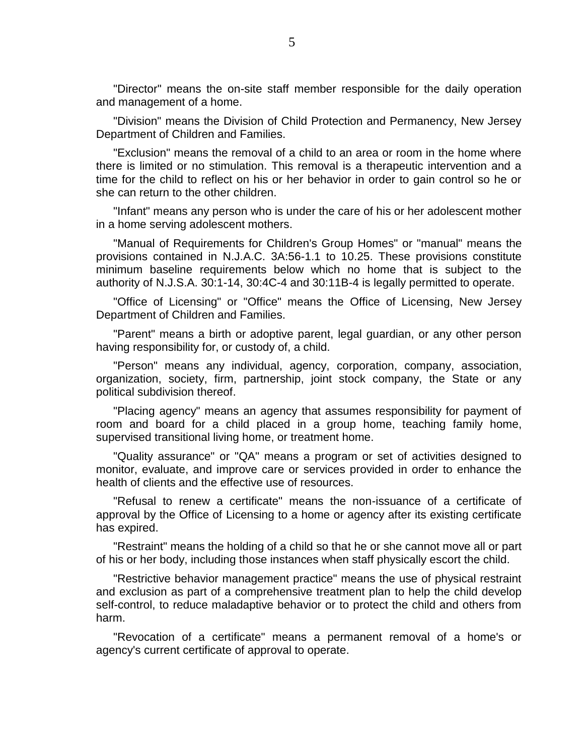"Director" means the on-site staff member responsible for the daily operation and management of a home.

"Division" means the Division of Child Protection and Permanency, New Jersey Department of Children and Families.

"Exclusion" means the removal of a child to an area or room in the home where there is limited or no stimulation. This removal is a therapeutic intervention and a time for the child to reflect on his or her behavior in order to gain control so he or she can return to the other children.

"Infant" means any person who is under the care of his or her adolescent mother in a home serving adolescent mothers.

"Manual of Requirements for Children's Group Homes" or "manual" means the provisions contained in N.J.A.C. 3A:56-1.1 to 10.25. These provisions constitute minimum baseline requirements below which no home that is subject to the authority of N.J.S.A. 30:1-14, 30:4C-4 and 30:11B-4 is legally permitted to operate.

"Office of Licensing" or "Office" means the Office of Licensing, New Jersey Department of Children and Families.

"Parent" means a birth or adoptive parent, legal guardian, or any other person having responsibility for, or custody of, a child.

"Person" means any individual, agency, corporation, company, association, organization, society, firm, partnership, joint stock company, the State or any political subdivision thereof.

"Placing agency" means an agency that assumes responsibility for payment of room and board for a child placed in a group home, teaching family home, supervised transitional living home, or treatment home.

"Quality assurance" or "QA" means a program or set of activities designed to monitor, evaluate, and improve care or services provided in order to enhance the health of clients and the effective use of resources.

"Refusal to renew a certificate" means the non-issuance of a certificate of approval by the Office of Licensing to a home or agency after its existing certificate has expired.

"Restraint" means the holding of a child so that he or she cannot move all or part of his or her body, including those instances when staff physically escort the child.

"Restrictive behavior management practice" means the use of physical restraint and exclusion as part of a comprehensive treatment plan to help the child develop self-control, to reduce maladaptive behavior or to protect the child and others from harm.

"Revocation of a certificate" means a permanent removal of a home's or agency's current certificate of approval to operate.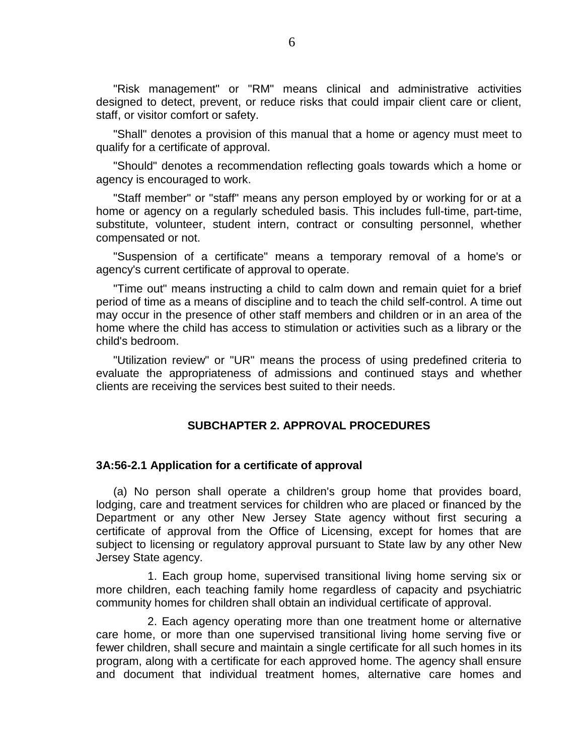"Risk management" or "RM" means clinical and administrative activities designed to detect, prevent, or reduce risks that could impair client care or client, staff, or visitor comfort or safety.

"Shall" denotes a provision of this manual that a home or agency must meet to qualify for a certificate of approval.

"Should" denotes a recommendation reflecting goals towards which a home or agency is encouraged to work.

"Staff member" or "staff" means any person employed by or working for or at a home or agency on a regularly scheduled basis. This includes full-time, part-time, substitute, volunteer, student intern, contract or consulting personnel, whether compensated or not.

"Suspension of a certificate" means a temporary removal of a home's or agency's current certificate of approval to operate.

"Time out" means instructing a child to calm down and remain quiet for a brief period of time as a means of discipline and to teach the child self-control. A time out may occur in the presence of other staff members and children or in an area of the home where the child has access to stimulation or activities such as a library or the child's bedroom.

"Utilization review" or "UR" means the process of using predefined criteria to evaluate the appropriateness of admissions and continued stays and whether clients are receiving the services best suited to their needs.

#### **SUBCHAPTER 2. APPROVAL PROCEDURES**

#### **3A:56-2.1 Application for a certificate of approval**

(a) No person shall operate a children's group home that provides board, lodging, care and treatment services for children who are placed or financed by the Department or any other New Jersey State agency without first securing a certificate of approval from the Office of Licensing, except for homes that are subject to licensing or regulatory approval pursuant to State law by any other New Jersey State agency.

1. Each group home, supervised transitional living home serving six or more children, each teaching family home regardless of capacity and psychiatric community homes for children shall obtain an individual certificate of approval.

2. Each agency operating more than one treatment home or alternative care home, or more than one supervised transitional living home serving five or fewer children, shall secure and maintain a single certificate for all such homes in its program, along with a certificate for each approved home. The agency shall ensure and document that individual treatment homes, alternative care homes and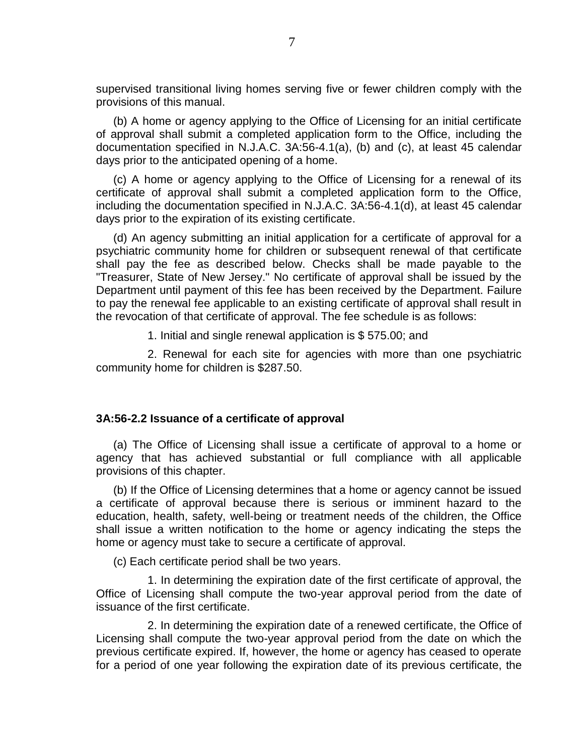supervised transitional living homes serving five or fewer children comply with the provisions of this manual.

(b) A home or agency applying to the Office of Licensing for an initial certificate of approval shall submit a completed application form to the Office, including the documentation specified in N.J.A.C. 3A:56-4.1(a), (b) and (c), at least 45 calendar days prior to the anticipated opening of a home.

(c) A home or agency applying to the Office of Licensing for a renewal of its certificate of approval shall submit a completed application form to the Office, including the documentation specified in N.J.A.C. 3A:56-4.1(d), at least 45 calendar days prior to the expiration of its existing certificate.

(d) An agency submitting an initial application for a certificate of approval for a psychiatric community home for children or subsequent renewal of that certificate shall pay the fee as described below. Checks shall be made payable to the "Treasurer, State of New Jersey." No certificate of approval shall be issued by the Department until payment of this fee has been received by the Department. Failure to pay the renewal fee applicable to an existing certificate of approval shall result in the revocation of that certificate of approval. The fee schedule is as follows:

1. Initial and single renewal application is \$ 575.00; and

2. Renewal for each site for agencies with more than one psychiatric community home for children is \$287.50.

#### **3A:56-2.2 Issuance of a certificate of approval**

(a) The Office of Licensing shall issue a certificate of approval to a home or agency that has achieved substantial or full compliance with all applicable provisions of this chapter.

(b) If the Office of Licensing determines that a home or agency cannot be issued a certificate of approval because there is serious or imminent hazard to the education, health, safety, well-being or treatment needs of the children, the Office shall issue a written notification to the home or agency indicating the steps the home or agency must take to secure a certificate of approval.

(c) Each certificate period shall be two years.

1. In determining the expiration date of the first certificate of approval, the Office of Licensing shall compute the two-year approval period from the date of issuance of the first certificate.

2. In determining the expiration date of a renewed certificate, the Office of Licensing shall compute the two-year approval period from the date on which the previous certificate expired. If, however, the home or agency has ceased to operate for a period of one year following the expiration date of its previous certificate, the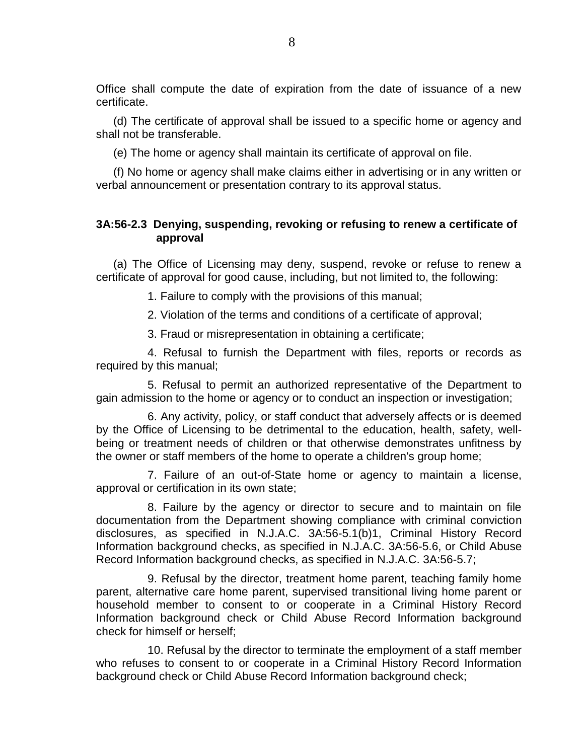Office shall compute the date of expiration from the date of issuance of a new certificate.

(d) The certificate of approval shall be issued to a specific home or agency and shall not be transferable.

(e) The home or agency shall maintain its certificate of approval on file.

(f) No home or agency shall make claims either in advertising or in any written or verbal announcement or presentation contrary to its approval status.

# **3A:56-2.3 Denying, suspending, revoking or refusing to renew a certificate of approval**

(a) The Office of Licensing may deny, suspend, revoke or refuse to renew a certificate of approval for good cause, including, but not limited to, the following:

1. Failure to comply with the provisions of this manual;

2. Violation of the terms and conditions of a certificate of approval;

3. Fraud or misrepresentation in obtaining a certificate;

4. Refusal to furnish the Department with files, reports or records as required by this manual;

5. Refusal to permit an authorized representative of the Department to gain admission to the home or agency or to conduct an inspection or investigation;

6. Any activity, policy, or staff conduct that adversely affects or is deemed by the Office of Licensing to be detrimental to the education, health, safety, wellbeing or treatment needs of children or that otherwise demonstrates unfitness by the owner or staff members of the home to operate a children's group home;

7. Failure of an out-of-State home or agency to maintain a license, approval or certification in its own state;

8. Failure by the agency or director to secure and to maintain on file documentation from the Department showing compliance with criminal conviction disclosures, as specified in N.J.A.C. 3A:56-5.1(b)1, Criminal History Record Information background checks, as specified in N.J.A.C. 3A:56-5.6, or Child Abuse Record Information background checks, as specified in N.J.A.C. 3A:56-5.7;

9. Refusal by the director, treatment home parent, teaching family home parent, alternative care home parent, supervised transitional living home parent or household member to consent to or cooperate in a Criminal History Record Information background check or Child Abuse Record Information background check for himself or herself;

10. Refusal by the director to terminate the employment of a staff member who refuses to consent to or cooperate in a Criminal History Record Information background check or Child Abuse Record Information background check;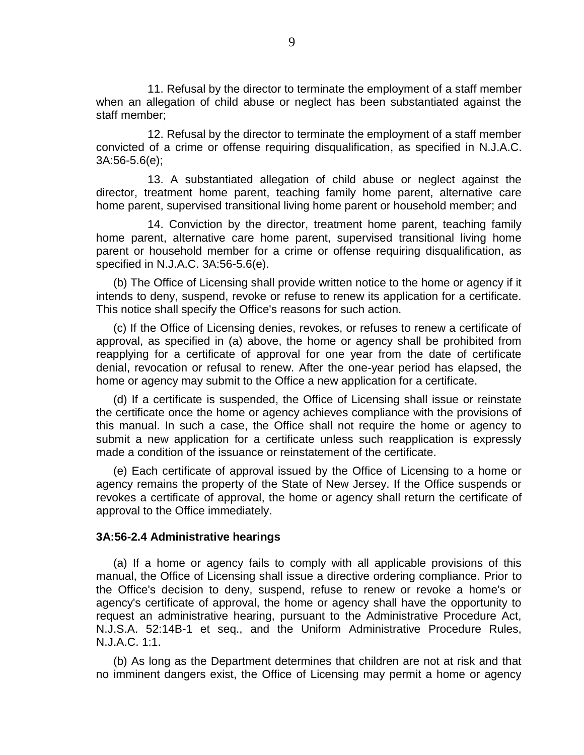11. Refusal by the director to terminate the employment of a staff member when an allegation of child abuse or neglect has been substantiated against the staff member;

12. Refusal by the director to terminate the employment of a staff member convicted of a crime or offense requiring disqualification, as specified in N.J.A.C. 3A:56-5.6(e);

13. A substantiated allegation of child abuse or neglect against the director, treatment home parent, teaching family home parent, alternative care home parent, supervised transitional living home parent or household member; and

14. Conviction by the director, treatment home parent, teaching family home parent, alternative care home parent, supervised transitional living home parent or household member for a crime or offense requiring disqualification, as specified in N.J.A.C. 3A:56-5.6(e).

(b) The Office of Licensing shall provide written notice to the home or agency if it intends to deny, suspend, revoke or refuse to renew its application for a certificate. This notice shall specify the Office's reasons for such action.

(c) If the Office of Licensing denies, revokes, or refuses to renew a certificate of approval, as specified in (a) above, the home or agency shall be prohibited from reapplying for a certificate of approval for one year from the date of certificate denial, revocation or refusal to renew. After the one-year period has elapsed, the home or agency may submit to the Office a new application for a certificate.

(d) If a certificate is suspended, the Office of Licensing shall issue or reinstate the certificate once the home or agency achieves compliance with the provisions of this manual. In such a case, the Office shall not require the home or agency to submit a new application for a certificate unless such reapplication is expressly made a condition of the issuance or reinstatement of the certificate.

(e) Each certificate of approval issued by the Office of Licensing to a home or agency remains the property of the State of New Jersey. If the Office suspends or revokes a certificate of approval, the home or agency shall return the certificate of approval to the Office immediately.

#### **3A:56-2.4 Administrative hearings**

(a) If a home or agency fails to comply with all applicable provisions of this manual, the Office of Licensing shall issue a directive ordering compliance. Prior to the Office's decision to deny, suspend, refuse to renew or revoke a home's or agency's certificate of approval, the home or agency shall have the opportunity to request an administrative hearing, pursuant to the Administrative Procedure Act, N.J.S.A. 52:14B-1 et seq., and the Uniform Administrative Procedure Rules, N.J.A.C. 1:1.

(b) As long as the Department determines that children are not at risk and that no imminent dangers exist, the Office of Licensing may permit a home or agency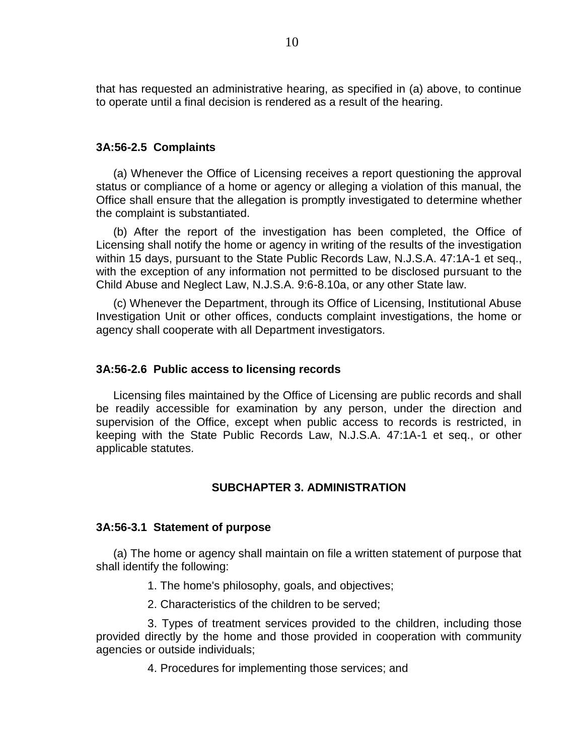that has requested an administrative hearing, as specified in (a) above, to continue to operate until a final decision is rendered as a result of the hearing.

#### **3A:56-2.5 Complaints**

(a) Whenever the Office of Licensing receives a report questioning the approval status or compliance of a home or agency or alleging a violation of this manual, the Office shall ensure that the allegation is promptly investigated to determine whether the complaint is substantiated.

(b) After the report of the investigation has been completed, the Office of Licensing shall notify the home or agency in writing of the results of the investigation within 15 days, pursuant to the State Public Records Law, N.J.S.A. 47:1A-1 et seq., with the exception of any information not permitted to be disclosed pursuant to the Child Abuse and Neglect Law, N.J.S.A. 9:6-8.10a, or any other State law.

(c) Whenever the Department, through its Office of Licensing, Institutional Abuse Investigation Unit or other offices, conducts complaint investigations, the home or agency shall cooperate with all Department investigators.

#### **3A:56-2.6 Public access to licensing records**

Licensing files maintained by the Office of Licensing are public records and shall be readily accessible for examination by any person, under the direction and supervision of the Office, except when public access to records is restricted, in keeping with the State Public Records Law, N.J.S.A. 47:1A-1 et seq., or other applicable statutes.

# **SUBCHAPTER 3. ADMINISTRATION**

#### **3A:56-3.1 Statement of purpose**

(a) The home or agency shall maintain on file a written statement of purpose that shall identify the following:

1. The home's philosophy, goals, and objectives;

2. Characteristics of the children to be served;

3. Types of treatment services provided to the children, including those provided directly by the home and those provided in cooperation with community agencies or outside individuals;

4. Procedures for implementing those services; and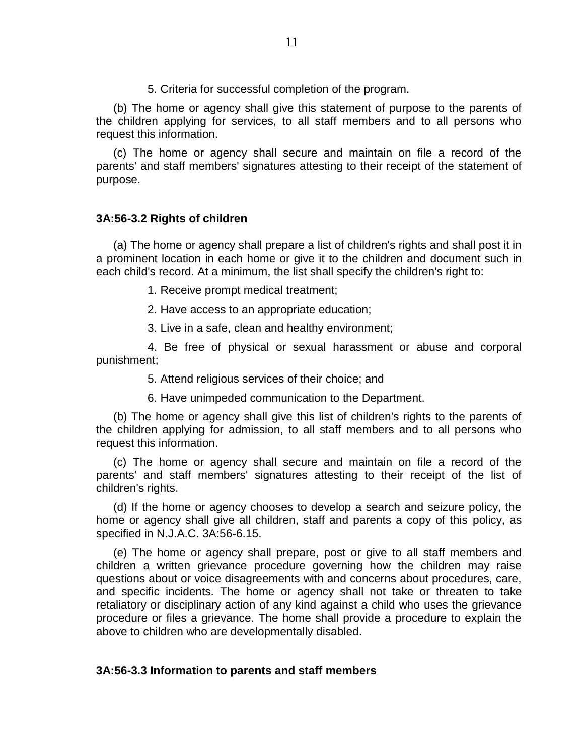5. Criteria for successful completion of the program.

(b) The home or agency shall give this statement of purpose to the parents of the children applying for services, to all staff members and to all persons who request this information.

(c) The home or agency shall secure and maintain on file a record of the parents' and staff members' signatures attesting to their receipt of the statement of purpose.

#### **3A:56-3.2 Rights of children**

(a) The home or agency shall prepare a list of children's rights and shall post it in a prominent location in each home or give it to the children and document such in each child's record. At a minimum, the list shall specify the children's right to:

- 1. Receive prompt medical treatment;
- 2. Have access to an appropriate education;
- 3. Live in a safe, clean and healthy environment;

4. Be free of physical or sexual harassment or abuse and corporal punishment;

- 5. Attend religious services of their choice; and
- 6. Have unimpeded communication to the Department.

(b) The home or agency shall give this list of children's rights to the parents of the children applying for admission, to all staff members and to all persons who request this information.

(c) The home or agency shall secure and maintain on file a record of the parents' and staff members' signatures attesting to their receipt of the list of children's rights.

(d) If the home or agency chooses to develop a search and seizure policy, the home or agency shall give all children, staff and parents a copy of this policy, as specified in N.J.A.C. 3A:56-6.15.

(e) The home or agency shall prepare, post or give to all staff members and children a written grievance procedure governing how the children may raise questions about or voice disagreements with and concerns about procedures, care, and specific incidents. The home or agency shall not take or threaten to take retaliatory or disciplinary action of any kind against a child who uses the grievance procedure or files a grievance. The home shall provide a procedure to explain the above to children who are developmentally disabled.

# **3A:56-3.3 Information to parents and staff members**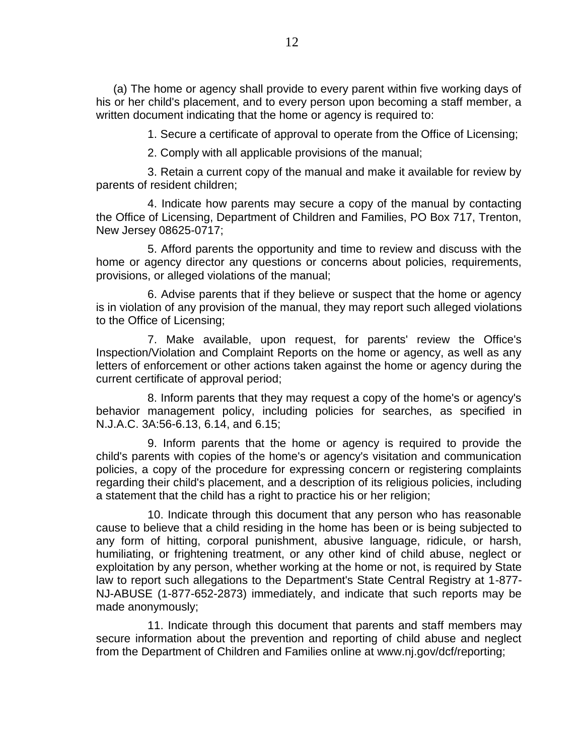(a) The home or agency shall provide to every parent within five working days of his or her child's placement, and to every person upon becoming a staff member, a written document indicating that the home or agency is required to:

1. Secure a certificate of approval to operate from the Office of Licensing;

2. Comply with all applicable provisions of the manual;

3. Retain a current copy of the manual and make it available for review by parents of resident children;

4. Indicate how parents may secure a copy of the manual by contacting the Office of Licensing, Department of Children and Families, PO Box 717, Trenton, New Jersey 08625-0717;

5. Afford parents the opportunity and time to review and discuss with the home or agency director any questions or concerns about policies, requirements, provisions, or alleged violations of the manual;

6. Advise parents that if they believe or suspect that the home or agency is in violation of any provision of the manual, they may report such alleged violations to the Office of Licensing;

7. Make available, upon request, for parents' review the Office's Inspection/Violation and Complaint Reports on the home or agency, as well as any letters of enforcement or other actions taken against the home or agency during the current certificate of approval period;

8. Inform parents that they may request a copy of the home's or agency's behavior management policy, including policies for searches, as specified in N.J.A.C. 3A:56-6.13, 6.14, and 6.15;

9. Inform parents that the home or agency is required to provide the child's parents with copies of the home's or agency's visitation and communication policies, a copy of the procedure for expressing concern or registering complaints regarding their child's placement, and a description of its religious policies, including a statement that the child has a right to practice his or her religion;

10. Indicate through this document that any person who has reasonable cause to believe that a child residing in the home has been or is being subjected to any form of hitting, corporal punishment, abusive language, ridicule, or harsh, humiliating, or frightening treatment, or any other kind of child abuse, neglect or exploitation by any person, whether working at the home or not, is required by State law to report such allegations to the Department's State Central Registry at 1-877- NJ-ABUSE (1-877-652-2873) immediately, and indicate that such reports may be made anonymously;

11. Indicate through this document that parents and staff members may secure information about the prevention and reporting of child abuse and neglect from the Department of Children and Families online at www.nj.gov/dcf/reporting;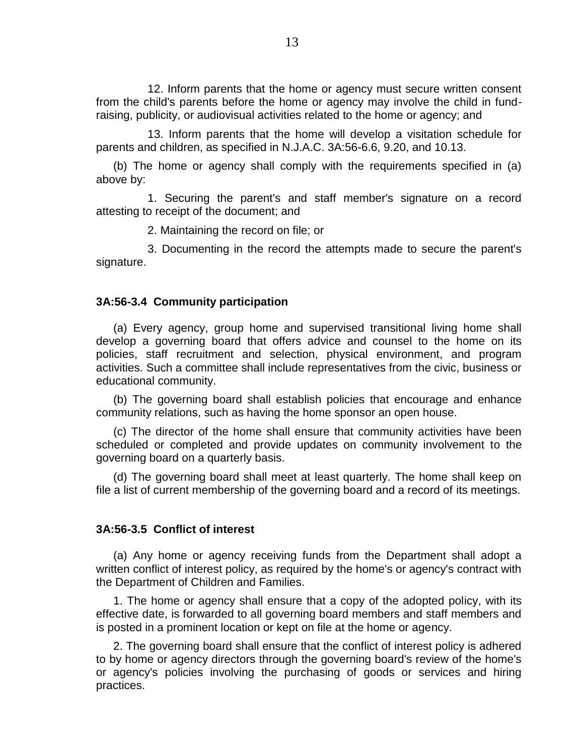12. Inform parents that the home or agency must secure written consent from the child's parents before the home or agency may involve the child in fundraising, publicity, or audiovisual activities related to the home or agency; and

13. Inform parents that the home will develop a visitation schedule for parents and children, as specified in N.J.A.C. 3A:56-6.6, 9.20, and 10.13.

(b) The home or agency shall comply with the requirements specified in (a) above by:

1. Securing the parent's and staff member's signature on a record attesting to receipt of the document; and

2. Maintaining the record on file; or

3. Documenting in the record the attempts made to secure the parent's signature.

#### **3A:56-3.4 Community participation**

(a) Every agency, group home and supervised transitional living home shall develop a governing board that offers advice and counsel to the home on its policies, staff recruitment and selection, physical environment, and program activities. Such a committee shall include representatives from the civic, business or educational community.

(b) The governing board shall establish policies that encourage and enhance community relations, such as having the home sponsor an open house.

(c) The director of the home shall ensure that community activities have been scheduled or completed and provide updates on community involvement to the governing board on a quarterly basis.

(d) The governing board shall meet at least quarterly. The home shall keep on file a list of current membership of the governing board and a record of its meetings.

#### **3A:56-3.5 Conflict of interest**

(a) Any home or agency receiving funds from the Department shall adopt a written conflict of interest policy, as required by the home's or agency's contract with the Department of Children and Families.

1. The home or agency shall ensure that a copy of the adopted policy, with its effective date, is forwarded to all governing board members and staff members and is posted in a prominent location or kept on file at the home or agency.

2. The governing board shall ensure that the conflict of interest policy is adhered to by home or agency directors through the governing board's review of the home's or agency's policies involving the purchasing of goods or services and hiring practices.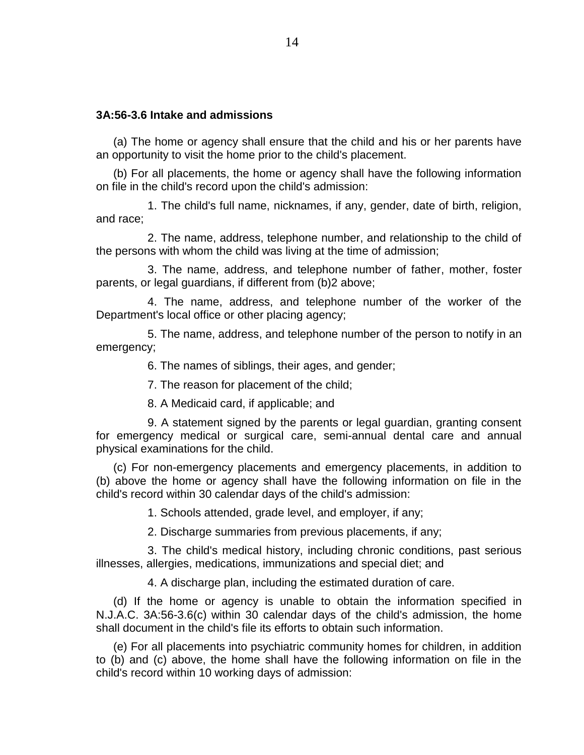# **3A:56-3.6 Intake and admissions**

(a) The home or agency shall ensure that the child and his or her parents have an opportunity to visit the home prior to the child's placement.

(b) For all placements, the home or agency shall have the following information on file in the child's record upon the child's admission:

1. The child's full name, nicknames, if any, gender, date of birth, religion, and race;

2. The name, address, telephone number, and relationship to the child of the persons with whom the child was living at the time of admission;

3. The name, address, and telephone number of father, mother, foster parents, or legal guardians, if different from (b)2 above;

4. The name, address, and telephone number of the worker of the Department's local office or other placing agency;

5. The name, address, and telephone number of the person to notify in an emergency;

6. The names of siblings, their ages, and gender;

7. The reason for placement of the child;

8. A Medicaid card, if applicable; and

9. A statement signed by the parents or legal guardian, granting consent for emergency medical or surgical care, semi-annual dental care and annual physical examinations for the child.

(c) For non-emergency placements and emergency placements, in addition to (b) above the home or agency shall have the following information on file in the child's record within 30 calendar days of the child's admission:

1. Schools attended, grade level, and employer, if any;

2. Discharge summaries from previous placements, if any;

3. The child's medical history, including chronic conditions, past serious illnesses, allergies, medications, immunizations and special diet; and

4. A discharge plan, including the estimated duration of care.

(d) If the home or agency is unable to obtain the information specified in N.J.A.C. 3A:56-3.6(c) within 30 calendar days of the child's admission, the home shall document in the child's file its efforts to obtain such information.

(e) For all placements into psychiatric community homes for children, in addition to (b) and (c) above, the home shall have the following information on file in the child's record within 10 working days of admission: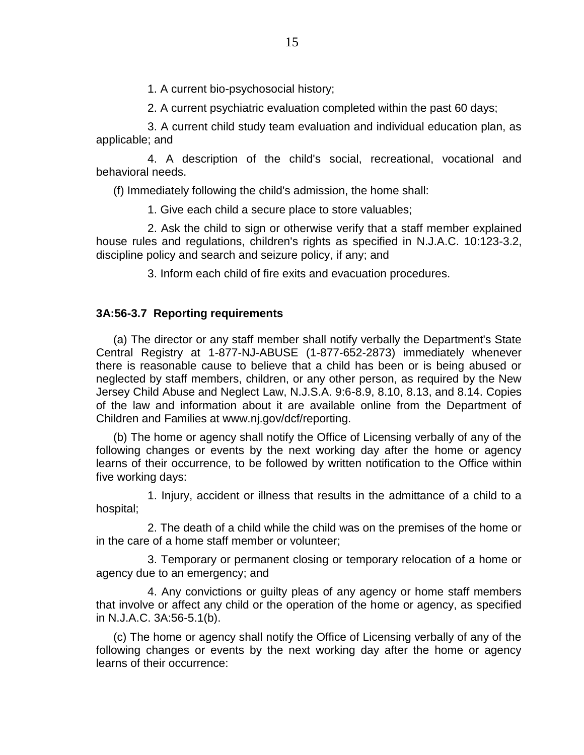1. A current bio-psychosocial history;

2. A current psychiatric evaluation completed within the past 60 days;

3. A current child study team evaluation and individual education plan, as applicable; and

4. A description of the child's social, recreational, vocational and behavioral needs.

(f) Immediately following the child's admission, the home shall:

1. Give each child a secure place to store valuables;

2. Ask the child to sign or otherwise verify that a staff member explained house rules and regulations, children's rights as specified in N.J.A.C. 10:123-3.2, discipline policy and search and seizure policy, if any; and

3. Inform each child of fire exits and evacuation procedures.

# **3A:56-3.7 Reporting requirements**

(a) The director or any staff member shall notify verbally the Department's State Central Registry at 1-877-NJ-ABUSE (1-877-652-2873) immediately whenever there is reasonable cause to believe that a child has been or is being abused or neglected by staff members, children, or any other person, as required by the New Jersey Child Abuse and Neglect Law, N.J.S.A. 9:6-8.9, 8.10, 8.13, and 8.14. Copies of the law and information about it are available online from the Department of Children and Families at www.nj.gov/dcf/reporting.

(b) The home or agency shall notify the Office of Licensing verbally of any of the following changes or events by the next working day after the home or agency learns of their occurrence, to be followed by written notification to the Office within five working days:

1. Injury, accident or illness that results in the admittance of a child to a hospital;

2. The death of a child while the child was on the premises of the home or in the care of a home staff member or volunteer;

3. Temporary or permanent closing or temporary relocation of a home or agency due to an emergency; and

4. Any convictions or guilty pleas of any agency or home staff members that involve or affect any child or the operation of the home or agency, as specified in N.J.A.C. 3A:56-5.1(b).

(c) The home or agency shall notify the Office of Licensing verbally of any of the following changes or events by the next working day after the home or agency learns of their occurrence: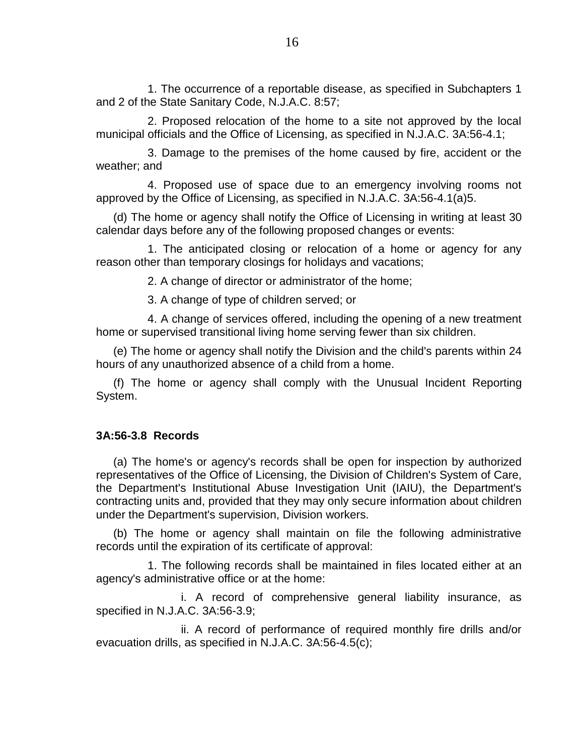1. The occurrence of a reportable disease, as specified in Subchapters 1 and 2 of the State Sanitary Code, N.J.A.C. 8:57;

2. Proposed relocation of the home to a site not approved by the local municipal officials and the Office of Licensing, as specified in N.J.A.C. 3A:56-4.1;

3. Damage to the premises of the home caused by fire, accident or the weather; and

4. Proposed use of space due to an emergency involving rooms not approved by the Office of Licensing, as specified in N.J.A.C. 3A:56-4.1(a)5.

(d) The home or agency shall notify the Office of Licensing in writing at least 30 calendar days before any of the following proposed changes or events:

1. The anticipated closing or relocation of a home or agency for any reason other than temporary closings for holidays and vacations;

2. A change of director or administrator of the home;

3. A change of type of children served; or

4. A change of services offered, including the opening of a new treatment home or supervised transitional living home serving fewer than six children.

(e) The home or agency shall notify the Division and the child's parents within 24 hours of any unauthorized absence of a child from a home.

(f) The home or agency shall comply with the Unusual Incident Reporting System.

#### **3A:56-3.8 Records**

(a) The home's or agency's records shall be open for inspection by authorized representatives of the Office of Licensing, the Division of Children's System of Care, the Department's Institutional Abuse Investigation Unit (IAIU), the Department's contracting units and, provided that they may only secure information about children under the Department's supervision, Division workers.

(b) The home or agency shall maintain on file the following administrative records until the expiration of its certificate of approval:

1. The following records shall be maintained in files located either at an agency's administrative office or at the home:

i. A record of comprehensive general liability insurance, as specified in N.J.A.C. 3A:56-3.9;

ii. A record of performance of required monthly fire drills and/or evacuation drills, as specified in N.J.A.C. 3A:56-4.5(c);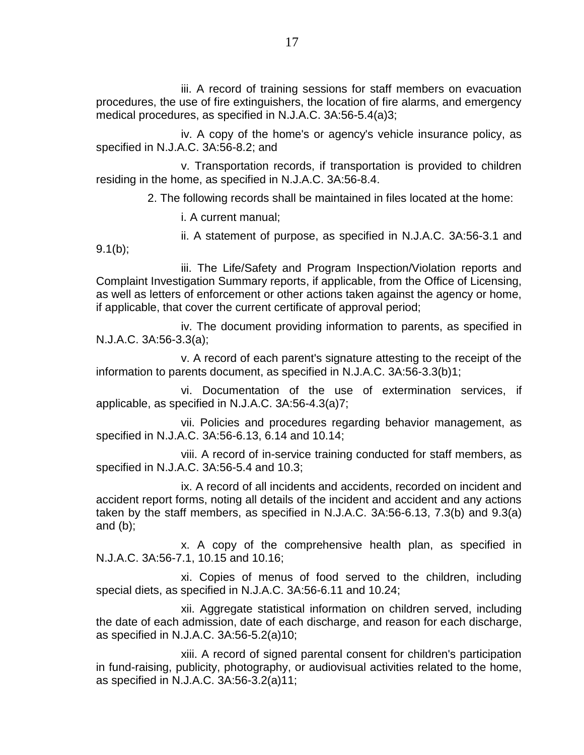iii. A record of training sessions for staff members on evacuation procedures, the use of fire extinguishers, the location of fire alarms, and emergency medical procedures, as specified in N.J.A.C. 3A:56-5.4(a)3;

iv. A copy of the home's or agency's vehicle insurance policy, as specified in N.J.A.C. 3A:56-8.2; and

v. Transportation records, if transportation is provided to children residing in the home, as specified in N.J.A.C. 3A:56-8.4.

2. The following records shall be maintained in files located at the home:

i. A current manual;

 $9.1(b)$ ;

ii. A statement of purpose, as specified in N.J.A.C. 3A:56-3.1 and

iii. The Life/Safety and Program Inspection/Violation reports and Complaint Investigation Summary reports, if applicable, from the Office of Licensing, as well as letters of enforcement or other actions taken against the agency or home, if applicable, that cover the current certificate of approval period;

iv. The document providing information to parents, as specified in N.J.A.C. 3A:56-3.3(a);

v. A record of each parent's signature attesting to the receipt of the information to parents document, as specified in N.J.A.C. 3A:56-3.3(b)1;

vi. Documentation of the use of extermination services, if applicable, as specified in N.J.A.C. 3A:56-4.3(a)7;

vii. Policies and procedures regarding behavior management, as specified in N.J.A.C. 3A:56-6.13, 6.14 and 10.14;

viii. A record of in-service training conducted for staff members, as specified in N.J.A.C. 3A:56-5.4 and 10.3;

ix. A record of all incidents and accidents, recorded on incident and accident report forms, noting all details of the incident and accident and any actions taken by the staff members, as specified in N.J.A.C. 3A:56-6.13, 7.3(b) and 9.3(a) and (b);

x. A copy of the comprehensive health plan, as specified in N.J.A.C. 3A:56-7.1, 10.15 and 10.16;

xi. Copies of menus of food served to the children, including special diets, as specified in N.J.A.C. 3A:56-6.11 and 10.24;

xii. Aggregate statistical information on children served, including the date of each admission, date of each discharge, and reason for each discharge, as specified in N.J.A.C. 3A:56-5.2(a)10;

xiii. A record of signed parental consent for children's participation in fund-raising, publicity, photography, or audiovisual activities related to the home, as specified in N.J.A.C. 3A:56-3.2(a)11;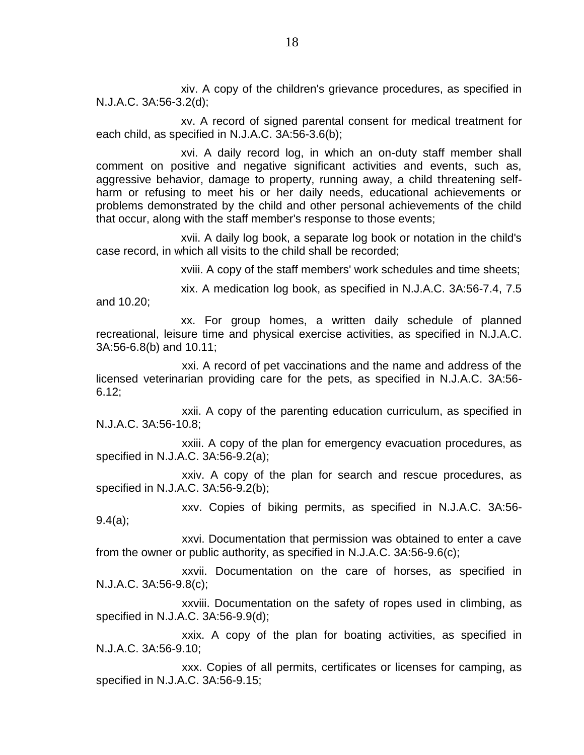xiv. A copy of the children's grievance procedures, as specified in N.J.A.C. 3A:56-3.2(d);

xv. A record of signed parental consent for medical treatment for each child, as specified in N.J.A.C. 3A:56-3.6(b);

xvi. A daily record log, in which an on-duty staff member shall comment on positive and negative significant activities and events, such as, aggressive behavior, damage to property, running away, a child threatening selfharm or refusing to meet his or her daily needs, educational achievements or problems demonstrated by the child and other personal achievements of the child that occur, along with the staff member's response to those events;

xvii. A daily log book, a separate log book or notation in the child's case record, in which all visits to the child shall be recorded;

xviii. A copy of the staff members' work schedules and time sheets;

xix. A medication log book, as specified in N.J.A.C. 3A:56-7.4, 7.5 and 10.20;

xx. For group homes, a written daily schedule of planned recreational, leisure time and physical exercise activities, as specified in N.J.A.C. 3A:56-6.8(b) and 10.11;

xxi. A record of pet vaccinations and the name and address of the licensed veterinarian providing care for the pets, as specified in N.J.A.C. 3A:56- 6.12;

xxii. A copy of the parenting education curriculum, as specified in N.J.A.C. 3A:56-10.8;

xxiii. A copy of the plan for emergency evacuation procedures, as specified in N.J.A.C. 3A:56-9.2(a);

xxiv. A copy of the plan for search and rescue procedures, as specified in N.J.A.C. 3A:56-9.2(b);

xxv. Copies of biking permits, as specified in N.J.A.C. 3A:56- 9.4(a);

xxvi. Documentation that permission was obtained to enter a cave from the owner or public authority, as specified in N.J.A.C. 3A:56-9.6(c);

xxvii. Documentation on the care of horses, as specified in N.J.A.C. 3A:56-9.8(c);

xxviii. Documentation on the safety of ropes used in climbing, as specified in N.J.A.C. 3A:56-9.9(d);

xxix. A copy of the plan for boating activities, as specified in N.J.A.C. 3A:56-9.10;

xxx. Copies of all permits, certificates or licenses for camping, as specified in N.J.A.C. 3A:56-9.15;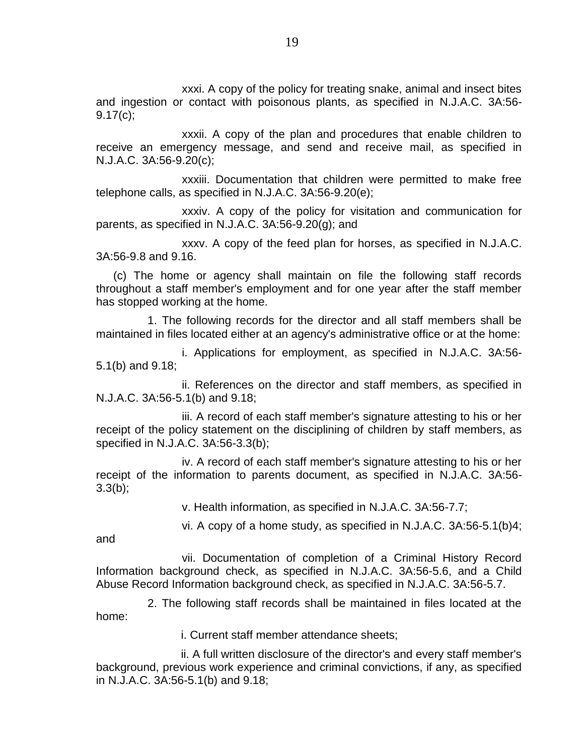xxxi. A copy of the policy for treating snake, animal and insect bites and ingestion or contact with poisonous plants, as specified in N.J.A.C. 3A:56- 9.17(c);

xxxii. A copy of the plan and procedures that enable children to receive an emergency message, and send and receive mail, as specified in N.J.A.C. 3A:56-9.20(c);

xxxiii. Documentation that children were permitted to make free telephone calls, as specified in N.J.A.C. 3A:56-9.20(e);

xxxiv. A copy of the policy for visitation and communication for parents, as specified in N.J.A.C. 3A:56-9.20(g); and

xxxv. A copy of the feed plan for horses, as specified in N.J.A.C. 3A:56-9.8 and 9.16.

(c) The home or agency shall maintain on file the following staff records throughout a staff member's employment and for one year after the staff member has stopped working at the home.

1. The following records for the director and all staff members shall be maintained in files located either at an agency's administrative office or at the home:

i. Applications for employment, as specified in N.J.A.C. 3A:56- 5.1(b) and 9.18;

ii. References on the director and staff members, as specified in N.J.A.C. 3A:56-5.1(b) and 9.18;

iii. A record of each staff member's signature attesting to his or her receipt of the policy statement on the disciplining of children by staff members, as specified in N.J.A.C. 3A:56-3.3(b);

iv. A record of each staff member's signature attesting to his or her receipt of the information to parents document, as specified in N.J.A.C. 3A:56-  $3.3(b)$ ;

v. Health information, as specified in N.J.A.C. 3A:56-7.7;

vi. A copy of a home study, as specified in N.J.A.C. 3A:56-5.1(b)4;

and

vii. Documentation of completion of a Criminal History Record Information background check, as specified in N.J.A.C. 3A:56-5.6, and a Child Abuse Record Information background check, as specified in N.J.A.C. 3A:56-5.7.

2. The following staff records shall be maintained in files located at the home:

i. Current staff member attendance sheets;

ii. A full written disclosure of the director's and every staff member's background, previous work experience and criminal convictions, if any, as specified in N.J.A.C. 3A:56-5.1(b) and 9.18;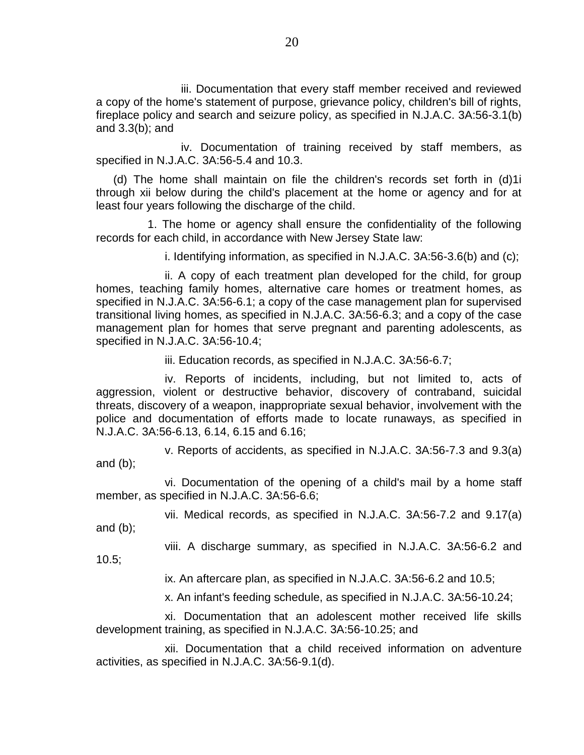iii. Documentation that every staff member received and reviewed a copy of the home's statement of purpose, grievance policy, children's bill of rights, fireplace policy and search and seizure policy, as specified in N.J.A.C. 3A:56-3.1(b) and 3.3(b); and

iv. Documentation of training received by staff members, as specified in N.J.A.C. 3A:56-5.4 and 10.3.

(d) The home shall maintain on file the children's records set forth in (d)1i through xii below during the child's placement at the home or agency and for at least four years following the discharge of the child.

1. The home or agency shall ensure the confidentiality of the following records for each child, in accordance with New Jersey State law:

i. Identifying information, as specified in N.J.A.C. 3A:56-3.6(b) and (c);

ii. A copy of each treatment plan developed for the child, for group homes, teaching family homes, alternative care homes or treatment homes, as specified in N.J.A.C. 3A:56-6.1; a copy of the case management plan for supervised transitional living homes, as specified in N.J.A.C. 3A:56-6.3; and a copy of the case management plan for homes that serve pregnant and parenting adolescents, as specified in N.J.A.C. 3A:56-10.4;

iii. Education records, as specified in N.J.A.C. 3A:56-6.7;

iv. Reports of incidents, including, but not limited to, acts of aggression, violent or destructive behavior, discovery of contraband, suicidal threats, discovery of a weapon, inappropriate sexual behavior, involvement with the police and documentation of efforts made to locate runaways, as specified in N.J.A.C. 3A:56-6.13, 6.14, 6.15 and 6.16;

v. Reports of accidents, as specified in N.J.A.C. 3A:56-7.3 and 9.3(a) and (b);

vi. Documentation of the opening of a child's mail by a home staff member, as specified in N.J.A.C. 3A:56-6.6;

vii. Medical records, as specified in N.J.A.C. 3A:56-7.2 and 9.17(a)

and (b);

viii. A discharge summary, as specified in N.J.A.C. 3A:56-6.2 and 10.5;

ix. An aftercare plan, as specified in N.J.A.C. 3A:56-6.2 and 10.5;

x. An infant's feeding schedule, as specified in N.J.A.C. 3A:56-10.24;

xi. Documentation that an adolescent mother received life skills development training, as specified in N.J.A.C. 3A:56-10.25; and

xii. Documentation that a child received information on adventure activities, as specified in N.J.A.C. 3A:56-9.1(d).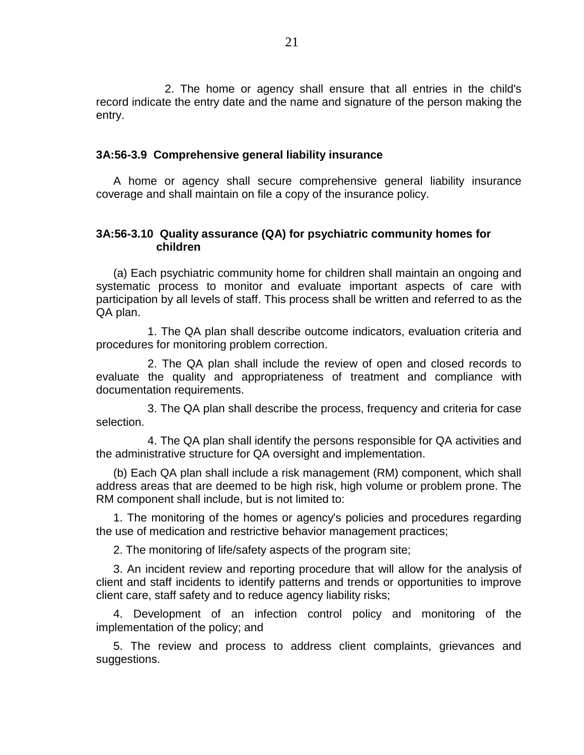2. The home or agency shall ensure that all entries in the child's record indicate the entry date and the name and signature of the person making the entry.

#### **3A:56-3.9 Comprehensive general liability insurance**

A home or agency shall secure comprehensive general liability insurance coverage and shall maintain on file a copy of the insurance policy.

# **3A:56-3.10 Quality assurance (QA) for psychiatric community homes for children**

(a) Each psychiatric community home for children shall maintain an ongoing and systematic process to monitor and evaluate important aspects of care with participation by all levels of staff. This process shall be written and referred to as the QA plan.

1. The QA plan shall describe outcome indicators, evaluation criteria and procedures for monitoring problem correction.

2. The QA plan shall include the review of open and closed records to evaluate the quality and appropriateness of treatment and compliance with documentation requirements.

3. The QA plan shall describe the process, frequency and criteria for case selection.

4. The QA plan shall identify the persons responsible for QA activities and the administrative structure for QA oversight and implementation.

(b) Each QA plan shall include a risk management (RM) component, which shall address areas that are deemed to be high risk, high volume or problem prone. The RM component shall include, but is not limited to:

1. The monitoring of the homes or agency's policies and procedures regarding the use of medication and restrictive behavior management practices;

2. The monitoring of life/safety aspects of the program site;

3. An incident review and reporting procedure that will allow for the analysis of client and staff incidents to identify patterns and trends or opportunities to improve client care, staff safety and to reduce agency liability risks;

4. Development of an infection control policy and monitoring of the implementation of the policy; and

5. The review and process to address client complaints, grievances and suggestions.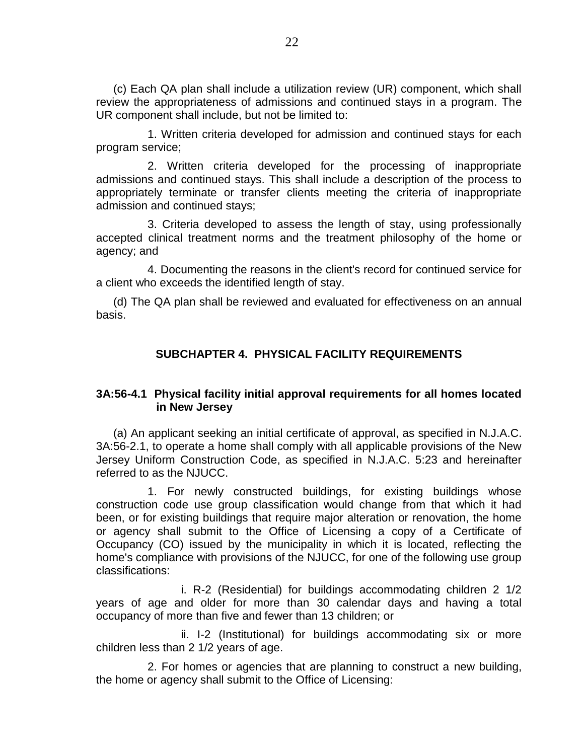(c) Each QA plan shall include a utilization review (UR) component, which shall review the appropriateness of admissions and continued stays in a program. The UR component shall include, but not be limited to:

1. Written criteria developed for admission and continued stays for each program service;

2. Written criteria developed for the processing of inappropriate admissions and continued stays. This shall include a description of the process to appropriately terminate or transfer clients meeting the criteria of inappropriate admission and continued stays;

3. Criteria developed to assess the length of stay, using professionally accepted clinical treatment norms and the treatment philosophy of the home or agency; and

4. Documenting the reasons in the client's record for continued service for a client who exceeds the identified length of stay.

(d) The QA plan shall be reviewed and evaluated for effectiveness on an annual basis.

# **SUBCHAPTER 4. PHYSICAL FACILITY REQUIREMENTS**

# **3A:56-4.1 Physical facility initial approval requirements for all homes located in New Jersey**

(a) An applicant seeking an initial certificate of approval, as specified in N.J.A.C. 3A:56-2.1, to operate a home shall comply with all applicable provisions of the New Jersey Uniform Construction Code, as specified in N.J.A.C. 5:23 and hereinafter referred to as the NJUCC.

1. For newly constructed buildings, for existing buildings whose construction code use group classification would change from that which it had been, or for existing buildings that require major alteration or renovation, the home or agency shall submit to the Office of Licensing a copy of a Certificate of Occupancy (CO) issued by the municipality in which it is located, reflecting the home's compliance with provisions of the NJUCC, for one of the following use group classifications:

i. R-2 (Residential) for buildings accommodating children 2 1/2 years of age and older for more than 30 calendar days and having a total occupancy of more than five and fewer than 13 children; or

ii. I-2 (Institutional) for buildings accommodating six or more children less than 2 1/2 years of age.

2. For homes or agencies that are planning to construct a new building, the home or agency shall submit to the Office of Licensing: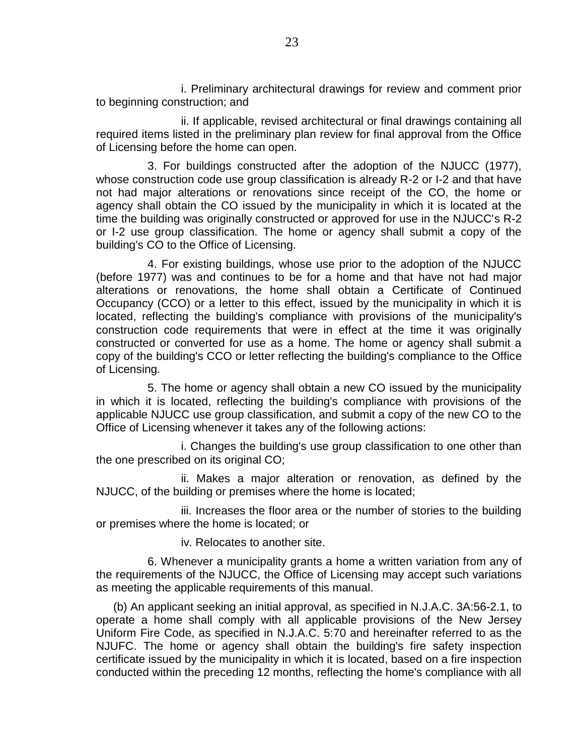i. Preliminary architectural drawings for review and comment prior to beginning construction; and

ii. If applicable, revised architectural or final drawings containing all required items listed in the preliminary plan review for final approval from the Office of Licensing before the home can open.

3. For buildings constructed after the adoption of the NJUCC (1977), whose construction code use group classification is already R-2 or I-2 and that have not had major alterations or renovations since receipt of the CO, the home or agency shall obtain the CO issued by the municipality in which it is located at the time the building was originally constructed or approved for use in the NJUCC's R-2 or I-2 use group classification. The home or agency shall submit a copy of the building's CO to the Office of Licensing.

4. For existing buildings, whose use prior to the adoption of the NJUCC (before 1977) was and continues to be for a home and that have not had major alterations or renovations, the home shall obtain a Certificate of Continued Occupancy (CCO) or a letter to this effect, issued by the municipality in which it is located, reflecting the building's compliance with provisions of the municipality's construction code requirements that were in effect at the time it was originally constructed or converted for use as a home. The home or agency shall submit a copy of the building's CCO or letter reflecting the building's compliance to the Office of Licensing.

5. The home or agency shall obtain a new CO issued by the municipality in which it is located, reflecting the building's compliance with provisions of the applicable NJUCC use group classification, and submit a copy of the new CO to the Office of Licensing whenever it takes any of the following actions:

i. Changes the building's use group classification to one other than the one prescribed on its original CO;

ii. Makes a major alteration or renovation, as defined by the NJUCC, of the building or premises where the home is located;

iii. Increases the floor area or the number of stories to the building or premises where the home is located; or

iv. Relocates to another site.

6. Whenever a municipality grants a home a written variation from any of the requirements of the NJUCC, the Office of Licensing may accept such variations as meeting the applicable requirements of this manual.

(b) An applicant seeking an initial approval, as specified in N.J.A.C. 3A:56-2.1, to operate a home shall comply with all applicable provisions of the New Jersey Uniform Fire Code, as specified in N.J.A.C. 5:70 and hereinafter referred to as the NJUFC. The home or agency shall obtain the building's fire safety inspection certificate issued by the municipality in which it is located, based on a fire inspection conducted within the preceding 12 months, reflecting the home's compliance with all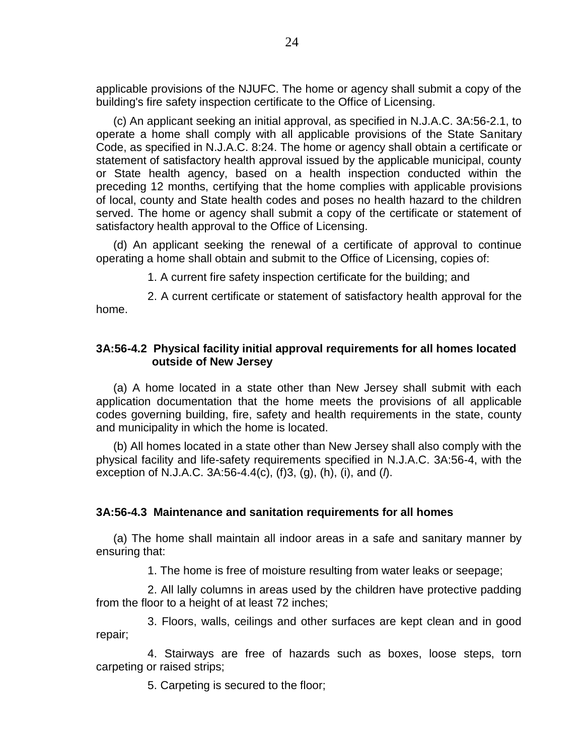applicable provisions of the NJUFC. The home or agency shall submit a copy of the building's fire safety inspection certificate to the Office of Licensing.

(c) An applicant seeking an initial approval, as specified in N.J.A.C. 3A:56-2.1, to operate a home shall comply with all applicable provisions of the State Sanitary Code, as specified in N.J.A.C. 8:24. The home or agency shall obtain a certificate or statement of satisfactory health approval issued by the applicable municipal, county or State health agency, based on a health inspection conducted within the preceding 12 months, certifying that the home complies with applicable provisions of local, county and State health codes and poses no health hazard to the children served. The home or agency shall submit a copy of the certificate or statement of satisfactory health approval to the Office of Licensing.

(d) An applicant seeking the renewal of a certificate of approval to continue operating a home shall obtain and submit to the Office of Licensing, copies of:

1. A current fire safety inspection certificate for the building; and

2. A current certificate or statement of satisfactory health approval for the home.

# **3A:56-4.2 Physical facility initial approval requirements for all homes located outside of New Jersey**

(a) A home located in a state other than New Jersey shall submit with each application documentation that the home meets the provisions of all applicable codes governing building, fire, safety and health requirements in the state, county and municipality in which the home is located.

(b) All homes located in a state other than New Jersey shall also comply with the physical facility and life-safety requirements specified in N.J.A.C. 3A:56-4, with the exception of N.J.A.C. 3A:56-4.4(c), (f)3, (g), (h), (i), and (*l*).

## **3A:56-4.3 Maintenance and sanitation requirements for all homes**

(a) The home shall maintain all indoor areas in a safe and sanitary manner by ensuring that:

1. The home is free of moisture resulting from water leaks or seepage;

2. All lally columns in areas used by the children have protective padding from the floor to a height of at least 72 inches;

3. Floors, walls, ceilings and other surfaces are kept clean and in good repair;

4. Stairways are free of hazards such as boxes, loose steps, torn carpeting or raised strips;

5. Carpeting is secured to the floor;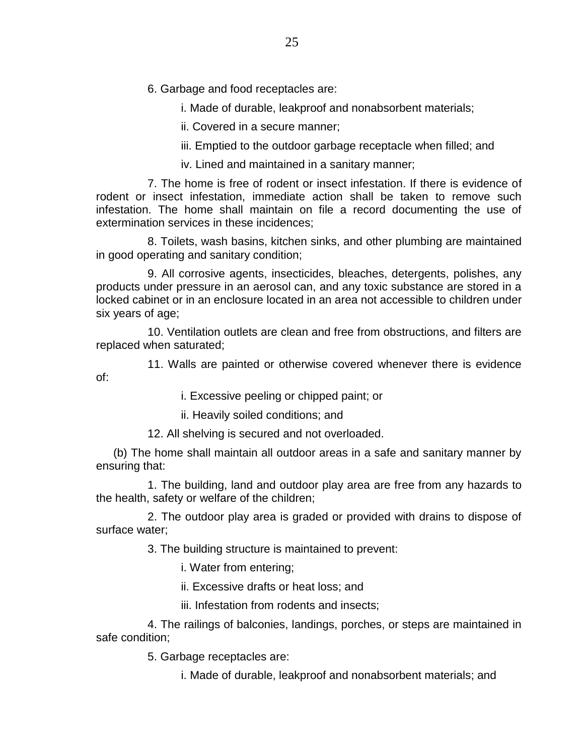# 6. Garbage and food receptacles are:

i. Made of durable, leakproof and nonabsorbent materials;

ii. Covered in a secure manner;

iii. Emptied to the outdoor garbage receptacle when filled; and

iv. Lined and maintained in a sanitary manner;

7. The home is free of rodent or insect infestation. If there is evidence of rodent or insect infestation, immediate action shall be taken to remove such infestation. The home shall maintain on file a record documenting the use of extermination services in these incidences;

8. Toilets, wash basins, kitchen sinks, and other plumbing are maintained in good operating and sanitary condition;

9. All corrosive agents, insecticides, bleaches, detergents, polishes, any products under pressure in an aerosol can, and any toxic substance are stored in a locked cabinet or in an enclosure located in an area not accessible to children under six years of age;

10. Ventilation outlets are clean and free from obstructions, and filters are replaced when saturated;

11. Walls are painted or otherwise covered whenever there is evidence of:

i. Excessive peeling or chipped paint; or

ii. Heavily soiled conditions; and

12. All shelving is secured and not overloaded.

(b) The home shall maintain all outdoor areas in a safe and sanitary manner by ensuring that:

1. The building, land and outdoor play area are free from any hazards to the health, safety or welfare of the children;

2. The outdoor play area is graded or provided with drains to dispose of surface water;

3. The building structure is maintained to prevent:

i. Water from entering;

ii. Excessive drafts or heat loss; and

iii. Infestation from rodents and insects;

4. The railings of balconies, landings, porches, or steps are maintained in safe condition;

5. Garbage receptacles are:

i. Made of durable, leakproof and nonabsorbent materials; and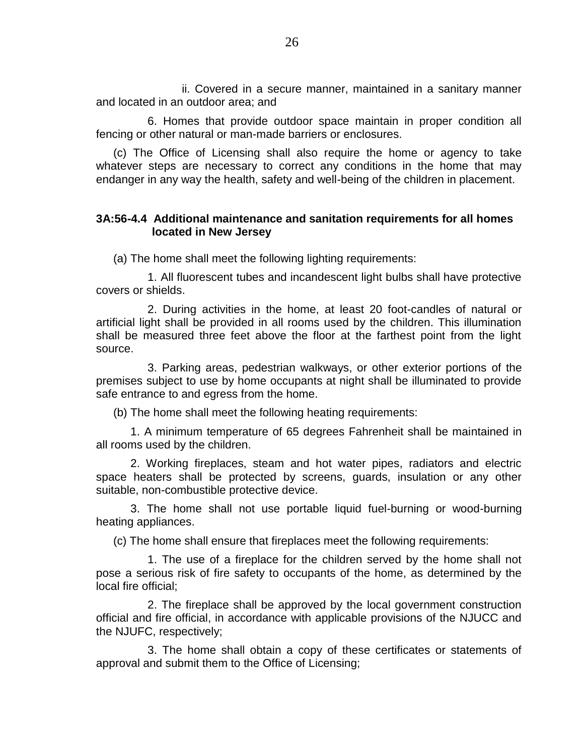ii. Covered in a secure manner, maintained in a sanitary manner and located in an outdoor area; and

6. Homes that provide outdoor space maintain in proper condition all fencing or other natural or man-made barriers or enclosures.

(c) The Office of Licensing shall also require the home or agency to take whatever steps are necessary to correct any conditions in the home that may endanger in any way the health, safety and well-being of the children in placement.

## **3A:56-4.4 Additional maintenance and sanitation requirements for all homes located in New Jersey**

(a) The home shall meet the following lighting requirements:

1. All fluorescent tubes and incandescent light bulbs shall have protective covers or shields.

2. During activities in the home, at least 20 foot-candles of natural or artificial light shall be provided in all rooms used by the children. This illumination shall be measured three feet above the floor at the farthest point from the light source.

3. Parking areas, pedestrian walkways, or other exterior portions of the premises subject to use by home occupants at night shall be illuminated to provide safe entrance to and egress from the home.

(b) The home shall meet the following heating requirements:

1. A minimum temperature of 65 degrees Fahrenheit shall be maintained in all rooms used by the children.

2. Working fireplaces, steam and hot water pipes, radiators and electric space heaters shall be protected by screens, guards, insulation or any other suitable, non-combustible protective device.

3. The home shall not use portable liquid fuel-burning or wood-burning heating appliances.

(c) The home shall ensure that fireplaces meet the following requirements:

1. The use of a fireplace for the children served by the home shall not pose a serious risk of fire safety to occupants of the home, as determined by the local fire official;

2. The fireplace shall be approved by the local government construction official and fire official, in accordance with applicable provisions of the NJUCC and the NJUFC, respectively;

3. The home shall obtain a copy of these certificates or statements of approval and submit them to the Office of Licensing;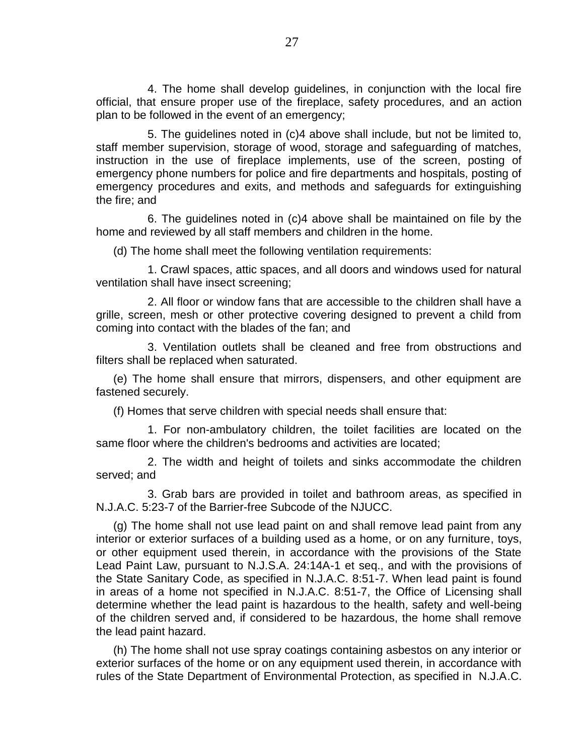4. The home shall develop guidelines, in conjunction with the local fire official, that ensure proper use of the fireplace, safety procedures, and an action plan to be followed in the event of an emergency;

5. The guidelines noted in (c)4 above shall include, but not be limited to, staff member supervision, storage of wood, storage and safeguarding of matches, instruction in the use of fireplace implements, use of the screen, posting of emergency phone numbers for police and fire departments and hospitals, posting of emergency procedures and exits, and methods and safeguards for extinguishing the fire; and

6. The guidelines noted in (c)4 above shall be maintained on file by the home and reviewed by all staff members and children in the home.

(d) The home shall meet the following ventilation requirements:

1. Crawl spaces, attic spaces, and all doors and windows used for natural ventilation shall have insect screening;

2. All floor or window fans that are accessible to the children shall have a grille, screen, mesh or other protective covering designed to prevent a child from coming into contact with the blades of the fan; and

3. Ventilation outlets shall be cleaned and free from obstructions and filters shall be replaced when saturated.

(e) The home shall ensure that mirrors, dispensers, and other equipment are fastened securely.

(f) Homes that serve children with special needs shall ensure that:

1. For non-ambulatory children, the toilet facilities are located on the same floor where the children's bedrooms and activities are located;

2. The width and height of toilets and sinks accommodate the children served; and

3. Grab bars are provided in toilet and bathroom areas, as specified in N.J.A.C. 5:23-7 of the Barrier-free Subcode of the NJUCC.

(g) The home shall not use lead paint on and shall remove lead paint from any interior or exterior surfaces of a building used as a home, or on any furniture, toys, or other equipment used therein, in accordance with the provisions of the State Lead Paint Law, pursuant to N.J.S.A. 24:14A-1 et seq., and with the provisions of the State Sanitary Code, as specified in N.J.A.C. 8:51-7. When lead paint is found in areas of a home not specified in N.J.A.C. 8:51-7, the Office of Licensing shall determine whether the lead paint is hazardous to the health, safety and well-being of the children served and, if considered to be hazardous, the home shall remove the lead paint hazard.

(h) The home shall not use spray coatings containing asbestos on any interior or exterior surfaces of the home or on any equipment used therein, in accordance with rules of the State Department of Environmental Protection, as specified in N.J.A.C.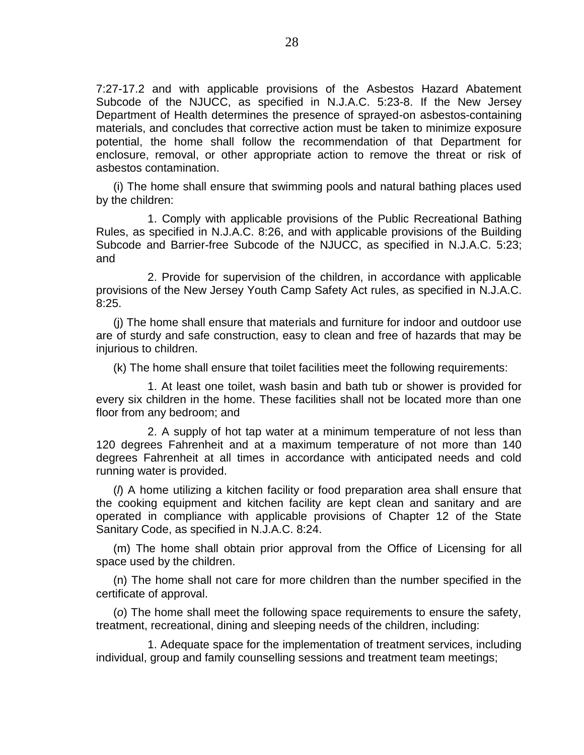7:27-17.2 and with applicable provisions of the Asbestos Hazard Abatement Subcode of the NJUCC, as specified in N.J.A.C. 5:23-8. If the New Jersey Department of Health determines the presence of sprayed-on asbestos-containing materials, and concludes that corrective action must be taken to minimize exposure potential, the home shall follow the recommendation of that Department for enclosure, removal, or other appropriate action to remove the threat or risk of asbestos contamination.

(i) The home shall ensure that swimming pools and natural bathing places used by the children:

1. Comply with applicable provisions of the Public Recreational Bathing Rules, as specified in N.J.A.C. 8:26, and with applicable provisions of the Building Subcode and Barrier-free Subcode of the NJUCC, as specified in N.J.A.C. 5:23; and

2. Provide for supervision of the children, in accordance with applicable provisions of the New Jersey Youth Camp Safety Act rules, as specified in N.J.A.C. 8:25.

(j) The home shall ensure that materials and furniture for indoor and outdoor use are of sturdy and safe construction, easy to clean and free of hazards that may be injurious to children.

(k) The home shall ensure that toilet facilities meet the following requirements:

1. At least one toilet, wash basin and bath tub or shower is provided for every six children in the home. These facilities shall not be located more than one floor from any bedroom; and

2. A supply of hot tap water at a minimum temperature of not less than 120 degrees Fahrenheit and at a maximum temperature of not more than 140 degrees Fahrenheit at all times in accordance with anticipated needs and cold running water is provided.

(*l*) A home utilizing a kitchen facility or food preparation area shall ensure that the cooking equipment and kitchen facility are kept clean and sanitary and are operated in compliance with applicable provisions of Chapter 12 of the State Sanitary Code, as specified in N.J.A.C. 8:24.

(m) The home shall obtain prior approval from the Office of Licensing for all space used by the children.

(n) The home shall not care for more children than the number specified in the certificate of approval.

(*o*) The home shall meet the following space requirements to ensure the safety, treatment, recreational, dining and sleeping needs of the children, including:

1. Adequate space for the implementation of treatment services, including individual, group and family counselling sessions and treatment team meetings;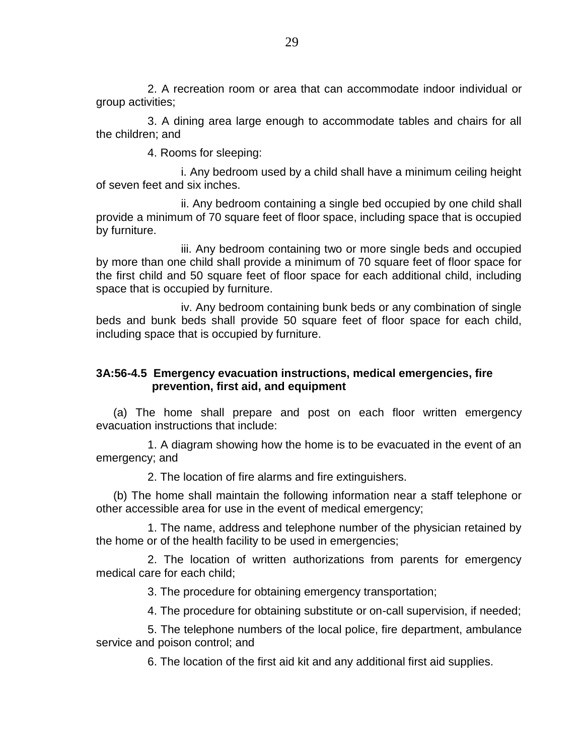2. A recreation room or area that can accommodate indoor individual or group activities;

3. A dining area large enough to accommodate tables and chairs for all the children; and

4. Rooms for sleeping:

i. Any bedroom used by a child shall have a minimum ceiling height of seven feet and six inches.

ii. Any bedroom containing a single bed occupied by one child shall provide a minimum of 70 square feet of floor space, including space that is occupied by furniture.

iii. Any bedroom containing two or more single beds and occupied by more than one child shall provide a minimum of 70 square feet of floor space for the first child and 50 square feet of floor space for each additional child, including space that is occupied by furniture.

iv. Any bedroom containing bunk beds or any combination of single beds and bunk beds shall provide 50 square feet of floor space for each child, including space that is occupied by furniture.

# **3A:56-4.5 Emergency evacuation instructions, medical emergencies, fire prevention, first aid, and equipment**

(a) The home shall prepare and post on each floor written emergency evacuation instructions that include:

1. A diagram showing how the home is to be evacuated in the event of an emergency; and

2. The location of fire alarms and fire extinguishers.

(b) The home shall maintain the following information near a staff telephone or other accessible area for use in the event of medical emergency;

1. The name, address and telephone number of the physician retained by the home or of the health facility to be used in emergencies;

2. The location of written authorizations from parents for emergency medical care for each child;

3. The procedure for obtaining emergency transportation;

4. The procedure for obtaining substitute or on-call supervision, if needed;

5. The telephone numbers of the local police, fire department, ambulance service and poison control; and

6. The location of the first aid kit and any additional first aid supplies.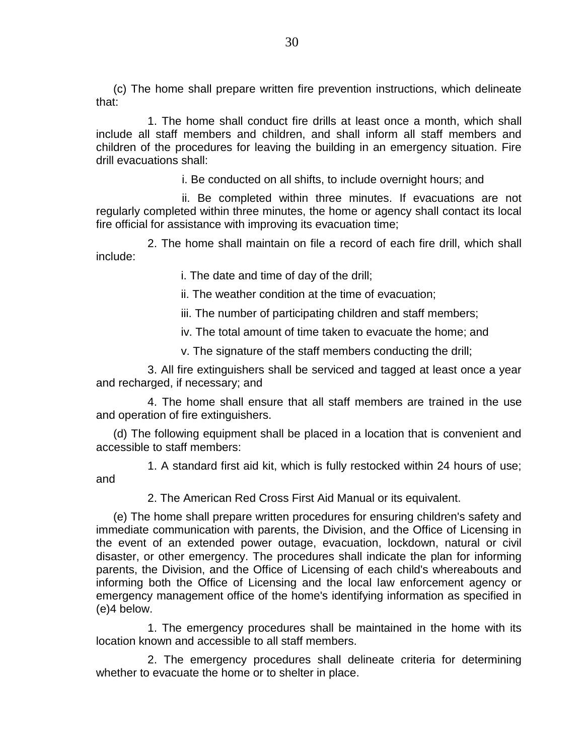(c) The home shall prepare written fire prevention instructions, which delineate that:

1. The home shall conduct fire drills at least once a month, which shall include all staff members and children, and shall inform all staff members and children of the procedures for leaving the building in an emergency situation. Fire drill evacuations shall:

i. Be conducted on all shifts, to include overnight hours; and

ii. Be completed within three minutes. If evacuations are not regularly completed within three minutes, the home or agency shall contact its local fire official for assistance with improving its evacuation time;

2. The home shall maintain on file a record of each fire drill, which shall include:

i. The date and time of day of the drill;

ii. The weather condition at the time of evacuation;

iii. The number of participating children and staff members;

iv. The total amount of time taken to evacuate the home; and

v. The signature of the staff members conducting the drill;

3. All fire extinguishers shall be serviced and tagged at least once a year and recharged, if necessary; and

4. The home shall ensure that all staff members are trained in the use and operation of fire extinguishers.

(d) The following equipment shall be placed in a location that is convenient and accessible to staff members:

1. A standard first aid kit, which is fully restocked within 24 hours of use; and

2. The American Red Cross First Aid Manual or its equivalent.

(e) The home shall prepare written procedures for ensuring children's safety and immediate communication with parents, the Division, and the Office of Licensing in the event of an extended power outage, evacuation, lockdown, natural or civil disaster, or other emergency. The procedures shall indicate the plan for informing parents, the Division, and the Office of Licensing of each child's whereabouts and informing both the Office of Licensing and the local law enforcement agency or emergency management office of the home's identifying information as specified in (e)4 below.

1. The emergency procedures shall be maintained in the home with its location known and accessible to all staff members.

2. The emergency procedures shall delineate criteria for determining whether to evacuate the home or to shelter in place.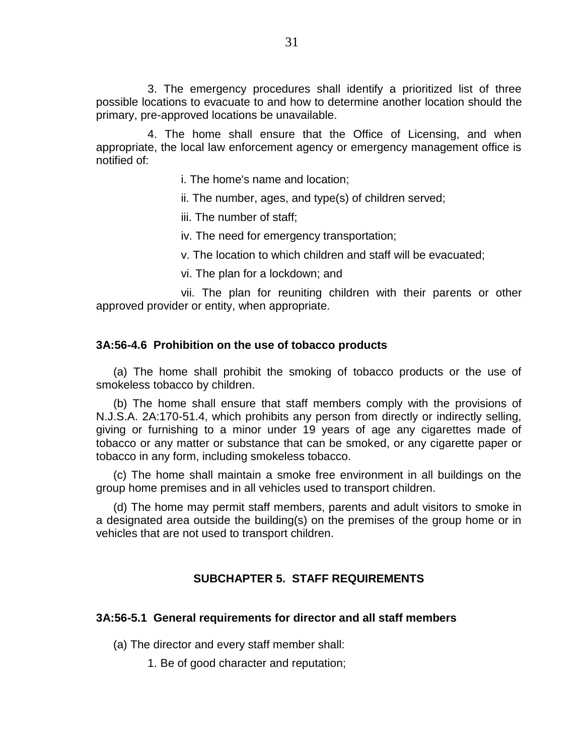3. The emergency procedures shall identify a prioritized list of three possible locations to evacuate to and how to determine another location should the primary, pre-approved locations be unavailable.

4. The home shall ensure that the Office of Licensing, and when appropriate, the local law enforcement agency or emergency management office is notified of:

i. The home's name and location;

ii. The number, ages, and type(s) of children served;

iii. The number of staff;

iv. The need for emergency transportation;

v. The location to which children and staff will be evacuated;

vi. The plan for a lockdown; and

vii. The plan for reuniting children with their parents or other approved provider or entity, when appropriate.

#### **3A:56-4.6 Prohibition on the use of tobacco products**

(a) The home shall prohibit the smoking of tobacco products or the use of smokeless tobacco by children.

(b) The home shall ensure that staff members comply with the provisions of N.J.S.A. 2A:170-51.4, which prohibits any person from directly or indirectly selling, giving or furnishing to a minor under 19 years of age any cigarettes made of tobacco or any matter or substance that can be smoked, or any cigarette paper or tobacco in any form, including smokeless tobacco.

(c) The home shall maintain a smoke free environment in all buildings on the group home premises and in all vehicles used to transport children.

(d) The home may permit staff members, parents and adult visitors to smoke in a designated area outside the building(s) on the premises of the group home or in vehicles that are not used to transport children.

# **SUBCHAPTER 5. STAFF REQUIREMENTS**

#### **3A:56-5.1 General requirements for director and all staff members**

(a) The director and every staff member shall:

1. Be of good character and reputation;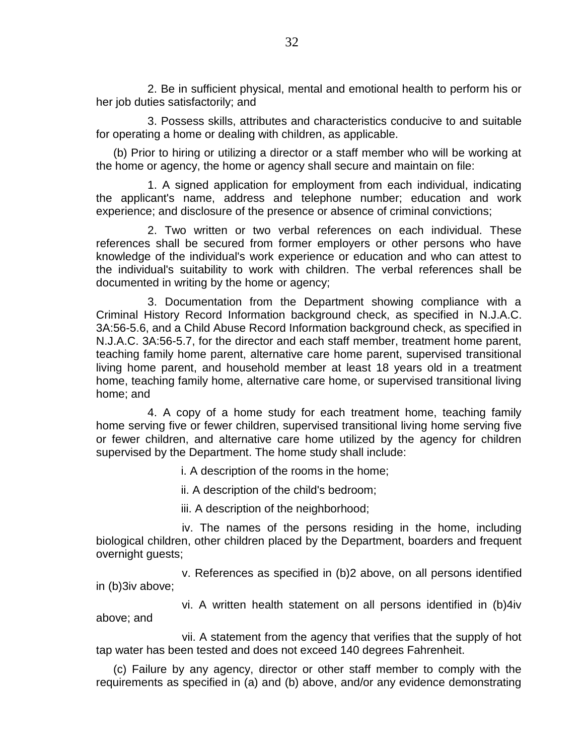2. Be in sufficient physical, mental and emotional health to perform his or her job duties satisfactorily; and

3. Possess skills, attributes and characteristics conducive to and suitable for operating a home or dealing with children, as applicable.

(b) Prior to hiring or utilizing a director or a staff member who will be working at the home or agency, the home or agency shall secure and maintain on file:

1. A signed application for employment from each individual, indicating the applicant's name, address and telephone number; education and work experience; and disclosure of the presence or absence of criminal convictions;

2. Two written or two verbal references on each individual. These references shall be secured from former employers or other persons who have knowledge of the individual's work experience or education and who can attest to the individual's suitability to work with children. The verbal references shall be documented in writing by the home or agency;

3. Documentation from the Department showing compliance with a Criminal History Record Information background check, as specified in N.J.A.C. 3A:56-5.6, and a Child Abuse Record Information background check, as specified in N.J.A.C. 3A:56-5.7, for the director and each staff member, treatment home parent, teaching family home parent, alternative care home parent, supervised transitional living home parent, and household member at least 18 years old in a treatment home, teaching family home, alternative care home, or supervised transitional living home; and

4. A copy of a home study for each treatment home, teaching family home serving five or fewer children, supervised transitional living home serving five or fewer children, and alternative care home utilized by the agency for children supervised by the Department. The home study shall include:

i. A description of the rooms in the home;

ii. A description of the child's bedroom;

iii. A description of the neighborhood;

iv. The names of the persons residing in the home, including biological children, other children placed by the Department, boarders and frequent overnight guests;

v. References as specified in (b)2 above, on all persons identified in (b)3iv above;

vi. A written health statement on all persons identified in (b)4iv above; and

vii. A statement from the agency that verifies that the supply of hot tap water has been tested and does not exceed 140 degrees Fahrenheit.

(c) Failure by any agency, director or other staff member to comply with the requirements as specified in (a) and (b) above, and/or any evidence demonstrating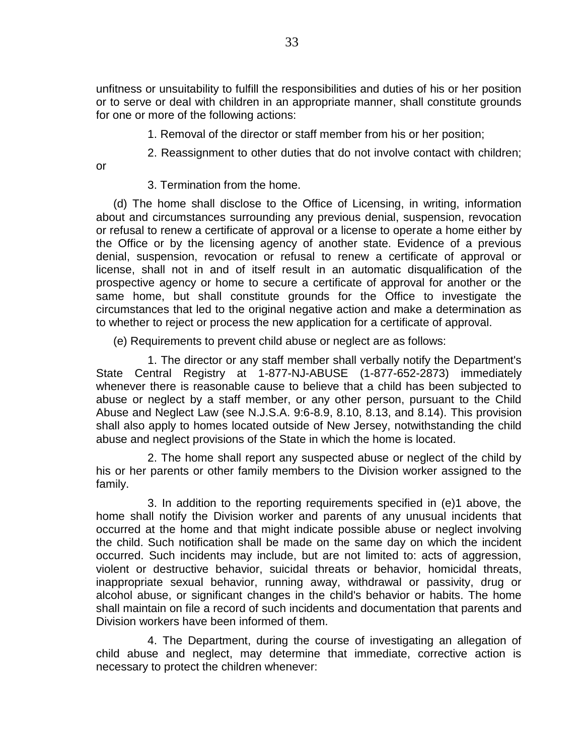unfitness or unsuitability to fulfill the responsibilities and duties of his or her position or to serve or deal with children in an appropriate manner, shall constitute grounds for one or more of the following actions:

1. Removal of the director or staff member from his or her position;

2. Reassignment to other duties that do not involve contact with children;

3. Termination from the home.

or

(d) The home shall disclose to the Office of Licensing, in writing, information about and circumstances surrounding any previous denial, suspension, revocation or refusal to renew a certificate of approval or a license to operate a home either by the Office or by the licensing agency of another state. Evidence of a previous denial, suspension, revocation or refusal to renew a certificate of approval or license, shall not in and of itself result in an automatic disqualification of the prospective agency or home to secure a certificate of approval for another or the same home, but shall constitute grounds for the Office to investigate the circumstances that led to the original negative action and make a determination as to whether to reject or process the new application for a certificate of approval.

(e) Requirements to prevent child abuse or neglect are as follows:

1. The director or any staff member shall verbally notify the Department's State Central Registry at 1-877-NJ-ABUSE (1-877-652-2873) immediately whenever there is reasonable cause to believe that a child has been subjected to abuse or neglect by a staff member, or any other person, pursuant to the Child Abuse and Neglect Law (see N.J.S.A. 9:6-8.9, 8.10, 8.13, and 8.14). This provision shall also apply to homes located outside of New Jersey, notwithstanding the child abuse and neglect provisions of the State in which the home is located.

2. The home shall report any suspected abuse or neglect of the child by his or her parents or other family members to the Division worker assigned to the family.

3. In addition to the reporting requirements specified in (e)1 above, the home shall notify the Division worker and parents of any unusual incidents that occurred at the home and that might indicate possible abuse or neglect involving the child. Such notification shall be made on the same day on which the incident occurred. Such incidents may include, but are not limited to: acts of aggression, violent or destructive behavior, suicidal threats or behavior, homicidal threats, inappropriate sexual behavior, running away, withdrawal or passivity, drug or alcohol abuse, or significant changes in the child's behavior or habits. The home shall maintain on file a record of such incidents and documentation that parents and Division workers have been informed of them.

4. The Department, during the course of investigating an allegation of child abuse and neglect, may determine that immediate, corrective action is necessary to protect the children whenever: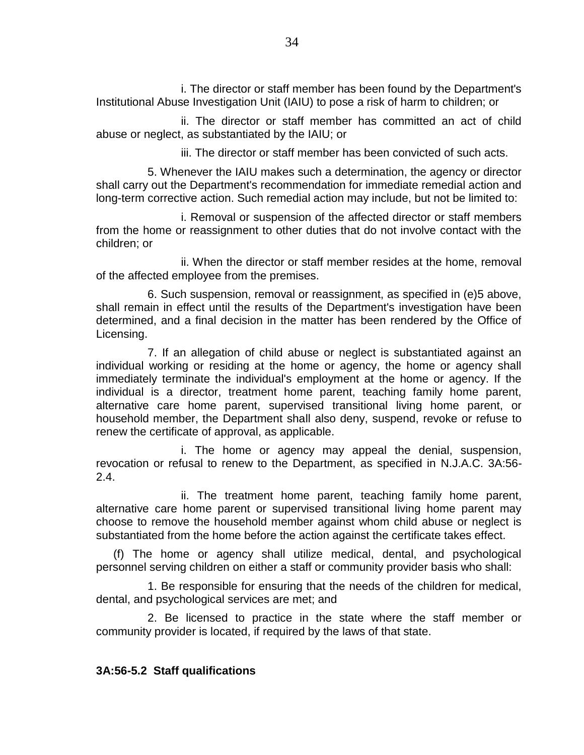i. The director or staff member has been found by the Department's Institutional Abuse Investigation Unit (IAIU) to pose a risk of harm to children; or

ii. The director or staff member has committed an act of child abuse or neglect, as substantiated by the IAIU; or

iii. The director or staff member has been convicted of such acts.

5. Whenever the IAIU makes such a determination, the agency or director shall carry out the Department's recommendation for immediate remedial action and long-term corrective action. Such remedial action may include, but not be limited to:

i. Removal or suspension of the affected director or staff members from the home or reassignment to other duties that do not involve contact with the children; or

ii. When the director or staff member resides at the home, removal of the affected employee from the premises.

6. Such suspension, removal or reassignment, as specified in (e)5 above, shall remain in effect until the results of the Department's investigation have been determined, and a final decision in the matter has been rendered by the Office of Licensing.

7. If an allegation of child abuse or neglect is substantiated against an individual working or residing at the home or agency, the home or agency shall immediately terminate the individual's employment at the home or agency. If the individual is a director, treatment home parent, teaching family home parent, alternative care home parent, supervised transitional living home parent, or household member, the Department shall also deny, suspend, revoke or refuse to renew the certificate of approval, as applicable.

i. The home or agency may appeal the denial, suspension, revocation or refusal to renew to the Department, as specified in N.J.A.C. 3A:56- 2.4.

ii. The treatment home parent, teaching family home parent, alternative care home parent or supervised transitional living home parent may choose to remove the household member against whom child abuse or neglect is substantiated from the home before the action against the certificate takes effect.

(f) The home or agency shall utilize medical, dental, and psychological personnel serving children on either a staff or community provider basis who shall:

1. Be responsible for ensuring that the needs of the children for medical, dental, and psychological services are met; and

2. Be licensed to practice in the state where the staff member or community provider is located, if required by the laws of that state.

# **3A:56-5.2 Staff qualifications**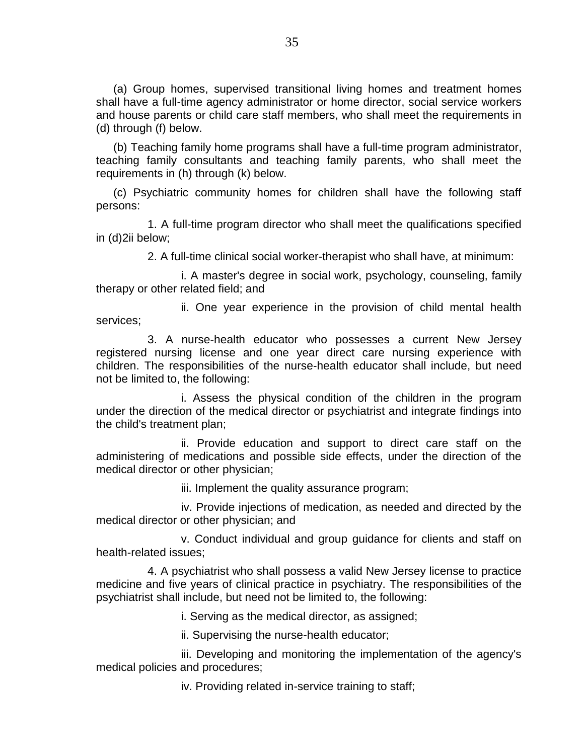(a) Group homes, supervised transitional living homes and treatment homes shall have a full-time agency administrator or home director, social service workers and house parents or child care staff members, who shall meet the requirements in (d) through (f) below.

(b) Teaching family home programs shall have a full-time program administrator, teaching family consultants and teaching family parents, who shall meet the requirements in (h) through (k) below.

(c) Psychiatric community homes for children shall have the following staff persons:

1. A full-time program director who shall meet the qualifications specified in (d)2ii below;

2. A full-time clinical social worker-therapist who shall have, at minimum:

i. A master's degree in social work, psychology, counseling, family therapy or other related field; and

ii. One year experience in the provision of child mental health services;

3. A nurse-health educator who possesses a current New Jersey registered nursing license and one year direct care nursing experience with children. The responsibilities of the nurse-health educator shall include, but need not be limited to, the following:

i. Assess the physical condition of the children in the program under the direction of the medical director or psychiatrist and integrate findings into the child's treatment plan;

ii. Provide education and support to direct care staff on the administering of medications and possible side effects, under the direction of the medical director or other physician;

iii. Implement the quality assurance program;

iv. Provide injections of medication, as needed and directed by the medical director or other physician; and

v. Conduct individual and group guidance for clients and staff on health-related issues;

4. A psychiatrist who shall possess a valid New Jersey license to practice medicine and five years of clinical practice in psychiatry. The responsibilities of the psychiatrist shall include, but need not be limited to, the following:

i. Serving as the medical director, as assigned;

ii. Supervising the nurse-health educator;

iii. Developing and monitoring the implementation of the agency's medical policies and procedures;

iv. Providing related in-service training to staff;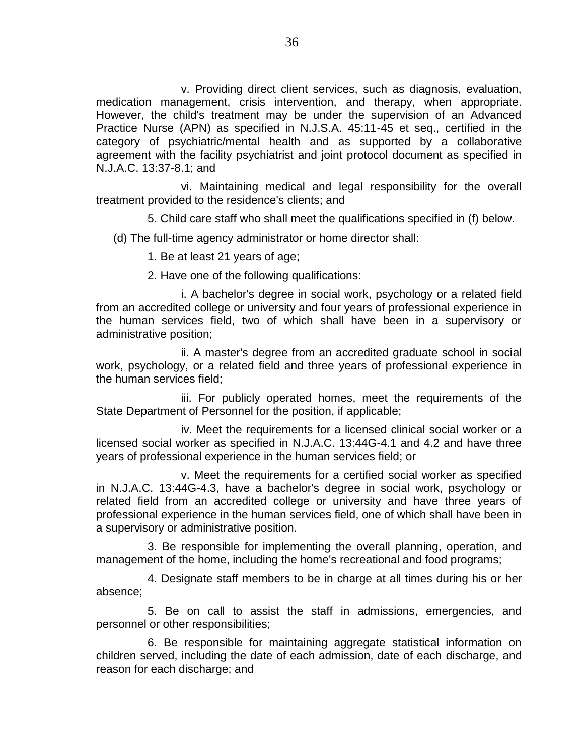v. Providing direct client services, such as diagnosis, evaluation, medication management, crisis intervention, and therapy, when appropriate. However, the child's treatment may be under the supervision of an Advanced Practice Nurse (APN) as specified in N.J.S.A. 45:11-45 et seq., certified in the category of psychiatric/mental health and as supported by a collaborative agreement with the facility psychiatrist and joint protocol document as specified in N.J.A.C. 13:37-8.1; and

vi. Maintaining medical and legal responsibility for the overall treatment provided to the residence's clients; and

5. Child care staff who shall meet the qualifications specified in (f) below.

(d) The full-time agency administrator or home director shall:

1. Be at least 21 years of age;

2. Have one of the following qualifications:

i. A bachelor's degree in social work, psychology or a related field from an accredited college or university and four years of professional experience in the human services field, two of which shall have been in a supervisory or administrative position;

ii. A master's degree from an accredited graduate school in social work, psychology, or a related field and three years of professional experience in the human services field;

iii. For publicly operated homes, meet the requirements of the State Department of Personnel for the position, if applicable;

iv. Meet the requirements for a licensed clinical social worker or a licensed social worker as specified in N.J.A.C. 13:44G-4.1 and 4.2 and have three years of professional experience in the human services field; or

v. Meet the requirements for a certified social worker as specified in N.J.A.C. 13:44G-4.3, have a bachelor's degree in social work, psychology or related field from an accredited college or university and have three years of professional experience in the human services field, one of which shall have been in a supervisory or administrative position.

3. Be responsible for implementing the overall planning, operation, and management of the home, including the home's recreational and food programs;

4. Designate staff members to be in charge at all times during his or her absence;

5. Be on call to assist the staff in admissions, emergencies, and personnel or other responsibilities;

6. Be responsible for maintaining aggregate statistical information on children served, including the date of each admission, date of each discharge, and reason for each discharge; and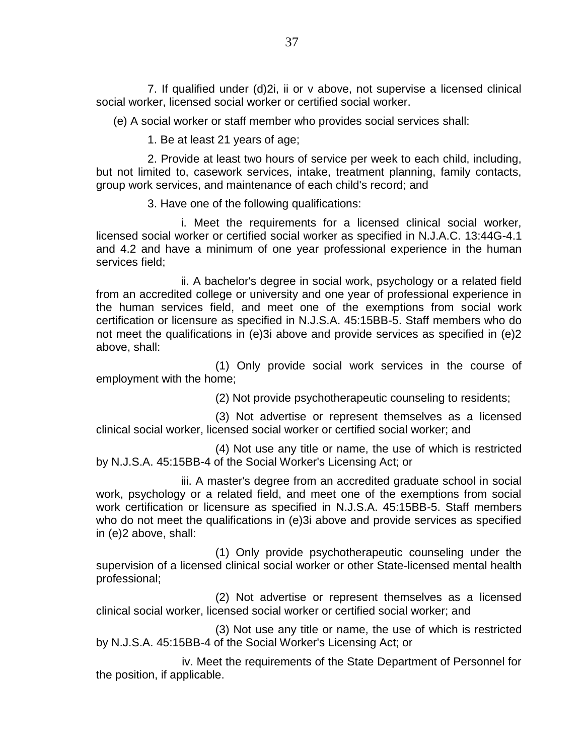7. If qualified under (d)2i, ii or v above, not supervise a licensed clinical social worker, licensed social worker or certified social worker.

(e) A social worker or staff member who provides social services shall:

1. Be at least 21 years of age;

2. Provide at least two hours of service per week to each child, including, but not limited to, casework services, intake, treatment planning, family contacts, group work services, and maintenance of each child's record; and

3. Have one of the following qualifications:

i. Meet the requirements for a licensed clinical social worker, licensed social worker or certified social worker as specified in N.J.A.C. 13:44G-4.1 and 4.2 and have a minimum of one year professional experience in the human services field;

ii. A bachelor's degree in social work, psychology or a related field from an accredited college or university and one year of professional experience in the human services field, and meet one of the exemptions from social work certification or licensure as specified in N.J.S.A. 45:15BB-5. Staff members who do not meet the qualifications in (e)3i above and provide services as specified in (e)2 above, shall:

(1) Only provide social work services in the course of employment with the home;

(2) Not provide psychotherapeutic counseling to residents;

(3) Not advertise or represent themselves as a licensed clinical social worker, licensed social worker or certified social worker; and

(4) Not use any title or name, the use of which is restricted by N.J.S.A. 45:15BB-4 of the Social Worker's Licensing Act; or

iii. A master's degree from an accredited graduate school in social work, psychology or a related field, and meet one of the exemptions from social work certification or licensure as specified in N.J.S.A. 45:15BB-5. Staff members who do not meet the qualifications in (e)3i above and provide services as specified in (e)2 above, shall:

(1) Only provide psychotherapeutic counseling under the supervision of a licensed clinical social worker or other State-licensed mental health professional;

(2) Not advertise or represent themselves as a licensed clinical social worker, licensed social worker or certified social worker; and

(3) Not use any title or name, the use of which is restricted by N.J.S.A. 45:15BB-4 of the Social Worker's Licensing Act; or

iv. Meet the requirements of the State Department of Personnel for the position, if applicable.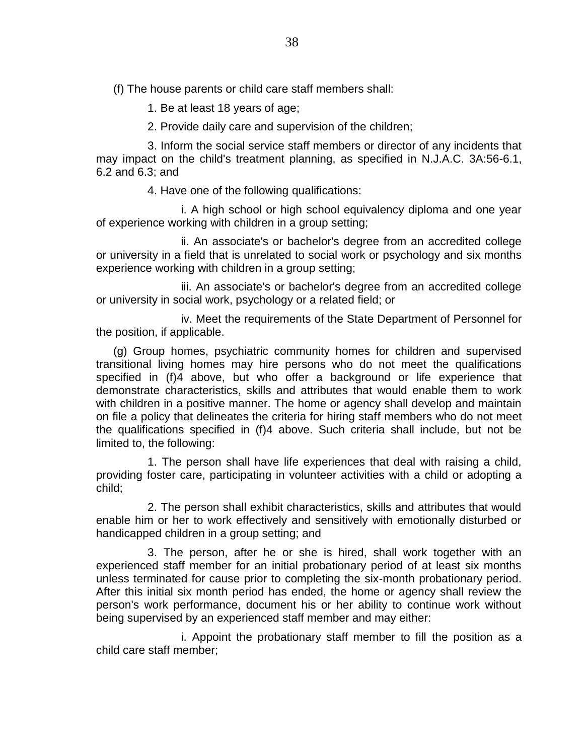(f) The house parents or child care staff members shall:

1. Be at least 18 years of age;

2. Provide daily care and supervision of the children;

3. Inform the social service staff members or director of any incidents that may impact on the child's treatment planning, as specified in N.J.A.C. 3A:56-6.1, 6.2 and 6.3; and

4. Have one of the following qualifications:

i. A high school or high school equivalency diploma and one year of experience working with children in a group setting;

ii. An associate's or bachelor's degree from an accredited college or university in a field that is unrelated to social work or psychology and six months experience working with children in a group setting;

iii. An associate's or bachelor's degree from an accredited college or university in social work, psychology or a related field; or

iv. Meet the requirements of the State Department of Personnel for the position, if applicable.

(g) Group homes, psychiatric community homes for children and supervised transitional living homes may hire persons who do not meet the qualifications specified in (f)4 above, but who offer a background or life experience that demonstrate characteristics, skills and attributes that would enable them to work with children in a positive manner. The home or agency shall develop and maintain on file a policy that delineates the criteria for hiring staff members who do not meet the qualifications specified in (f)4 above. Such criteria shall include, but not be limited to, the following:

1. The person shall have life experiences that deal with raising a child, providing foster care, participating in volunteer activities with a child or adopting a child;

2. The person shall exhibit characteristics, skills and attributes that would enable him or her to work effectively and sensitively with emotionally disturbed or handicapped children in a group setting; and

3. The person, after he or she is hired, shall work together with an experienced staff member for an initial probationary period of at least six months unless terminated for cause prior to completing the six-month probationary period. After this initial six month period has ended, the home or agency shall review the person's work performance, document his or her ability to continue work without being supervised by an experienced staff member and may either:

i. Appoint the probationary staff member to fill the position as a child care staff member;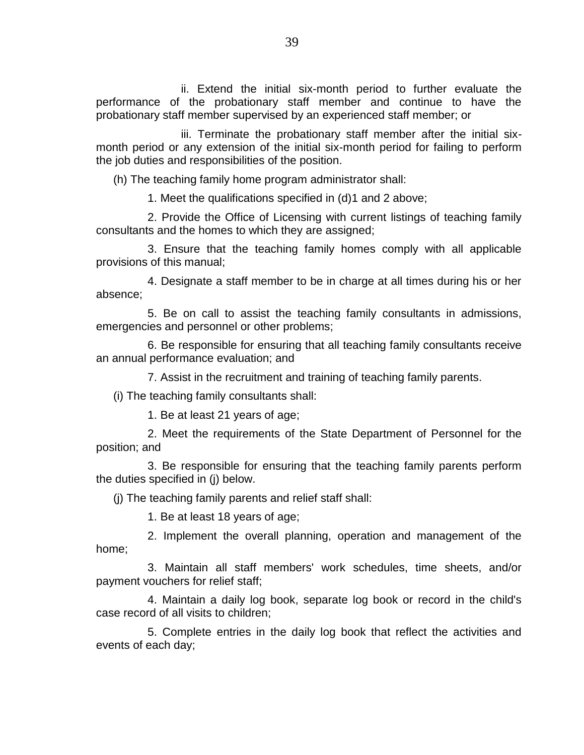ii. Extend the initial six-month period to further evaluate the performance of the probationary staff member and continue to have the probationary staff member supervised by an experienced staff member; or

iii. Terminate the probationary staff member after the initial sixmonth period or any extension of the initial six-month period for failing to perform the job duties and responsibilities of the position.

(h) The teaching family home program administrator shall:

1. Meet the qualifications specified in (d)1 and 2 above;

2. Provide the Office of Licensing with current listings of teaching family consultants and the homes to which they are assigned;

3. Ensure that the teaching family homes comply with all applicable provisions of this manual;

4. Designate a staff member to be in charge at all times during his or her absence;

5. Be on call to assist the teaching family consultants in admissions, emergencies and personnel or other problems;

6. Be responsible for ensuring that all teaching family consultants receive an annual performance evaluation; and

7. Assist in the recruitment and training of teaching family parents.

(i) The teaching family consultants shall:

1. Be at least 21 years of age;

2. Meet the requirements of the State Department of Personnel for the position; and

3. Be responsible for ensuring that the teaching family parents perform the duties specified in (j) below.

(j) The teaching family parents and relief staff shall:

1. Be at least 18 years of age;

2. Implement the overall planning, operation and management of the home;

3. Maintain all staff members' work schedules, time sheets, and/or payment vouchers for relief staff;

4. Maintain a daily log book, separate log book or record in the child's case record of all visits to children;

5. Complete entries in the daily log book that reflect the activities and events of each day;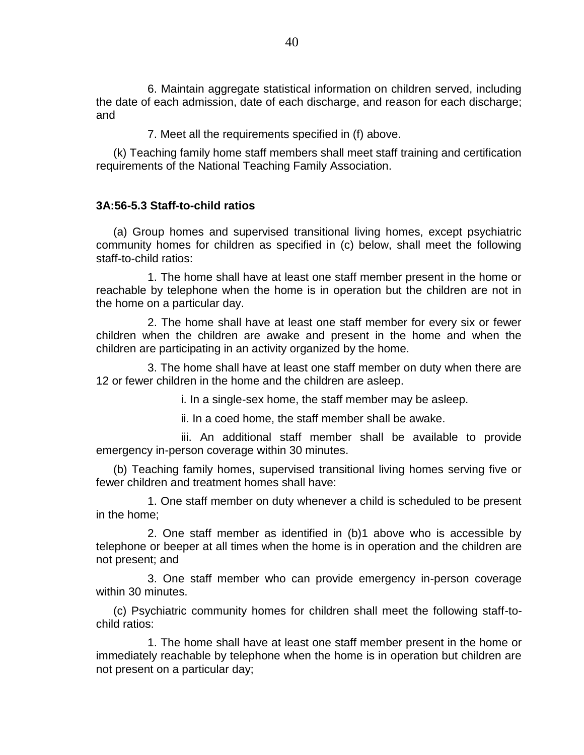6. Maintain aggregate statistical information on children served, including the date of each admission, date of each discharge, and reason for each discharge; and

7. Meet all the requirements specified in (f) above.

(k) Teaching family home staff members shall meet staff training and certification requirements of the National Teaching Family Association.

### **3A:56-5.3 Staff-to-child ratios**

(a) Group homes and supervised transitional living homes, except psychiatric community homes for children as specified in (c) below, shall meet the following staff-to-child ratios:

1. The home shall have at least one staff member present in the home or reachable by telephone when the home is in operation but the children are not in the home on a particular day.

2. The home shall have at least one staff member for every six or fewer children when the children are awake and present in the home and when the children are participating in an activity organized by the home.

3. The home shall have at least one staff member on duty when there are 12 or fewer children in the home and the children are asleep.

i. In a single-sex home, the staff member may be asleep.

ii. In a coed home, the staff member shall be awake.

iii. An additional staff member shall be available to provide emergency in-person coverage within 30 minutes.

(b) Teaching family homes, supervised transitional living homes serving five or fewer children and treatment homes shall have:

1. One staff member on duty whenever a child is scheduled to be present in the home;

2. One staff member as identified in (b)1 above who is accessible by telephone or beeper at all times when the home is in operation and the children are not present; and

3. One staff member who can provide emergency in-person coverage within 30 minutes.

(c) Psychiatric community homes for children shall meet the following staff-tochild ratios:

1. The home shall have at least one staff member present in the home or immediately reachable by telephone when the home is in operation but children are not present on a particular day;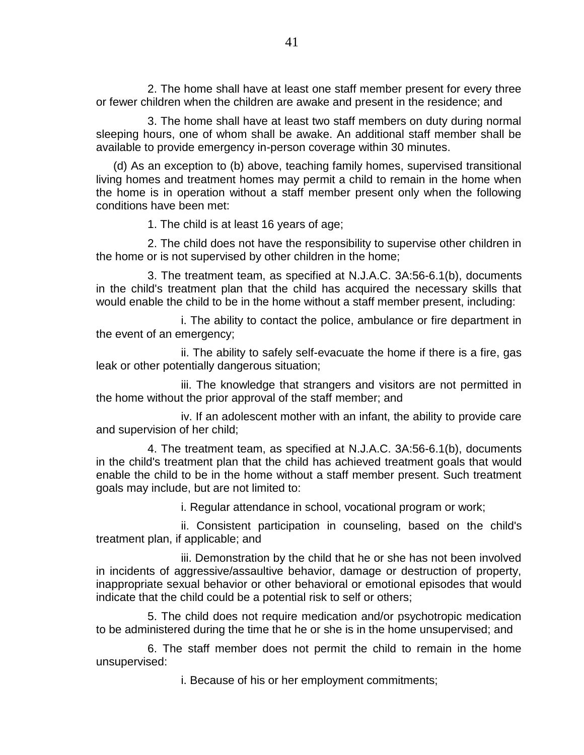2. The home shall have at least one staff member present for every three or fewer children when the children are awake and present in the residence; and

3. The home shall have at least two staff members on duty during normal sleeping hours, one of whom shall be awake. An additional staff member shall be available to provide emergency in-person coverage within 30 minutes.

(d) As an exception to (b) above, teaching family homes, supervised transitional living homes and treatment homes may permit a child to remain in the home when the home is in operation without a staff member present only when the following conditions have been met:

1. The child is at least 16 years of age;

2. The child does not have the responsibility to supervise other children in the home or is not supervised by other children in the home;

3. The treatment team, as specified at N.J.A.C. 3A:56-6.1(b), documents in the child's treatment plan that the child has acquired the necessary skills that would enable the child to be in the home without a staff member present, including:

i. The ability to contact the police, ambulance or fire department in the event of an emergency;

ii. The ability to safely self-evacuate the home if there is a fire, gas leak or other potentially dangerous situation;

iii. The knowledge that strangers and visitors are not permitted in the home without the prior approval of the staff member; and

iv. If an adolescent mother with an infant, the ability to provide care and supervision of her child;

4. The treatment team, as specified at N.J.A.C. 3A:56-6.1(b), documents in the child's treatment plan that the child has achieved treatment goals that would enable the child to be in the home without a staff member present. Such treatment goals may include, but are not limited to:

i. Regular attendance in school, vocational program or work;

ii. Consistent participation in counseling, based on the child's treatment plan, if applicable; and

iii. Demonstration by the child that he or she has not been involved in incidents of aggressive/assaultive behavior, damage or destruction of property, inappropriate sexual behavior or other behavioral or emotional episodes that would indicate that the child could be a potential risk to self or others;

5. The child does not require medication and/or psychotropic medication to be administered during the time that he or she is in the home unsupervised; and

6. The staff member does not permit the child to remain in the home unsupervised:

i. Because of his or her employment commitments;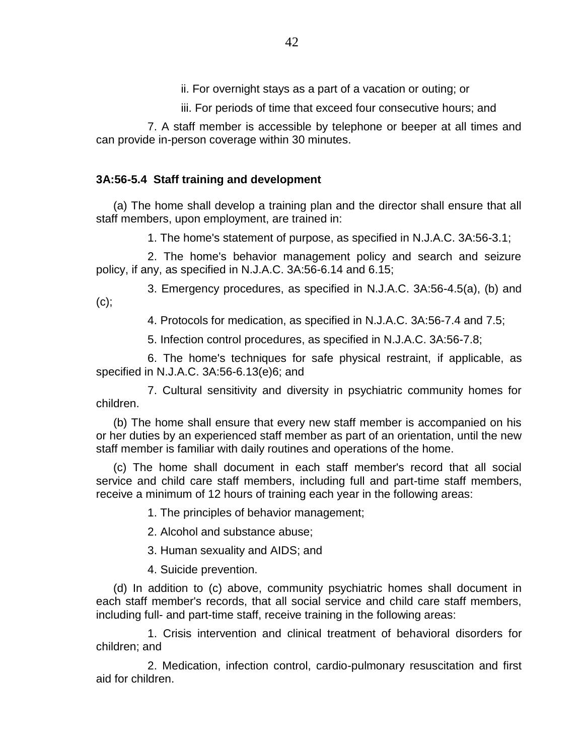ii. For overnight stays as a part of a vacation or outing; or

iii. For periods of time that exceed four consecutive hours; and

7. A staff member is accessible by telephone or beeper at all times and can provide in-person coverage within 30 minutes.

# **3A:56-5.4 Staff training and development**

(a) The home shall develop a training plan and the director shall ensure that all staff members, upon employment, are trained in:

1. The home's statement of purpose, as specified in N.J.A.C. 3A:56-3.1;

2. The home's behavior management policy and search and seizure policy, if any, as specified in N.J.A.C. 3A:56-6.14 and 6.15;

3. Emergency procedures, as specified in N.J.A.C. 3A:56-4.5(a), (b) and (c);

4. Protocols for medication, as specified in N.J.A.C. 3A:56-7.4 and 7.5;

5. Infection control procedures, as specified in N.J.A.C. 3A:56-7.8;

6. The home's techniques for safe physical restraint, if applicable, as specified in N.J.A.C. 3A:56-6.13(e)6; and

7. Cultural sensitivity and diversity in psychiatric community homes for children.

(b) The home shall ensure that every new staff member is accompanied on his or her duties by an experienced staff member as part of an orientation, until the new staff member is familiar with daily routines and operations of the home.

(c) The home shall document in each staff member's record that all social service and child care staff members, including full and part-time staff members, receive a minimum of 12 hours of training each year in the following areas:

1. The principles of behavior management;

2. Alcohol and substance abuse;

3. Human sexuality and AIDS; and

4. Suicide prevention.

(d) In addition to (c) above, community psychiatric homes shall document in each staff member's records, that all social service and child care staff members, including full- and part-time staff, receive training in the following areas:

1. Crisis intervention and clinical treatment of behavioral disorders for children; and

2. Medication, infection control, cardio-pulmonary resuscitation and first aid for children.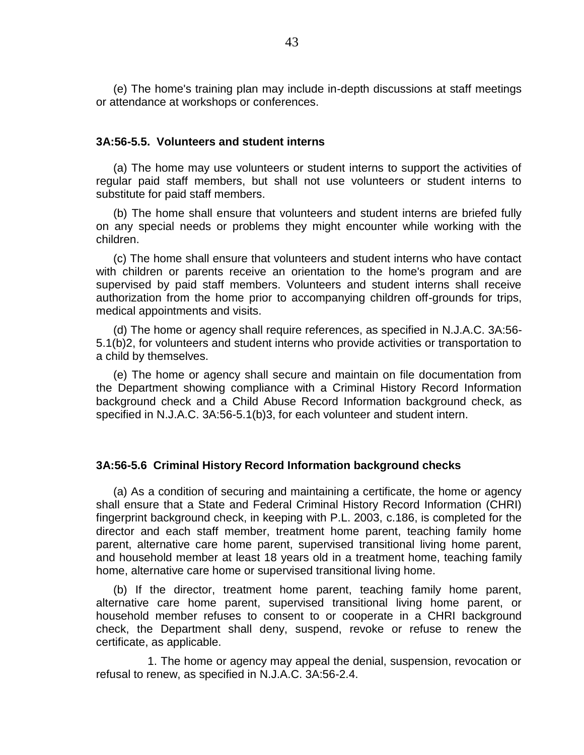(e) The home's training plan may include in-depth discussions at staff meetings or attendance at workshops or conferences.

#### **3A:56-5.5. Volunteers and student interns**

(a) The home may use volunteers or student interns to support the activities of regular paid staff members, but shall not use volunteers or student interns to substitute for paid staff members.

(b) The home shall ensure that volunteers and student interns are briefed fully on any special needs or problems they might encounter while working with the children.

(c) The home shall ensure that volunteers and student interns who have contact with children or parents receive an orientation to the home's program and are supervised by paid staff members. Volunteers and student interns shall receive authorization from the home prior to accompanying children off-grounds for trips, medical appointments and visits.

(d) The home or agency shall require references, as specified in N.J.A.C. 3A:56- 5.1(b)2, for volunteers and student interns who provide activities or transportation to a child by themselves.

(e) The home or agency shall secure and maintain on file documentation from the Department showing compliance with a Criminal History Record Information background check and a Child Abuse Record Information background check, as specified in N.J.A.C. 3A:56-5.1(b)3, for each volunteer and student intern.

#### **3A:56-5.6 Criminal History Record Information background checks**

(a) As a condition of securing and maintaining a certificate, the home or agency shall ensure that a State and Federal Criminal History Record Information (CHRI) fingerprint background check, in keeping with P.L. 2003, c.186, is completed for the director and each staff member, treatment home parent, teaching family home parent, alternative care home parent, supervised transitional living home parent, and household member at least 18 years old in a treatment home, teaching family home, alternative care home or supervised transitional living home.

(b) If the director, treatment home parent, teaching family home parent, alternative care home parent, supervised transitional living home parent, or household member refuses to consent to or cooperate in a CHRI background check, the Department shall deny, suspend, revoke or refuse to renew the certificate, as applicable.

1. The home or agency may appeal the denial, suspension, revocation or refusal to renew, as specified in N.J.A.C. 3A:56-2.4.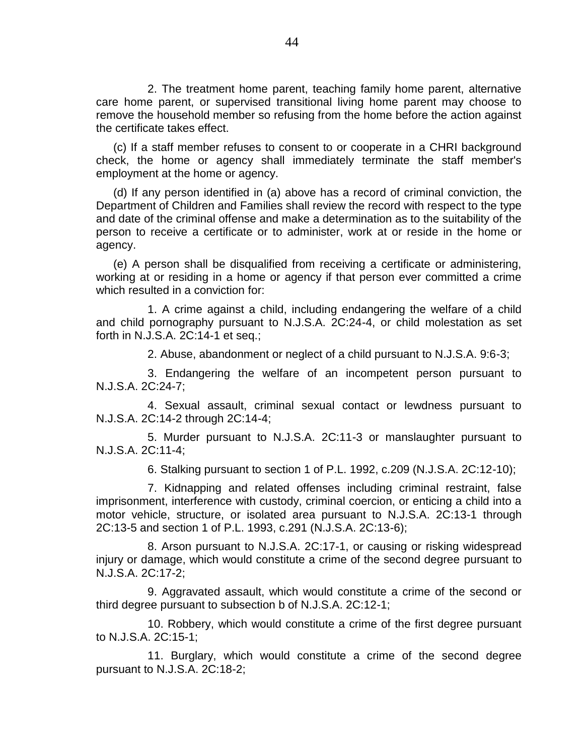2. The treatment home parent, teaching family home parent, alternative care home parent, or supervised transitional living home parent may choose to remove the household member so refusing from the home before the action against the certificate takes effect.

(c) If a staff member refuses to consent to or cooperate in a CHRI background check, the home or agency shall immediately terminate the staff member's employment at the home or agency.

(d) If any person identified in (a) above has a record of criminal conviction, the Department of Children and Families shall review the record with respect to the type and date of the criminal offense and make a determination as to the suitability of the person to receive a certificate or to administer, work at or reside in the home or agency.

(e) A person shall be disqualified from receiving a certificate or administering, working at or residing in a home or agency if that person ever committed a crime which resulted in a conviction for:

1. A crime against a child, including endangering the welfare of a child and child pornography pursuant to N.J.S.A. 2C:24-4, or child molestation as set forth in N.J.S.A. 2C:14-1 et seq.;

2. Abuse, abandonment or neglect of a child pursuant to N.J.S.A. 9:6-3;

3. Endangering the welfare of an incompetent person pursuant to N.J.S.A. 2C:24-7;

4. Sexual assault, criminal sexual contact or lewdness pursuant to N.J.S.A. 2C:14-2 through 2C:14-4;

5. Murder pursuant to N.J.S.A. 2C:11-3 or manslaughter pursuant to N.J.S.A. 2C:11-4;

6. Stalking pursuant to section 1 of P.L. 1992, c.209 (N.J.S.A. 2C:12-10);

7. Kidnapping and related offenses including criminal restraint, false imprisonment, interference with custody, criminal coercion, or enticing a child into a motor vehicle, structure, or isolated area pursuant to N.J.S.A. 2C:13-1 through 2C:13-5 and section 1 of P.L. 1993, c.291 (N.J.S.A. 2C:13-6);

8. Arson pursuant to N.J.S.A. 2C:17-1, or causing or risking widespread injury or damage, which would constitute a crime of the second degree pursuant to N.J.S.A. 2C:17-2;

9. Aggravated assault, which would constitute a crime of the second or third degree pursuant to subsection b of N.J.S.A. 2C:12-1;

10. Robbery, which would constitute a crime of the first degree pursuant to N.J.S.A. 2C:15-1;

11. Burglary, which would constitute a crime of the second degree pursuant to N.J.S.A. 2C:18-2;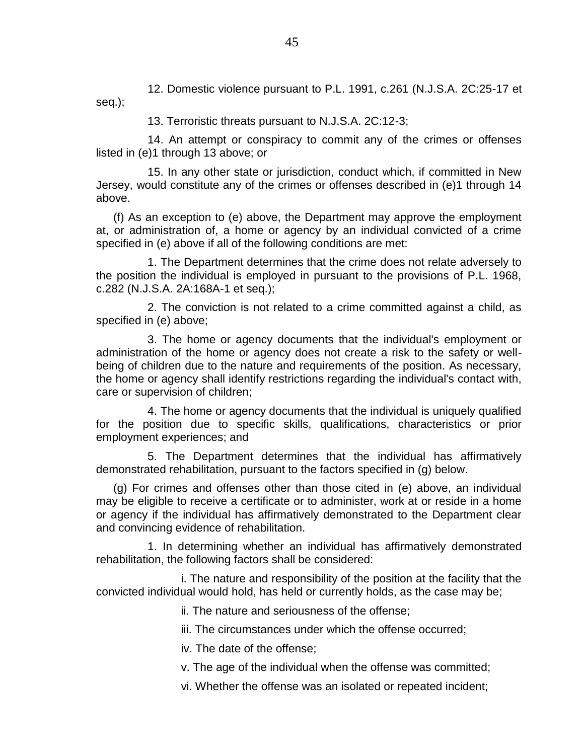12. Domestic violence pursuant to P.L. 1991, c.261 (N.J.S.A. 2C:25-17 et seq.);

13. Terroristic threats pursuant to N.J.S.A. 2C:12-3;

14. An attempt or conspiracy to commit any of the crimes or offenses listed in (e)1 through 13 above; or

15. In any other state or jurisdiction, conduct which, if committed in New Jersey, would constitute any of the crimes or offenses described in (e)1 through 14 above.

(f) As an exception to (e) above, the Department may approve the employment at, or administration of, a home or agency by an individual convicted of a crime specified in (e) above if all of the following conditions are met:

1. The Department determines that the crime does not relate adversely to the position the individual is employed in pursuant to the provisions of P.L. 1968, c.282 (N.J.S.A. 2A:168A-1 et seq.);

2. The conviction is not related to a crime committed against a child, as specified in (e) above;

3. The home or agency documents that the individual's employment or administration of the home or agency does not create a risk to the safety or wellbeing of children due to the nature and requirements of the position. As necessary, the home or agency shall identify restrictions regarding the individual's contact with, care or supervision of children;

4. The home or agency documents that the individual is uniquely qualified for the position due to specific skills, qualifications, characteristics or prior employment experiences; and

5. The Department determines that the individual has affirmatively demonstrated rehabilitation, pursuant to the factors specified in (g) below.

(g) For crimes and offenses other than those cited in (e) above, an individual may be eligible to receive a certificate or to administer, work at or reside in a home or agency if the individual has affirmatively demonstrated to the Department clear and convincing evidence of rehabilitation.

1. In determining whether an individual has affirmatively demonstrated rehabilitation, the following factors shall be considered:

i. The nature and responsibility of the position at the facility that the convicted individual would hold, has held or currently holds, as the case may be;

ii. The nature and seriousness of the offense;

iii. The circumstances under which the offense occurred;

iv. The date of the offense;

v. The age of the individual when the offense was committed;

vi. Whether the offense was an isolated or repeated incident;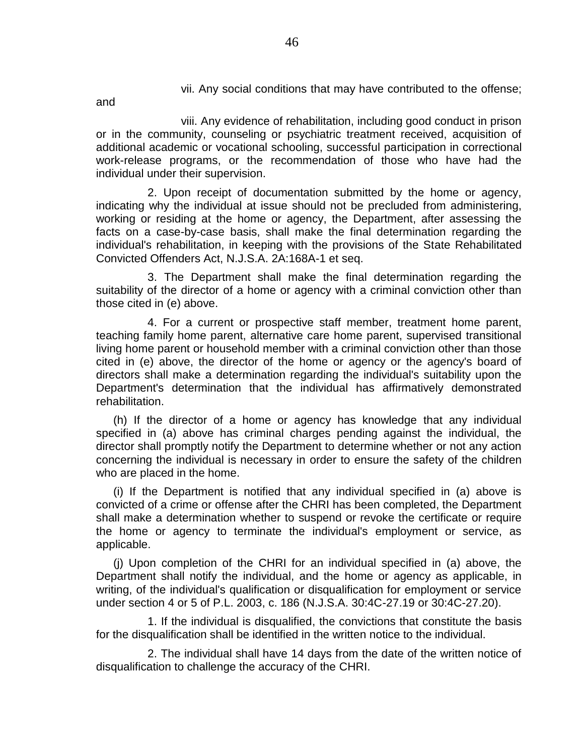vii. Any social conditions that may have contributed to the offense;

and

viii. Any evidence of rehabilitation, including good conduct in prison or in the community, counseling or psychiatric treatment received, acquisition of additional academic or vocational schooling, successful participation in correctional work-release programs, or the recommendation of those who have had the individual under their supervision.

2. Upon receipt of documentation submitted by the home or agency, indicating why the individual at issue should not be precluded from administering, working or residing at the home or agency, the Department, after assessing the facts on a case-by-case basis, shall make the final determination regarding the individual's rehabilitation, in keeping with the provisions of the State Rehabilitated Convicted Offenders Act, N.J.S.A. 2A:168A-1 et seq.

3. The Department shall make the final determination regarding the suitability of the director of a home or agency with a criminal conviction other than those cited in (e) above.

4. For a current or prospective staff member, treatment home parent, teaching family home parent, alternative care home parent, supervised transitional living home parent or household member with a criminal conviction other than those cited in (e) above, the director of the home or agency or the agency's board of directors shall make a determination regarding the individual's suitability upon the Department's determination that the individual has affirmatively demonstrated rehabilitation.

(h) If the director of a home or agency has knowledge that any individual specified in (a) above has criminal charges pending against the individual, the director shall promptly notify the Department to determine whether or not any action concerning the individual is necessary in order to ensure the safety of the children who are placed in the home.

(i) If the Department is notified that any individual specified in (a) above is convicted of a crime or offense after the CHRI has been completed, the Department shall make a determination whether to suspend or revoke the certificate or require the home or agency to terminate the individual's employment or service, as applicable.

(j) Upon completion of the CHRI for an individual specified in (a) above, the Department shall notify the individual, and the home or agency as applicable, in writing, of the individual's qualification or disqualification for employment or service under section 4 or 5 of P.L. 2003, c. 186 (N.J.S.A. 30:4C-27.19 or 30:4C-27.20).

1. If the individual is disqualified, the convictions that constitute the basis for the disqualification shall be identified in the written notice to the individual.

2. The individual shall have 14 days from the date of the written notice of disqualification to challenge the accuracy of the CHRI.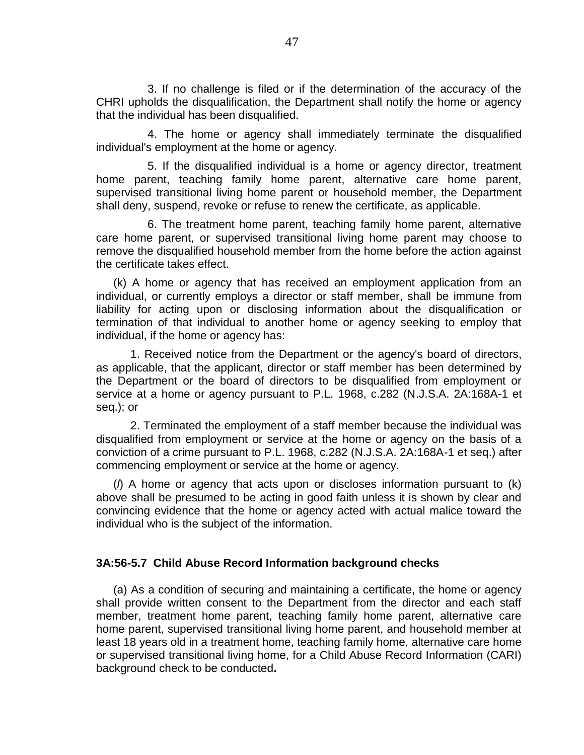3. If no challenge is filed or if the determination of the accuracy of the CHRI upholds the disqualification, the Department shall notify the home or agency that the individual has been disqualified.

4. The home or agency shall immediately terminate the disqualified individual's employment at the home or agency.

5. If the disqualified individual is a home or agency director, treatment home parent, teaching family home parent, alternative care home parent, supervised transitional living home parent or household member, the Department shall deny, suspend, revoke or refuse to renew the certificate, as applicable.

6. The treatment home parent, teaching family home parent, alternative care home parent, or supervised transitional living home parent may choose to remove the disqualified household member from the home before the action against the certificate takes effect.

(k) A home or agency that has received an employment application from an individual, or currently employs a director or staff member, shall be immune from liability for acting upon or disclosing information about the disqualification or termination of that individual to another home or agency seeking to employ that individual, if the home or agency has:

1. Received notice from the Department or the agency's board of directors, as applicable, that the applicant, director or staff member has been determined by the Department or the board of directors to be disqualified from employment or service at a home or agency pursuant to P.L. 1968, c.282 (N.J.S.A. 2A:168A-1 et seq.); or

2. Terminated the employment of a staff member because the individual was disqualified from employment or service at the home or agency on the basis of a conviction of a crime pursuant to P.L. 1968, c.282 (N.J.S.A. 2A:168A-1 et seq.) after commencing employment or service at the home or agency.

(*l*) A home or agency that acts upon or discloses information pursuant to (k) above shall be presumed to be acting in good faith unless it is shown by clear and convincing evidence that the home or agency acted with actual malice toward the individual who is the subject of the information.

#### **3A:56-5.7 Child Abuse Record Information background checks**

(a) As a condition of securing and maintaining a certificate, the home or agency shall provide written consent to the Department from the director and each staff member, treatment home parent, teaching family home parent, alternative care home parent, supervised transitional living home parent, and household member at least 18 years old in a treatment home, teaching family home, alternative care home or supervised transitional living home, for a Child Abuse Record Information (CARI) background check to be conducted**.**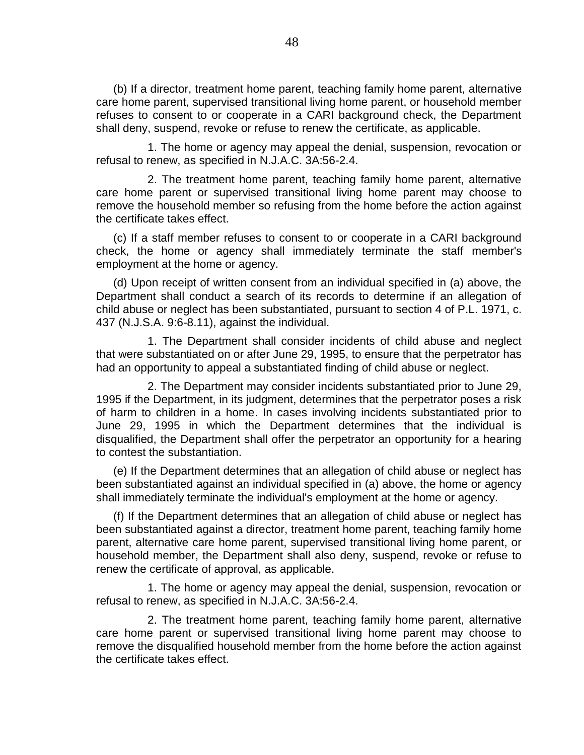(b) If a director, treatment home parent, teaching family home parent, alternative care home parent, supervised transitional living home parent, or household member refuses to consent to or cooperate in a CARI background check, the Department shall deny, suspend, revoke or refuse to renew the certificate, as applicable.

1. The home or agency may appeal the denial, suspension, revocation or refusal to renew, as specified in N.J.A.C. 3A:56-2.4.

2. The treatment home parent, teaching family home parent, alternative care home parent or supervised transitional living home parent may choose to remove the household member so refusing from the home before the action against the certificate takes effect.

(c) If a staff member refuses to consent to or cooperate in a CARI background check, the home or agency shall immediately terminate the staff member's employment at the home or agency.

(d) Upon receipt of written consent from an individual specified in (a) above, the Department shall conduct a search of its records to determine if an allegation of child abuse or neglect has been substantiated, pursuant to section 4 of P.L. 1971, c. 437 (N.J.S.A. 9:6-8.11), against the individual.

1. The Department shall consider incidents of child abuse and neglect that were substantiated on or after June 29, 1995, to ensure that the perpetrator has had an opportunity to appeal a substantiated finding of child abuse or neglect.

2. The Department may consider incidents substantiated prior to June 29, 1995 if the Department, in its judgment, determines that the perpetrator poses a risk of harm to children in a home. In cases involving incidents substantiated prior to June 29, 1995 in which the Department determines that the individual is disqualified, the Department shall offer the perpetrator an opportunity for a hearing to contest the substantiation.

(e) If the Department determines that an allegation of child abuse or neglect has been substantiated against an individual specified in (a) above, the home or agency shall immediately terminate the individual's employment at the home or agency.

(f) If the Department determines that an allegation of child abuse or neglect has been substantiated against a director, treatment home parent, teaching family home parent, alternative care home parent, supervised transitional living home parent, or household member, the Department shall also deny, suspend, revoke or refuse to renew the certificate of approval, as applicable.

1. The home or agency may appeal the denial, suspension, revocation or refusal to renew, as specified in N.J.A.C. 3A:56-2.4.

2. The treatment home parent, teaching family home parent, alternative care home parent or supervised transitional living home parent may choose to remove the disqualified household member from the home before the action against the certificate takes effect.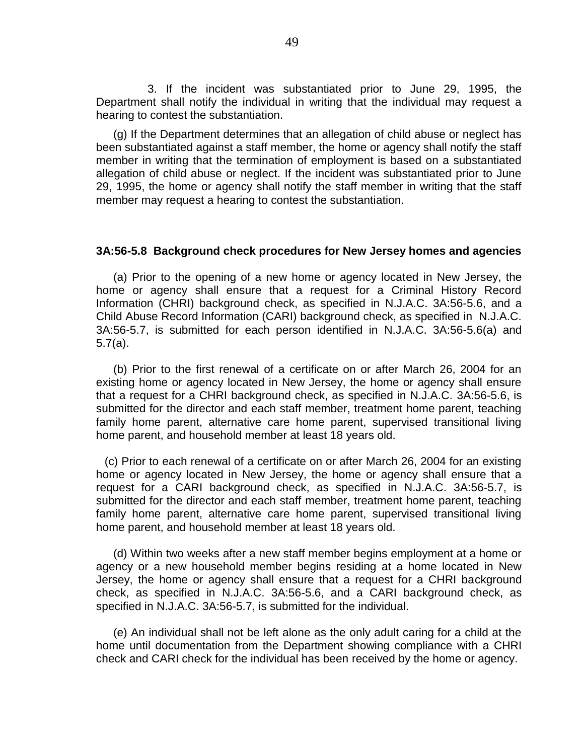3. If the incident was substantiated prior to June 29, 1995, the Department shall notify the individual in writing that the individual may request a hearing to contest the substantiation.

(g) If the Department determines that an allegation of child abuse or neglect has been substantiated against a staff member, the home or agency shall notify the staff member in writing that the termination of employment is based on a substantiated allegation of child abuse or neglect. If the incident was substantiated prior to June 29, 1995, the home or agency shall notify the staff member in writing that the staff member may request a hearing to contest the substantiation.

#### **3A:56-5.8 Background check procedures for New Jersey homes and agencies**

(a) Prior to the opening of a new home or agency located in New Jersey, the home or agency shall ensure that a request for a Criminal History Record Information (CHRI) background check, as specified in N.J.A.C. 3A:56-5.6, and a Child Abuse Record Information (CARI) background check, as specified in N.J.A.C. 3A:56-5.7, is submitted for each person identified in N.J.A.C. 3A:56-5.6(a) and 5.7(a).

(b) Prior to the first renewal of a certificate on or after March 26, 2004 for an existing home or agency located in New Jersey, the home or agency shall ensure that a request for a CHRI background check, as specified in N.J.A.C. 3A:56-5.6, is submitted for the director and each staff member, treatment home parent, teaching family home parent, alternative care home parent, supervised transitional living home parent, and household member at least 18 years old.

(c) Prior to each renewal of a certificate on or after March 26, 2004 for an existing home or agency located in New Jersey, the home or agency shall ensure that a request for a CARI background check, as specified in N.J.A.C. 3A:56-5.7, is submitted for the director and each staff member, treatment home parent, teaching family home parent, alternative care home parent, supervised transitional living home parent, and household member at least 18 years old.

(d) Within two weeks after a new staff member begins employment at a home or agency or a new household member begins residing at a home located in New Jersey, the home or agency shall ensure that a request for a CHRI background check, as specified in N.J.A.C. 3A:56-5.6, and a CARI background check, as specified in N.J.A.C. 3A:56-5.7, is submitted for the individual.

(e) An individual shall not be left alone as the only adult caring for a child at the home until documentation from the Department showing compliance with a CHRI check and CARI check for the individual has been received by the home or agency.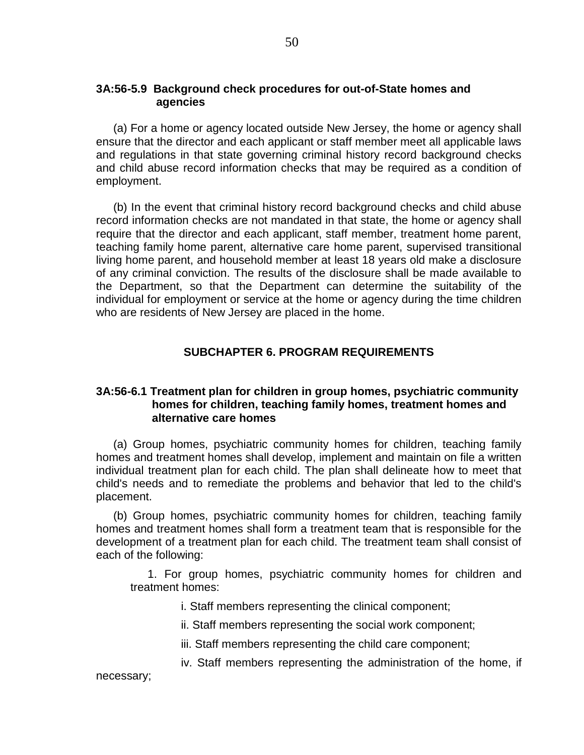## **3A:56-5.9 Background check procedures for out-of-State homes and agencies**

(a) For a home or agency located outside New Jersey, the home or agency shall ensure that the director and each applicant or staff member meet all applicable laws and regulations in that state governing criminal history record background checks and child abuse record information checks that may be required as a condition of employment.

(b) In the event that criminal history record background checks and child abuse record information checks are not mandated in that state, the home or agency shall require that the director and each applicant, staff member, treatment home parent, teaching family home parent, alternative care home parent, supervised transitional living home parent, and household member at least 18 years old make a disclosure of any criminal conviction. The results of the disclosure shall be made available to the Department, so that the Department can determine the suitability of the individual for employment or service at the home or agency during the time children who are residents of New Jersey are placed in the home.

# **SUBCHAPTER 6. PROGRAM REQUIREMENTS**

## **3A:56-6.1 Treatment plan for children in group homes, psychiatric community homes for children, teaching family homes, treatment homes and alternative care homes**

(a) Group homes, psychiatric community homes for children, teaching family homes and treatment homes shall develop, implement and maintain on file a written individual treatment plan for each child. The plan shall delineate how to meet that child's needs and to remediate the problems and behavior that led to the child's placement.

(b) Group homes, psychiatric community homes for children, teaching family homes and treatment homes shall form a treatment team that is responsible for the development of a treatment plan for each child. The treatment team shall consist of each of the following:

1. For group homes, psychiatric community homes for children and treatment homes:

i. Staff members representing the clinical component;

necessary;

- ii. Staff members representing the social work component;
- iii. Staff members representing the child care component;
- iv. Staff members representing the administration of the home, if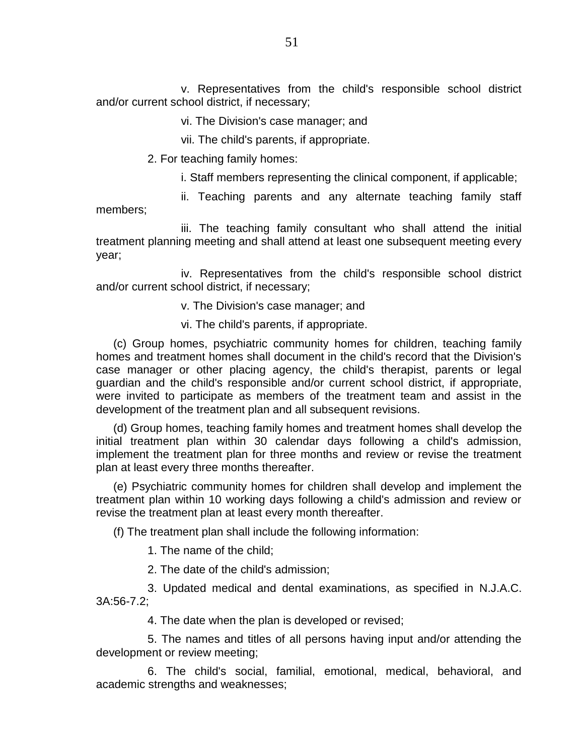v. Representatives from the child's responsible school district and/or current school district, if necessary;

vi. The Division's case manager; and

vii. The child's parents, if appropriate.

2. For teaching family homes:

i. Staff members representing the clinical component, if applicable;

ii. Teaching parents and any alternate teaching family staff members;

iii. The teaching family consultant who shall attend the initial treatment planning meeting and shall attend at least one subsequent meeting every year;

iv. Representatives from the child's responsible school district and/or current school district, if necessary;

v. The Division's case manager; and

vi. The child's parents, if appropriate.

(c) Group homes, psychiatric community homes for children, teaching family homes and treatment homes shall document in the child's record that the Division's case manager or other placing agency, the child's therapist, parents or legal guardian and the child's responsible and/or current school district, if appropriate, were invited to participate as members of the treatment team and assist in the development of the treatment plan and all subsequent revisions.

(d) Group homes, teaching family homes and treatment homes shall develop the initial treatment plan within 30 calendar days following a child's admission, implement the treatment plan for three months and review or revise the treatment plan at least every three months thereafter.

(e) Psychiatric community homes for children shall develop and implement the treatment plan within 10 working days following a child's admission and review or revise the treatment plan at least every month thereafter.

(f) The treatment plan shall include the following information:

1. The name of the child;

2. The date of the child's admission;

3. Updated medical and dental examinations, as specified in N.J.A.C. 3A:56-7.2;

4. The date when the plan is developed or revised;

5. The names and titles of all persons having input and/or attending the development or review meeting;

6. The child's social, familial, emotional, medical, behavioral, and academic strengths and weaknesses;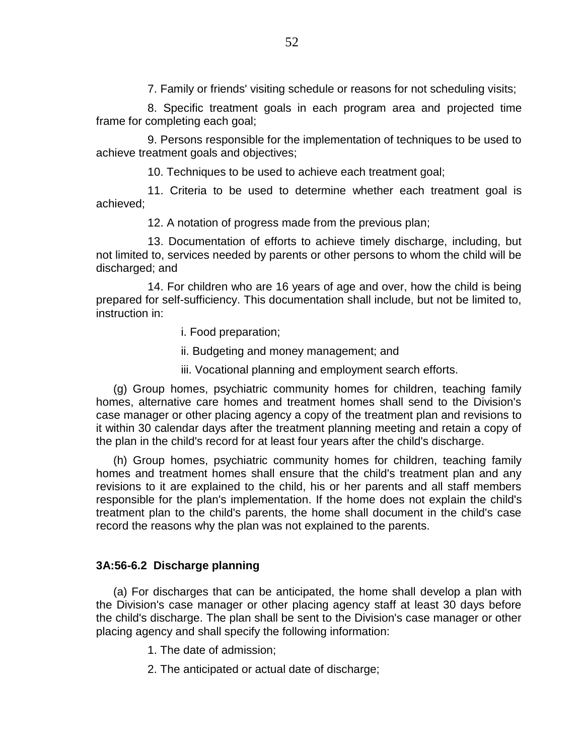7. Family or friends' visiting schedule or reasons for not scheduling visits;

8. Specific treatment goals in each program area and projected time frame for completing each goal;

9. Persons responsible for the implementation of techniques to be used to achieve treatment goals and objectives;

10. Techniques to be used to achieve each treatment goal;

11. Criteria to be used to determine whether each treatment goal is achieved;

12. A notation of progress made from the previous plan;

13. Documentation of efforts to achieve timely discharge, including, but not limited to, services needed by parents or other persons to whom the child will be discharged; and

14. For children who are 16 years of age and over, how the child is being prepared for self-sufficiency. This documentation shall include, but not be limited to, instruction in:

- i. Food preparation;
- ii. Budgeting and money management; and
- iii. Vocational planning and employment search efforts.

(g) Group homes, psychiatric community homes for children, teaching family homes, alternative care homes and treatment homes shall send to the Division's case manager or other placing agency a copy of the treatment plan and revisions to it within 30 calendar days after the treatment planning meeting and retain a copy of the plan in the child's record for at least four years after the child's discharge.

(h) Group homes, psychiatric community homes for children, teaching family homes and treatment homes shall ensure that the child's treatment plan and any revisions to it are explained to the child, his or her parents and all staff members responsible for the plan's implementation. If the home does not explain the child's treatment plan to the child's parents, the home shall document in the child's case record the reasons why the plan was not explained to the parents.

## **3A:56-6.2 Discharge planning**

(a) For discharges that can be anticipated, the home shall develop a plan with the Division's case manager or other placing agency staff at least 30 days before the child's discharge. The plan shall be sent to the Division's case manager or other placing agency and shall specify the following information:

- 1. The date of admission;
- 2. The anticipated or actual date of discharge;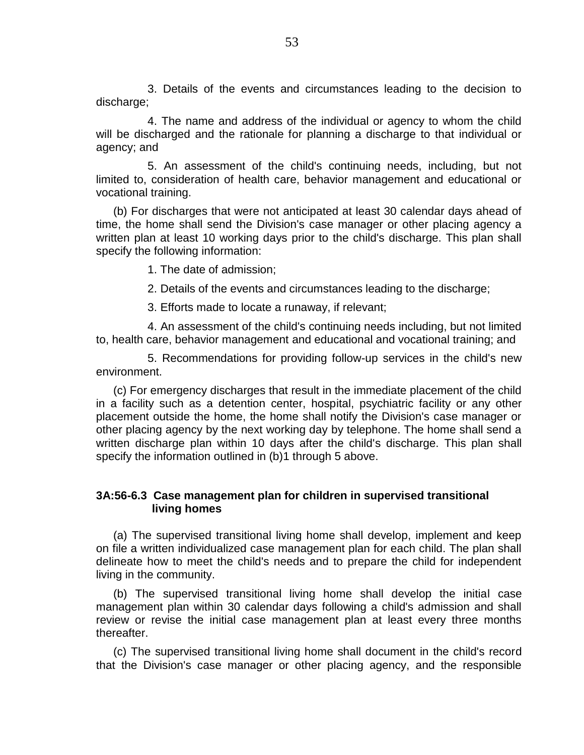3. Details of the events and circumstances leading to the decision to discharge;

4. The name and address of the individual or agency to whom the child will be discharged and the rationale for planning a discharge to that individual or agency; and

5. An assessment of the child's continuing needs, including, but not limited to, consideration of health care, behavior management and educational or vocational training.

(b) For discharges that were not anticipated at least 30 calendar days ahead of time, the home shall send the Division's case manager or other placing agency a written plan at least 10 working days prior to the child's discharge. This plan shall specify the following information:

1. The date of admission;

2. Details of the events and circumstances leading to the discharge;

3. Efforts made to locate a runaway, if relevant;

4. An assessment of the child's continuing needs including, but not limited to, health care, behavior management and educational and vocational training; and

5. Recommendations for providing follow-up services in the child's new environment.

(c) For emergency discharges that result in the immediate placement of the child in a facility such as a detention center, hospital, psychiatric facility or any other placement outside the home, the home shall notify the Division's case manager or other placing agency by the next working day by telephone. The home shall send a written discharge plan within 10 days after the child's discharge. This plan shall specify the information outlined in (b)1 through 5 above.

## **3A:56-6.3 Case management plan for children in supervised transitional living homes**

(a) The supervised transitional living home shall develop, implement and keep on file a written individualized case management plan for each child. The plan shall delineate how to meet the child's needs and to prepare the child for independent living in the community.

(b) The supervised transitional living home shall develop the initial case management plan within 30 calendar days following a child's admission and shall review or revise the initial case management plan at least every three months thereafter.

(c) The supervised transitional living home shall document in the child's record that the Division's case manager or other placing agency, and the responsible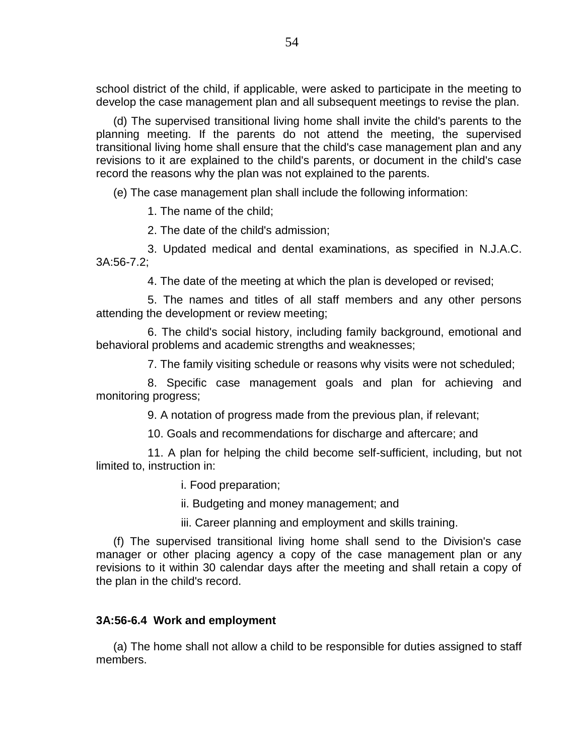school district of the child, if applicable, were asked to participate in the meeting to develop the case management plan and all subsequent meetings to revise the plan.

(d) The supervised transitional living home shall invite the child's parents to the planning meeting. If the parents do not attend the meeting, the supervised transitional living home shall ensure that the child's case management plan and any revisions to it are explained to the child's parents, or document in the child's case record the reasons why the plan was not explained to the parents.

(e) The case management plan shall include the following information:

1. The name of the child;

2. The date of the child's admission;

3. Updated medical and dental examinations, as specified in N.J.A.C. 3A:56-7.2;

4. The date of the meeting at which the plan is developed or revised;

5. The names and titles of all staff members and any other persons attending the development or review meeting;

6. The child's social history, including family background, emotional and behavioral problems and academic strengths and weaknesses;

7. The family visiting schedule or reasons why visits were not scheduled;

8. Specific case management goals and plan for achieving and monitoring progress;

9. A notation of progress made from the previous plan, if relevant;

10. Goals and recommendations for discharge and aftercare; and

11. A plan for helping the child become self-sufficient, including, but not limited to, instruction in:

i. Food preparation;

ii. Budgeting and money management; and

iii. Career planning and employment and skills training.

(f) The supervised transitional living home shall send to the Division's case manager or other placing agency a copy of the case management plan or any revisions to it within 30 calendar days after the meeting and shall retain a copy of the plan in the child's record.

# **3A:56-6.4 Work and employment**

(a) The home shall not allow a child to be responsible for duties assigned to staff members.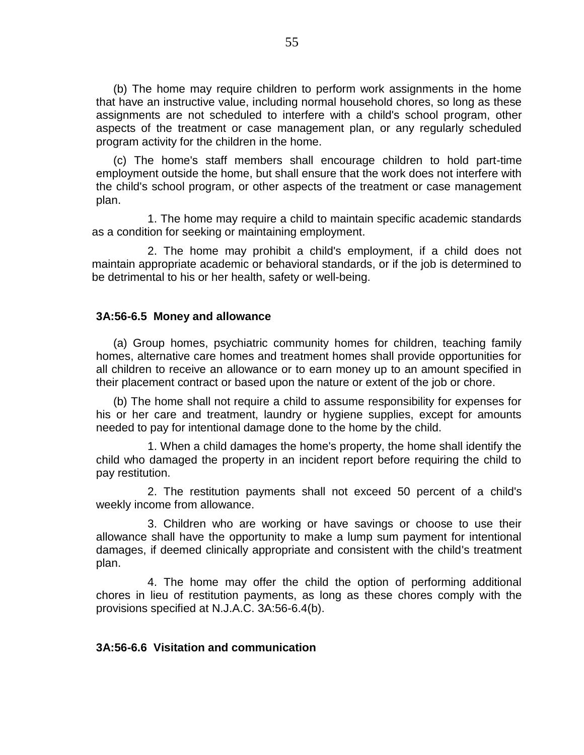(b) The home may require children to perform work assignments in the home that have an instructive value, including normal household chores, so long as these assignments are not scheduled to interfere with a child's school program, other aspects of the treatment or case management plan, or any regularly scheduled program activity for the children in the home.

(c) The home's staff members shall encourage children to hold part-time employment outside the home, but shall ensure that the work does not interfere with the child's school program, or other aspects of the treatment or case management plan.

1. The home may require a child to maintain specific academic standards as a condition for seeking or maintaining employment.

2. The home may prohibit a child's employment, if a child does not maintain appropriate academic or behavioral standards, or if the job is determined to be detrimental to his or her health, safety or well-being.

### **3A:56-6.5 Money and allowance**

(a) Group homes, psychiatric community homes for children, teaching family homes, alternative care homes and treatment homes shall provide opportunities for all children to receive an allowance or to earn money up to an amount specified in their placement contract or based upon the nature or extent of the job or chore.

(b) The home shall not require a child to assume responsibility for expenses for his or her care and treatment, laundry or hygiene supplies, except for amounts needed to pay for intentional damage done to the home by the child.

1. When a child damages the home's property, the home shall identify the child who damaged the property in an incident report before requiring the child to pay restitution.

2. The restitution payments shall not exceed 50 percent of a child's weekly income from allowance.

3. Children who are working or have savings or choose to use their allowance shall have the opportunity to make a lump sum payment for intentional damages, if deemed clinically appropriate and consistent with the child's treatment plan.

4. The home may offer the child the option of performing additional chores in lieu of restitution payments, as long as these chores comply with the provisions specified at N.J.A.C. 3A:56-6.4(b).

## **3A:56-6.6 Visitation and communication**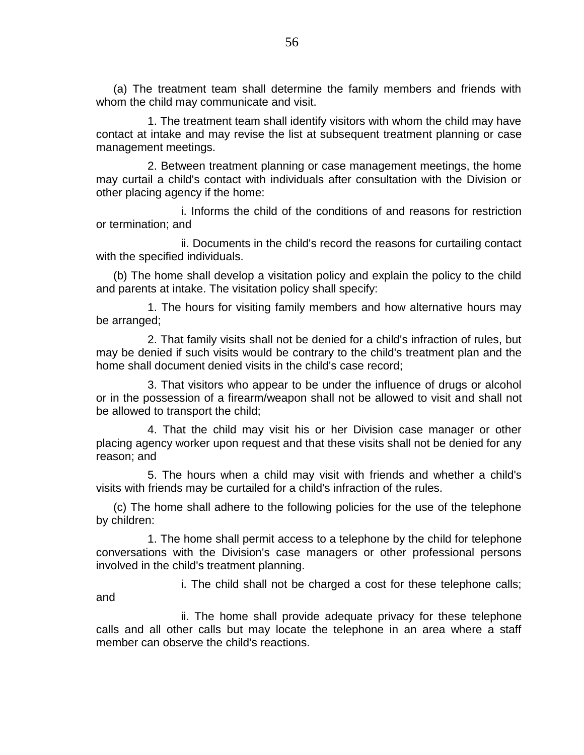(a) The treatment team shall determine the family members and friends with whom the child may communicate and visit.

1. The treatment team shall identify visitors with whom the child may have contact at intake and may revise the list at subsequent treatment planning or case management meetings.

2. Between treatment planning or case management meetings, the home may curtail a child's contact with individuals after consultation with the Division or other placing agency if the home:

i. Informs the child of the conditions of and reasons for restriction or termination; and

ii. Documents in the child's record the reasons for curtailing contact with the specified individuals.

(b) The home shall develop a visitation policy and explain the policy to the child and parents at intake. The visitation policy shall specify:

1. The hours for visiting family members and how alternative hours may be arranged;

2. That family visits shall not be denied for a child's infraction of rules, but may be denied if such visits would be contrary to the child's treatment plan and the home shall document denied visits in the child's case record;

3. That visitors who appear to be under the influence of drugs or alcohol or in the possession of a firearm/weapon shall not be allowed to visit and shall not be allowed to transport the child;

4. That the child may visit his or her Division case manager or other placing agency worker upon request and that these visits shall not be denied for any reason; and

5. The hours when a child may visit with friends and whether a child's visits with friends may be curtailed for a child's infraction of the rules.

(c) The home shall adhere to the following policies for the use of the telephone by children:

1. The home shall permit access to a telephone by the child for telephone conversations with the Division's case managers or other professional persons involved in the child's treatment planning.

i. The child shall not be charged a cost for these telephone calls;

and

ii. The home shall provide adequate privacy for these telephone calls and all other calls but may locate the telephone in an area where a staff member can observe the child's reactions.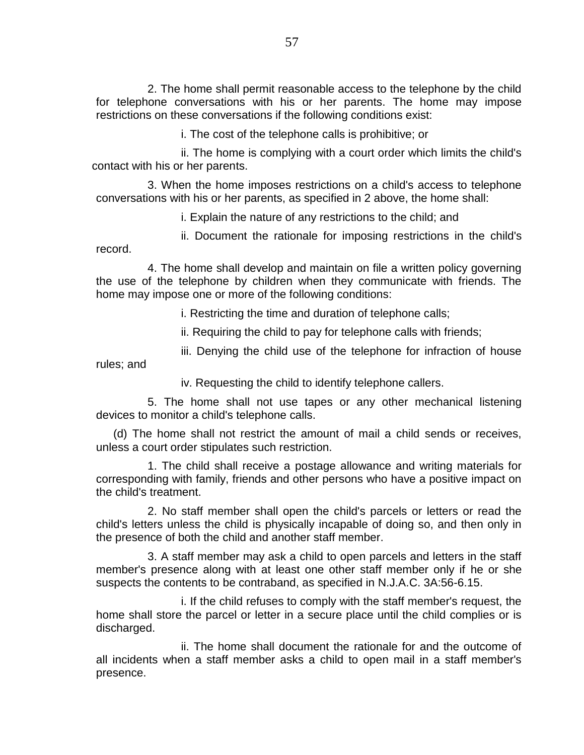2. The home shall permit reasonable access to the telephone by the child for telephone conversations with his or her parents. The home may impose restrictions on these conversations if the following conditions exist:

i. The cost of the telephone calls is prohibitive; or

ii. The home is complying with a court order which limits the child's contact with his or her parents.

3. When the home imposes restrictions on a child's access to telephone conversations with his or her parents, as specified in 2 above, the home shall:

i. Explain the nature of any restrictions to the child; and

ii. Document the rationale for imposing restrictions in the child's record.

4. The home shall develop and maintain on file a written policy governing the use of the telephone by children when they communicate with friends. The home may impose one or more of the following conditions:

i. Restricting the time and duration of telephone calls;

ii. Requiring the child to pay for telephone calls with friends;

iii. Denying the child use of the telephone for infraction of house

rules; and

iv. Requesting the child to identify telephone callers.

5. The home shall not use tapes or any other mechanical listening devices to monitor a child's telephone calls.

(d) The home shall not restrict the amount of mail a child sends or receives, unless a court order stipulates such restriction.

1. The child shall receive a postage allowance and writing materials for corresponding with family, friends and other persons who have a positive impact on the child's treatment.

2. No staff member shall open the child's parcels or letters or read the child's letters unless the child is physically incapable of doing so, and then only in the presence of both the child and another staff member.

3. A staff member may ask a child to open parcels and letters in the staff member's presence along with at least one other staff member only if he or she suspects the contents to be contraband, as specified in N.J.A.C. 3A:56-6.15.

i. If the child refuses to comply with the staff member's request, the home shall store the parcel or letter in a secure place until the child complies or is discharged.

ii. The home shall document the rationale for and the outcome of all incidents when a staff member asks a child to open mail in a staff member's presence.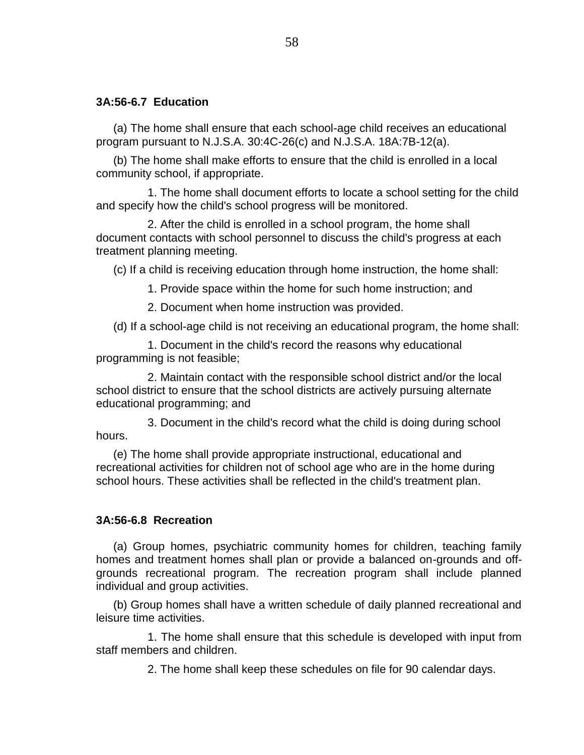## **3A:56-6.7 Education**

(a) The home shall ensure that each school-age child receives an educational program pursuant to N.J.S.A. 30:4C-26(c) and N.J.S.A. 18A:7B-12(a).

(b) The home shall make efforts to ensure that the child is enrolled in a local community school, if appropriate.

1. The home shall document efforts to locate a school setting for the child and specify how the child's school progress will be monitored.

2. After the child is enrolled in a school program, the home shall document contacts with school personnel to discuss the child's progress at each treatment planning meeting.

(c) If a child is receiving education through home instruction, the home shall:

1. Provide space within the home for such home instruction; and

2. Document when home instruction was provided.

(d) If a school-age child is not receiving an educational program, the home shall:

1. Document in the child's record the reasons why educational programming is not feasible;

2. Maintain contact with the responsible school district and/or the local school district to ensure that the school districts are actively pursuing alternate educational programming; and

3. Document in the child's record what the child is doing during school hours.

(e) The home shall provide appropriate instructional, educational and recreational activities for children not of school age who are in the home during school hours. These activities shall be reflected in the child's treatment plan.

## **3A:56-6.8 Recreation**

(a) Group homes, psychiatric community homes for children, teaching family homes and treatment homes shall plan or provide a balanced on-grounds and offgrounds recreational program. The recreation program shall include planned individual and group activities.

(b) Group homes shall have a written schedule of daily planned recreational and leisure time activities.

1. The home shall ensure that this schedule is developed with input from staff members and children.

2. The home shall keep these schedules on file for 90 calendar days.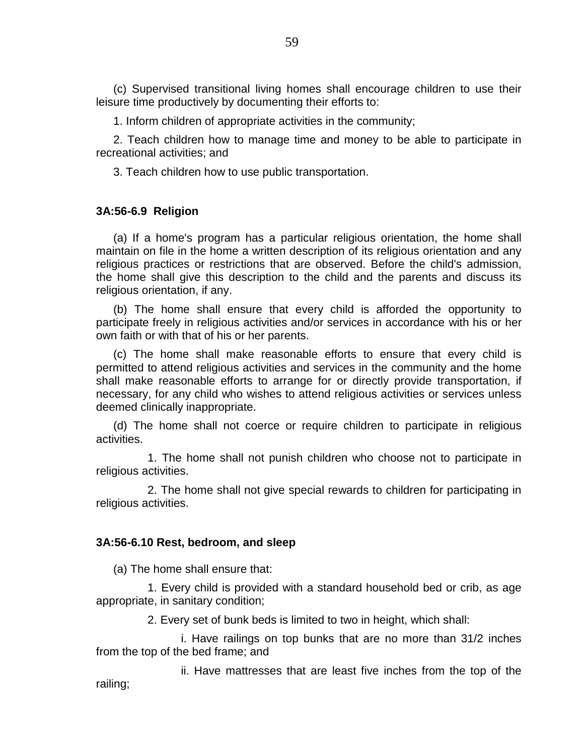(c) Supervised transitional living homes shall encourage children to use their leisure time productively by documenting their efforts to:

1. Inform children of appropriate activities in the community;

2. Teach children how to manage time and money to be able to participate in recreational activities; and

3. Teach children how to use public transportation.

## **3A:56-6.9 Religion**

(a) If a home's program has a particular religious orientation, the home shall maintain on file in the home a written description of its religious orientation and any religious practices or restrictions that are observed. Before the child's admission, the home shall give this description to the child and the parents and discuss its religious orientation, if any.

(b) The home shall ensure that every child is afforded the opportunity to participate freely in religious activities and/or services in accordance with his or her own faith or with that of his or her parents.

(c) The home shall make reasonable efforts to ensure that every child is permitted to attend religious activities and services in the community and the home shall make reasonable efforts to arrange for or directly provide transportation, if necessary, for any child who wishes to attend religious activities or services unless deemed clinically inappropriate.

(d) The home shall not coerce or require children to participate in religious activities.

1. The home shall not punish children who choose not to participate in religious activities.

2. The home shall not give special rewards to children for participating in religious activities.

#### **3A:56-6.10 Rest, bedroom, and sleep**

(a) The home shall ensure that:

1. Every child is provided with a standard household bed or crib, as age appropriate, in sanitary condition;

2. Every set of bunk beds is limited to two in height, which shall:

i. Have railings on top bunks that are no more than 31/2 inches from the top of the bed frame; and

ii. Have mattresses that are least five inches from the top of the railing;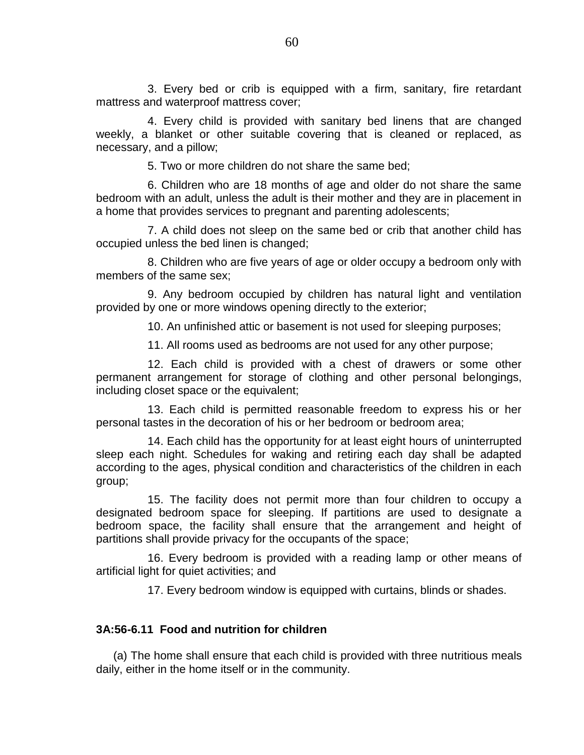3. Every bed or crib is equipped with a firm, sanitary, fire retardant mattress and waterproof mattress cover;

4. Every child is provided with sanitary bed linens that are changed weekly, a blanket or other suitable covering that is cleaned or replaced, as necessary, and a pillow;

5. Two or more children do not share the same bed;

6. Children who are 18 months of age and older do not share the same bedroom with an adult, unless the adult is their mother and they are in placement in a home that provides services to pregnant and parenting adolescents;

7. A child does not sleep on the same bed or crib that another child has occupied unless the bed linen is changed;

8. Children who are five years of age or older occupy a bedroom only with members of the same sex;

9. Any bedroom occupied by children has natural light and ventilation provided by one or more windows opening directly to the exterior;

10. An unfinished attic or basement is not used for sleeping purposes;

11. All rooms used as bedrooms are not used for any other purpose;

12. Each child is provided with a chest of drawers or some other permanent arrangement for storage of clothing and other personal belongings, including closet space or the equivalent;

13. Each child is permitted reasonable freedom to express his or her personal tastes in the decoration of his or her bedroom or bedroom area;

14. Each child has the opportunity for at least eight hours of uninterrupted sleep each night. Schedules for waking and retiring each day shall be adapted according to the ages, physical condition and characteristics of the children in each group;

15. The facility does not permit more than four children to occupy a designated bedroom space for sleeping. If partitions are used to designate a bedroom space, the facility shall ensure that the arrangement and height of partitions shall provide privacy for the occupants of the space;

16. Every bedroom is provided with a reading lamp or other means of artificial light for quiet activities; and

17. Every bedroom window is equipped with curtains, blinds or shades.

# **3A:56-6.11 Food and nutrition for children**

(a) The home shall ensure that each child is provided with three nutritious meals daily, either in the home itself or in the community.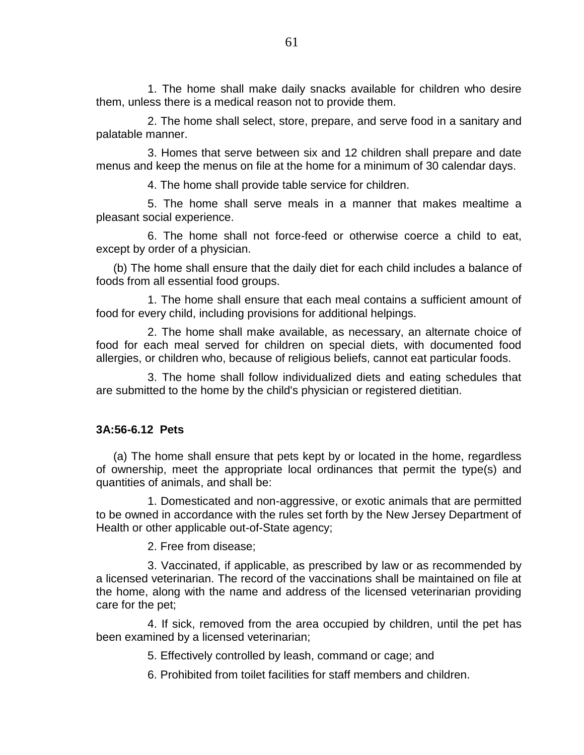1. The home shall make daily snacks available for children who desire them, unless there is a medical reason not to provide them.

2. The home shall select, store, prepare, and serve food in a sanitary and palatable manner.

3. Homes that serve between six and 12 children shall prepare and date menus and keep the menus on file at the home for a minimum of 30 calendar days.

4. The home shall provide table service for children.

5. The home shall serve meals in a manner that makes mealtime a pleasant social experience.

6. The home shall not force-feed or otherwise coerce a child to eat, except by order of a physician.

(b) The home shall ensure that the daily diet for each child includes a balance of foods from all essential food groups.

1. The home shall ensure that each meal contains a sufficient amount of food for every child, including provisions for additional helpings.

2. The home shall make available, as necessary, an alternate choice of food for each meal served for children on special diets, with documented food allergies, or children who, because of religious beliefs, cannot eat particular foods.

3. The home shall follow individualized diets and eating schedules that are submitted to the home by the child's physician or registered dietitian.

## **3A:56-6.12 Pets**

(a) The home shall ensure that pets kept by or located in the home, regardless of ownership, meet the appropriate local ordinances that permit the type(s) and quantities of animals, and shall be:

1. Domesticated and non-aggressive, or exotic animals that are permitted to be owned in accordance with the rules set forth by the New Jersey Department of Health or other applicable out-of-State agency;

2. Free from disease;

3. Vaccinated, if applicable, as prescribed by law or as recommended by a licensed veterinarian. The record of the vaccinations shall be maintained on file at the home, along with the name and address of the licensed veterinarian providing care for the pet;

4. If sick, removed from the area occupied by children, until the pet has been examined by a licensed veterinarian;

5. Effectively controlled by leash, command or cage; and

6. Prohibited from toilet facilities for staff members and children.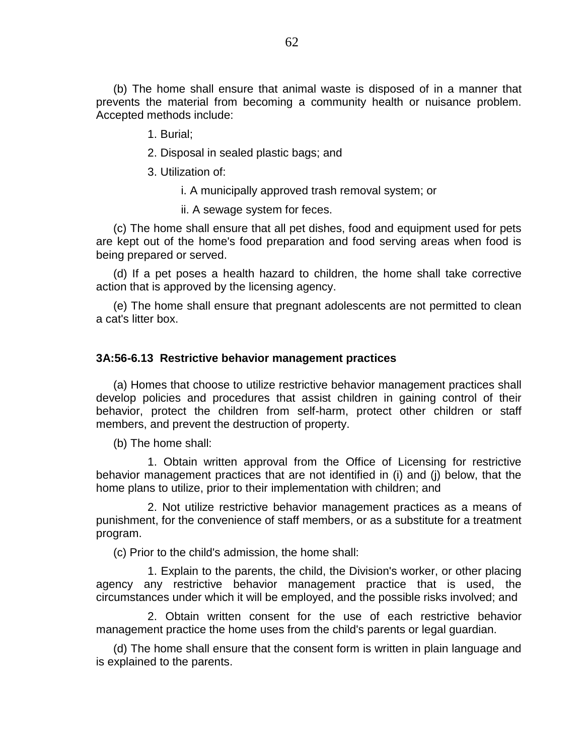(b) The home shall ensure that animal waste is disposed of in a manner that prevents the material from becoming a community health or nuisance problem. Accepted methods include:

1. Burial;

2. Disposal in sealed plastic bags; and

3. Utilization of:

i. A municipally approved trash removal system; or

ii. A sewage system for feces.

(c) The home shall ensure that all pet dishes, food and equipment used for pets are kept out of the home's food preparation and food serving areas when food is being prepared or served.

(d) If a pet poses a health hazard to children, the home shall take corrective action that is approved by the licensing agency.

(e) The home shall ensure that pregnant adolescents are not permitted to clean a cat's litter box.

#### **3A:56-6.13 Restrictive behavior management practices**

(a) Homes that choose to utilize restrictive behavior management practices shall develop policies and procedures that assist children in gaining control of their behavior, protect the children from self-harm, protect other children or staff members, and prevent the destruction of property.

(b) The home shall:

1. Obtain written approval from the Office of Licensing for restrictive behavior management practices that are not identified in (i) and (j) below, that the home plans to utilize, prior to their implementation with children; and

2. Not utilize restrictive behavior management practices as a means of punishment, for the convenience of staff members, or as a substitute for a treatment program.

(c) Prior to the child's admission, the home shall:

1. Explain to the parents, the child, the Division's worker, or other placing agency any restrictive behavior management practice that is used, the circumstances under which it will be employed, and the possible risks involved; and

2. Obtain written consent for the use of each restrictive behavior management practice the home uses from the child's parents or legal guardian.

(d) The home shall ensure that the consent form is written in plain language and is explained to the parents.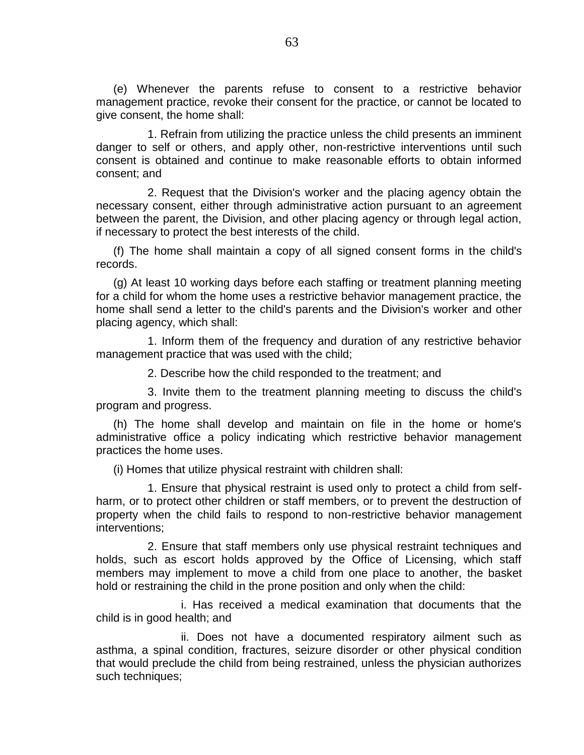(e) Whenever the parents refuse to consent to a restrictive behavior management practice, revoke their consent for the practice, or cannot be located to give consent, the home shall:

1. Refrain from utilizing the practice unless the child presents an imminent danger to self or others, and apply other, non-restrictive interventions until such consent is obtained and continue to make reasonable efforts to obtain informed consent; and

2. Request that the Division's worker and the placing agency obtain the necessary consent, either through administrative action pursuant to an agreement between the parent, the Division, and other placing agency or through legal action, if necessary to protect the best interests of the child.

(f) The home shall maintain a copy of all signed consent forms in the child's records.

(g) At least 10 working days before each staffing or treatment planning meeting for a child for whom the home uses a restrictive behavior management practice, the home shall send a letter to the child's parents and the Division's worker and other placing agency, which shall:

1. Inform them of the frequency and duration of any restrictive behavior management practice that was used with the child;

2. Describe how the child responded to the treatment; and

3. Invite them to the treatment planning meeting to discuss the child's program and progress.

(h) The home shall develop and maintain on file in the home or home's administrative office a policy indicating which restrictive behavior management practices the home uses.

(i) Homes that utilize physical restraint with children shall:

1. Ensure that physical restraint is used only to protect a child from selfharm, or to protect other children or staff members, or to prevent the destruction of property when the child fails to respond to non-restrictive behavior management interventions;

2. Ensure that staff members only use physical restraint techniques and holds, such as escort holds approved by the Office of Licensing, which staff members may implement to move a child from one place to another, the basket hold or restraining the child in the prone position and only when the child:

i. Has received a medical examination that documents that the child is in good health; and

ii. Does not have a documented respiratory ailment such as asthma, a spinal condition, fractures, seizure disorder or other physical condition that would preclude the child from being restrained, unless the physician authorizes such techniques;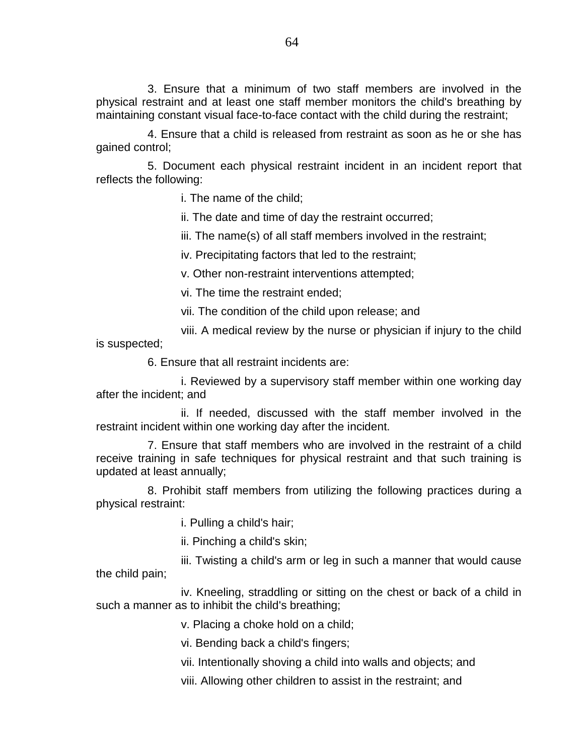3. Ensure that a minimum of two staff members are involved in the physical restraint and at least one staff member monitors the child's breathing by maintaining constant visual face-to-face contact with the child during the restraint;

4. Ensure that a child is released from restraint as soon as he or she has gained control;

5. Document each physical restraint incident in an incident report that reflects the following:

i. The name of the child;

ii. The date and time of day the restraint occurred;

iii. The name(s) of all staff members involved in the restraint;

iv. Precipitating factors that led to the restraint;

v. Other non-restraint interventions attempted;

vi. The time the restraint ended;

vii. The condition of the child upon release; and

viii. A medical review by the nurse or physician if injury to the child is suspected;

6. Ensure that all restraint incidents are:

i. Reviewed by a supervisory staff member within one working day after the incident; and

ii. If needed, discussed with the staff member involved in the restraint incident within one working day after the incident.

7. Ensure that staff members who are involved in the restraint of a child receive training in safe techniques for physical restraint and that such training is updated at least annually;

8. Prohibit staff members from utilizing the following practices during a physical restraint:

i. Pulling a child's hair;

ii. Pinching a child's skin;

iii. Twisting a child's arm or leg in such a manner that would cause the child pain;

iv. Kneeling, straddling or sitting on the chest or back of a child in such a manner as to inhibit the child's breathing;

v. Placing a choke hold on a child;

vi. Bending back a child's fingers;

vii. Intentionally shoving a child into walls and objects; and

viii. Allowing other children to assist in the restraint; and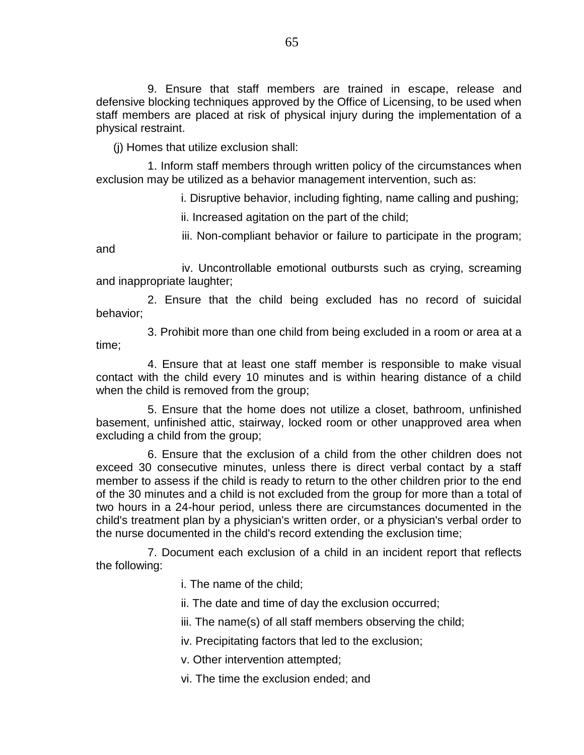9. Ensure that staff members are trained in escape, release and defensive blocking techniques approved by the Office of Licensing, to be used when staff members are placed at risk of physical injury during the implementation of a physical restraint.

(j) Homes that utilize exclusion shall:

1. Inform staff members through written policy of the circumstances when exclusion may be utilized as a behavior management intervention, such as:

i. Disruptive behavior, including fighting, name calling and pushing;

ii. Increased agitation on the part of the child;

iii. Non-compliant behavior or failure to participate in the program; and

iv. Uncontrollable emotional outbursts such as crying, screaming and inappropriate laughter;

2. Ensure that the child being excluded has no record of suicidal behavior;

3. Prohibit more than one child from being excluded in a room or area at a time;

4. Ensure that at least one staff member is responsible to make visual contact with the child every 10 minutes and is within hearing distance of a child when the child is removed from the group;

5. Ensure that the home does not utilize a closet, bathroom, unfinished basement, unfinished attic, stairway, locked room or other unapproved area when excluding a child from the group;

6. Ensure that the exclusion of a child from the other children does not exceed 30 consecutive minutes, unless there is direct verbal contact by a staff member to assess if the child is ready to return to the other children prior to the end of the 30 minutes and a child is not excluded from the group for more than a total of two hours in a 24-hour period, unless there are circumstances documented in the child's treatment plan by a physician's written order, or a physician's verbal order to the nurse documented in the child's record extending the exclusion time;

7. Document each exclusion of a child in an incident report that reflects the following:

i. The name of the child;

ii. The date and time of day the exclusion occurred;

iii. The name(s) of all staff members observing the child;

iv. Precipitating factors that led to the exclusion;

v. Other intervention attempted;

vi. The time the exclusion ended; and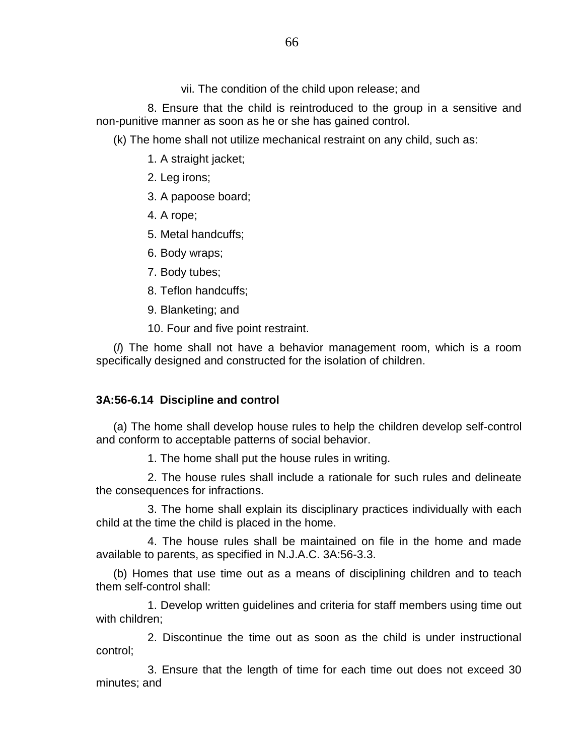vii. The condition of the child upon release; and

8. Ensure that the child is reintroduced to the group in a sensitive and non-punitive manner as soon as he or she has gained control.

(k) The home shall not utilize mechanical restraint on any child, such as:

1. A straight jacket;

- 2. Leg irons;
- 3. A papoose board;
- 4. A rope;
- 5. Metal handcuffs;
- 6. Body wraps;
- 7. Body tubes;
- 8. Teflon handcuffs;
- 9. Blanketing; and
- 10. Four and five point restraint.

(*l*) The home shall not have a behavior management room, which is a room specifically designed and constructed for the isolation of children.

# **3A:56-6.14 Discipline and control**

(a) The home shall develop house rules to help the children develop self-control and conform to acceptable patterns of social behavior.

1. The home shall put the house rules in writing.

2. The house rules shall include a rationale for such rules and delineate the consequences for infractions.

3. The home shall explain its disciplinary practices individually with each child at the time the child is placed in the home.

4. The house rules shall be maintained on file in the home and made available to parents, as specified in N.J.A.C. 3A:56-3.3.

(b) Homes that use time out as a means of disciplining children and to teach them self-control shall:

1. Develop written guidelines and criteria for staff members using time out with children;

2. Discontinue the time out as soon as the child is under instructional control;

3. Ensure that the length of time for each time out does not exceed 30 minutes; and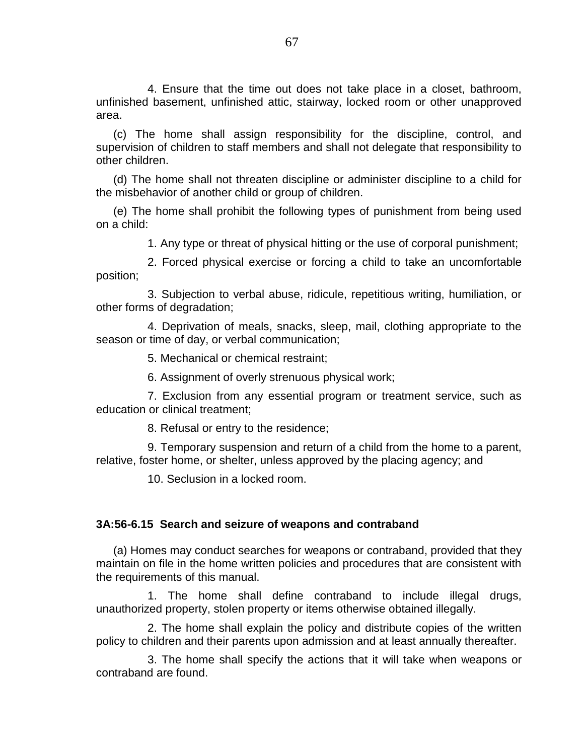4. Ensure that the time out does not take place in a closet, bathroom, unfinished basement, unfinished attic, stairway, locked room or other unapproved area.

(c) The home shall assign responsibility for the discipline, control, and supervision of children to staff members and shall not delegate that responsibility to other children.

(d) The home shall not threaten discipline or administer discipline to a child for the misbehavior of another child or group of children.

(e) The home shall prohibit the following types of punishment from being used on a child:

1. Any type or threat of physical hitting or the use of corporal punishment;

2. Forced physical exercise or forcing a child to take an uncomfortable position;

3. Subjection to verbal abuse, ridicule, repetitious writing, humiliation, or other forms of degradation;

4. Deprivation of meals, snacks, sleep, mail, clothing appropriate to the season or time of day, or verbal communication;

5. Mechanical or chemical restraint;

6. Assignment of overly strenuous physical work;

7. Exclusion from any essential program or treatment service, such as education or clinical treatment;

8. Refusal or entry to the residence;

9. Temporary suspension and return of a child from the home to a parent, relative, foster home, or shelter, unless approved by the placing agency; and

10. Seclusion in a locked room.

### **3A:56-6.15 Search and seizure of weapons and contraband**

(a) Homes may conduct searches for weapons or contraband, provided that they maintain on file in the home written policies and procedures that are consistent with the requirements of this manual.

1. The home shall define contraband to include illegal drugs, unauthorized property, stolen property or items otherwise obtained illegally.

2. The home shall explain the policy and distribute copies of the written policy to children and their parents upon admission and at least annually thereafter.

3. The home shall specify the actions that it will take when weapons or contraband are found.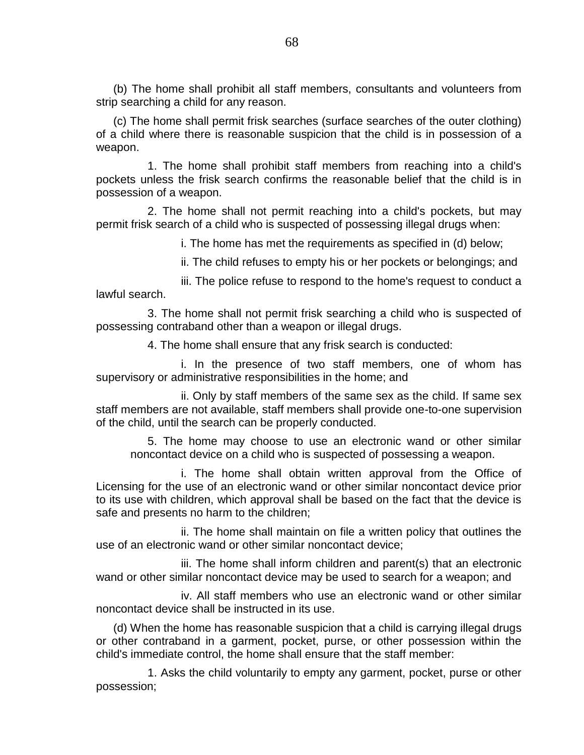(b) The home shall prohibit all staff members, consultants and volunteers from strip searching a child for any reason.

(c) The home shall permit frisk searches (surface searches of the outer clothing) of a child where there is reasonable suspicion that the child is in possession of a weapon.

1. The home shall prohibit staff members from reaching into a child's pockets unless the frisk search confirms the reasonable belief that the child is in possession of a weapon.

2. The home shall not permit reaching into a child's pockets, but may permit frisk search of a child who is suspected of possessing illegal drugs when:

i. The home has met the requirements as specified in (d) below;

ii. The child refuses to empty his or her pockets or belongings; and

iii. The police refuse to respond to the home's request to conduct a lawful search.

3. The home shall not permit frisk searching a child who is suspected of possessing contraband other than a weapon or illegal drugs.

4. The home shall ensure that any frisk search is conducted:

i. In the presence of two staff members, one of whom has supervisory or administrative responsibilities in the home; and

ii. Only by staff members of the same sex as the child. If same sex staff members are not available, staff members shall provide one-to-one supervision of the child, until the search can be properly conducted.

5. The home may choose to use an electronic wand or other similar noncontact device on a child who is suspected of possessing a weapon.

i. The home shall obtain written approval from the Office of Licensing for the use of an electronic wand or other similar noncontact device prior to its use with children, which approval shall be based on the fact that the device is safe and presents no harm to the children;

ii. The home shall maintain on file a written policy that outlines the use of an electronic wand or other similar noncontact device;

iii. The home shall inform children and parent(s) that an electronic wand or other similar noncontact device may be used to search for a weapon; and

iv. All staff members who use an electronic wand or other similar noncontact device shall be instructed in its use.

(d) When the home has reasonable suspicion that a child is carrying illegal drugs or other contraband in a garment, pocket, purse, or other possession within the child's immediate control, the home shall ensure that the staff member:

1. Asks the child voluntarily to empty any garment, pocket, purse or other possession;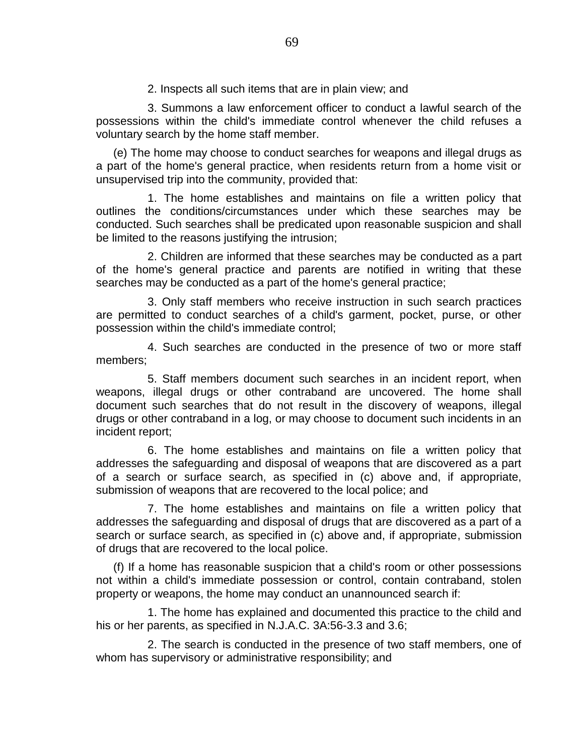2. Inspects all such items that are in plain view; and

3. Summons a law enforcement officer to conduct a lawful search of the possessions within the child's immediate control whenever the child refuses a voluntary search by the home staff member.

(e) The home may choose to conduct searches for weapons and illegal drugs as a part of the home's general practice, when residents return from a home visit or unsupervised trip into the community, provided that:

1. The home establishes and maintains on file a written policy that outlines the conditions/circumstances under which these searches may be conducted. Such searches shall be predicated upon reasonable suspicion and shall be limited to the reasons justifying the intrusion;

2. Children are informed that these searches may be conducted as a part of the home's general practice and parents are notified in writing that these searches may be conducted as a part of the home's general practice;

3. Only staff members who receive instruction in such search practices are permitted to conduct searches of a child's garment, pocket, purse, or other possession within the child's immediate control;

4. Such searches are conducted in the presence of two or more staff members;

5. Staff members document such searches in an incident report, when weapons, illegal drugs or other contraband are uncovered. The home shall document such searches that do not result in the discovery of weapons, illegal drugs or other contraband in a log, or may choose to document such incidents in an incident report;

6. The home establishes and maintains on file a written policy that addresses the safeguarding and disposal of weapons that are discovered as a part of a search or surface search, as specified in (c) above and, if appropriate, submission of weapons that are recovered to the local police; and

7. The home establishes and maintains on file a written policy that addresses the safeguarding and disposal of drugs that are discovered as a part of a search or surface search, as specified in (c) above and, if appropriate, submission of drugs that are recovered to the local police.

(f) If a home has reasonable suspicion that a child's room or other possessions not within a child's immediate possession or control, contain contraband, stolen property or weapons, the home may conduct an unannounced search if:

1. The home has explained and documented this practice to the child and his or her parents, as specified in N.J.A.C. 3A:56-3.3 and 3.6;

2. The search is conducted in the presence of two staff members, one of whom has supervisory or administrative responsibility; and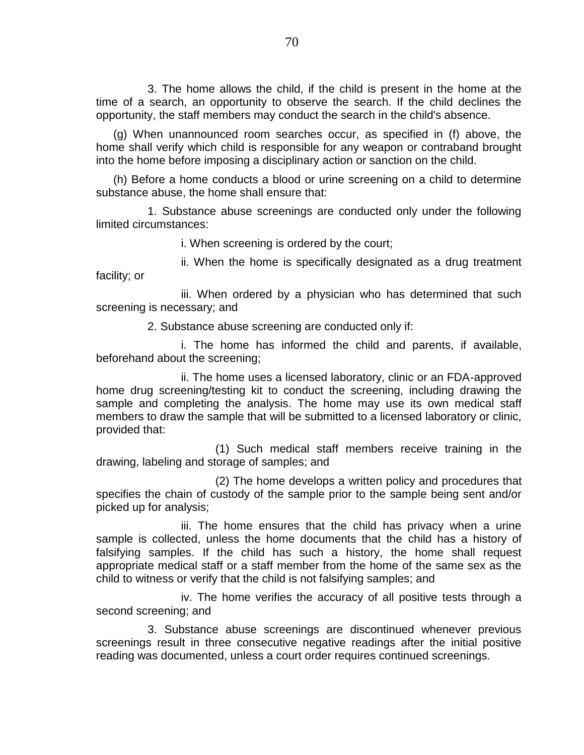3. The home allows the child, if the child is present in the home at the time of a search, an opportunity to observe the search. If the child declines the opportunity, the staff members may conduct the search in the child's absence.

(g) When unannounced room searches occur, as specified in (f) above, the home shall verify which child is responsible for any weapon or contraband brought into the home before imposing a disciplinary action or sanction on the child.

(h) Before a home conducts a blood or urine screening on a child to determine substance abuse, the home shall ensure that:

1. Substance abuse screenings are conducted only under the following limited circumstances:

i. When screening is ordered by the court;

ii. When the home is specifically designated as a drug treatment facility; or

iii. When ordered by a physician who has determined that such screening is necessary; and

2. Substance abuse screening are conducted only if:

i. The home has informed the child and parents, if available, beforehand about the screening;

ii. The home uses a licensed laboratory, clinic or an FDA-approved home drug screening/testing kit to conduct the screening, including drawing the sample and completing the analysis. The home may use its own medical staff members to draw the sample that will be submitted to a licensed laboratory or clinic, provided that:

(1) Such medical staff members receive training in the drawing, labeling and storage of samples; and

(2) The home develops a written policy and procedures that specifies the chain of custody of the sample prior to the sample being sent and/or picked up for analysis;

iii. The home ensures that the child has privacy when a urine sample is collected, unless the home documents that the child has a history of falsifying samples. If the child has such a history, the home shall request appropriate medical staff or a staff member from the home of the same sex as the child to witness or verify that the child is not falsifying samples; and

iv. The home verifies the accuracy of all positive tests through a second screening; and

3. Substance abuse screenings are discontinued whenever previous screenings result in three consecutive negative readings after the initial positive reading was documented, unless a court order requires continued screenings.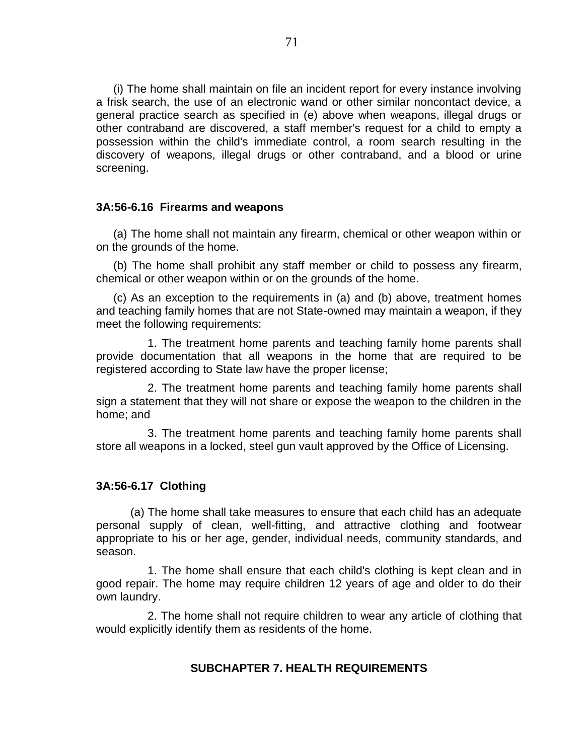(i) The home shall maintain on file an incident report for every instance involving a frisk search, the use of an electronic wand or other similar noncontact device, a general practice search as specified in (e) above when weapons, illegal drugs or other contraband are discovered, a staff member's request for a child to empty a possession within the child's immediate control, a room search resulting in the discovery of weapons, illegal drugs or other contraband, and a blood or urine screening.

#### **3A:56-6.16 Firearms and weapons**

(a) The home shall not maintain any firearm, chemical or other weapon within or on the grounds of the home.

(b) The home shall prohibit any staff member or child to possess any firearm, chemical or other weapon within or on the grounds of the home.

(c) As an exception to the requirements in (a) and (b) above, treatment homes and teaching family homes that are not State-owned may maintain a weapon, if they meet the following requirements:

1. The treatment home parents and teaching family home parents shall provide documentation that all weapons in the home that are required to be registered according to State law have the proper license;

2. The treatment home parents and teaching family home parents shall sign a statement that they will not share or expose the weapon to the children in the home; and

3. The treatment home parents and teaching family home parents shall store all weapons in a locked, steel gun vault approved by the Office of Licensing.

#### **3A:56-6.17 Clothing**

(a) The home shall take measures to ensure that each child has an adequate personal supply of clean, well-fitting, and attractive clothing and footwear appropriate to his or her age, gender, individual needs, community standards, and season.

1. The home shall ensure that each child's clothing is kept clean and in good repair. The home may require children 12 years of age and older to do their own laundry.

2. The home shall not require children to wear any article of clothing that would explicitly identify them as residents of the home.

# **SUBCHAPTER 7. HEALTH REQUIREMENTS**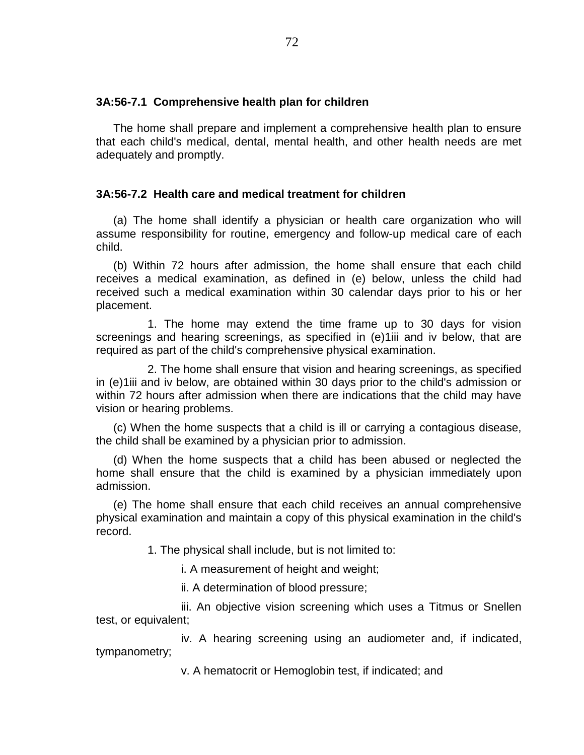#### **3A:56-7.1 Comprehensive health plan for children**

The home shall prepare and implement a comprehensive health plan to ensure that each child's medical, dental, mental health, and other health needs are met adequately and promptly.

#### **3A:56-7.2 Health care and medical treatment for children**

(a) The home shall identify a physician or health care organization who will assume responsibility for routine, emergency and follow-up medical care of each child.

(b) Within 72 hours after admission, the home shall ensure that each child receives a medical examination, as defined in (e) below, unless the child had received such a medical examination within 30 calendar days prior to his or her placement.

1. The home may extend the time frame up to 30 days for vision screenings and hearing screenings, as specified in (e)1iii and iv below, that are required as part of the child's comprehensive physical examination.

2. The home shall ensure that vision and hearing screenings, as specified in (e)1iii and iv below, are obtained within 30 days prior to the child's admission or within 72 hours after admission when there are indications that the child may have vision or hearing problems.

(c) When the home suspects that a child is ill or carrying a contagious disease, the child shall be examined by a physician prior to admission.

(d) When the home suspects that a child has been abused or neglected the home shall ensure that the child is examined by a physician immediately upon admission.

(e) The home shall ensure that each child receives an annual comprehensive physical examination and maintain a copy of this physical examination in the child's record.

1. The physical shall include, but is not limited to:

i. A measurement of height and weight;

ii. A determination of blood pressure;

iii. An objective vision screening which uses a Titmus or Snellen test, or equivalent;

iv. A hearing screening using an audiometer and, if indicated, tympanometry;

v. A hematocrit or Hemoglobin test, if indicated; and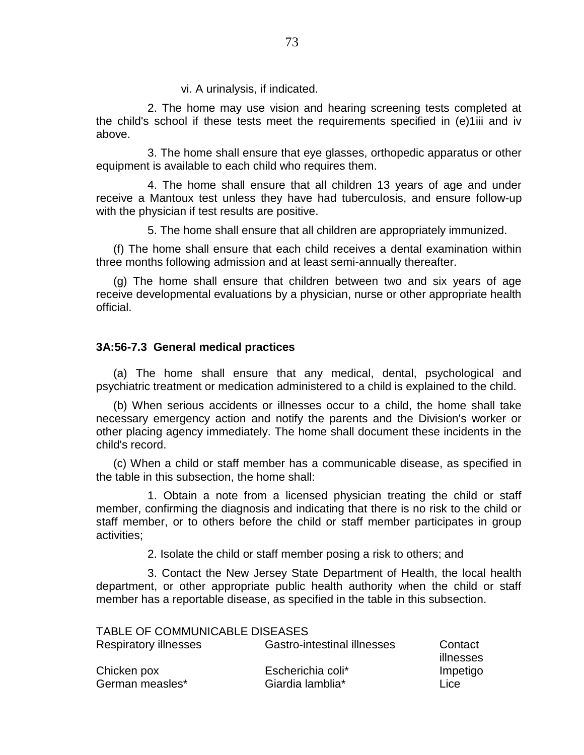vi. A urinalysis, if indicated.

2. The home may use vision and hearing screening tests completed at the child's school if these tests meet the requirements specified in (e)1iii and iv above.

3. The home shall ensure that eye glasses, orthopedic apparatus or other equipment is available to each child who requires them.

4. The home shall ensure that all children 13 years of age and under receive a Mantoux test unless they have had tuberculosis, and ensure follow-up with the physician if test results are positive.

5. The home shall ensure that all children are appropriately immunized.

(f) The home shall ensure that each child receives a dental examination within three months following admission and at least semi-annually thereafter.

(g) The home shall ensure that children between two and six years of age receive developmental evaluations by a physician, nurse or other appropriate health official.

## **3A:56-7.3 General medical practices**

(a) The home shall ensure that any medical, dental, psychological and psychiatric treatment or medication administered to a child is explained to the child.

(b) When serious accidents or illnesses occur to a child, the home shall take necessary emergency action and notify the parents and the Division's worker or other placing agency immediately. The home shall document these incidents in the child's record.

(c) When a child or staff member has a communicable disease, as specified in the table in this subsection, the home shall:

1. Obtain a note from a licensed physician treating the child or staff member, confirming the diagnosis and indicating that there is no risk to the child or staff member, or to others before the child or staff member participates in group activities;

2. Isolate the child or staff member posing a risk to others; and

3. Contact the New Jersey State Department of Health, the local health department, or other appropriate public health authority when the child or staff member has a reportable disease, as specified in the table in this subsection.

| TABLE OF COMMUNICABLE DISEASES |                             |                      |
|--------------------------------|-----------------------------|----------------------|
| <b>Respiratory illnesses</b>   | Gastro-intestinal illnesses | Contact<br>illnesses |
| Chicken pox                    | Escherichia coli*           | Impetigo             |
| German measles*                | Giardia lamblia*            | Lice                 |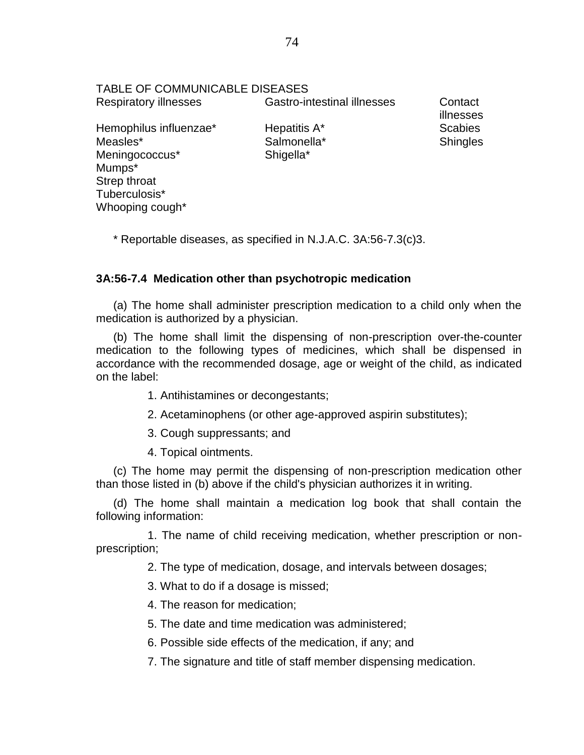| TABLE OF COMMUNICABLE DISEASES |                                    |                      |
|--------------------------------|------------------------------------|----------------------|
| <b>Respiratory illnesses</b>   | <b>Gastro-intestinal illnesses</b> | Contact<br>illnesses |
| Hemophilus influenzae*         | Hepatitis A*                       | <b>Scabies</b>       |
| Measles*                       | Salmonella*                        | <b>Shingles</b>      |
| Meningococcus*                 | Shigella*                          |                      |
| Mumps*                         |                                    |                      |
| Strep throat                   |                                    |                      |
| Tuberculosis*                  |                                    |                      |
| Whooping cough*                |                                    |                      |

\* Reportable diseases, as specified in N.J.A.C. 3A:56-7.3(c)3.

# **3A:56-7.4 Medication other than psychotropic medication**

(a) The home shall administer prescription medication to a child only when the medication is authorized by a physician.

(b) The home shall limit the dispensing of non-prescription over-the-counter medication to the following types of medicines, which shall be dispensed in accordance with the recommended dosage, age or weight of the child, as indicated on the label:

- 1. Antihistamines or decongestants;
- 2. Acetaminophens (or other age-approved aspirin substitutes);
- 3. Cough suppressants; and
- 4. Topical ointments.

(c) The home may permit the dispensing of non-prescription medication other than those listed in (b) above if the child's physician authorizes it in writing.

(d) The home shall maintain a medication log book that shall contain the following information:

1. The name of child receiving medication, whether prescription or nonprescription;

2. The type of medication, dosage, and intervals between dosages;

- 3. What to do if a dosage is missed;
- 4. The reason for medication;
- 5. The date and time medication was administered;
- 6. Possible side effects of the medication, if any; and

7. The signature and title of staff member dispensing medication.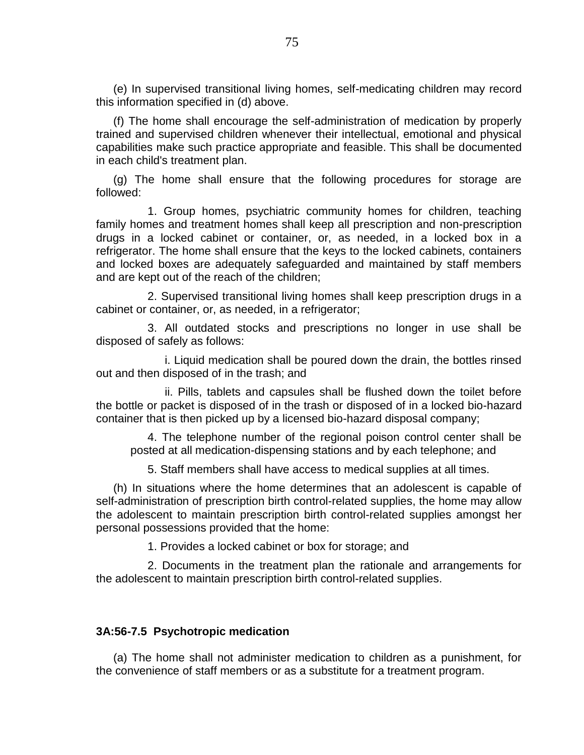(e) In supervised transitional living homes, self-medicating children may record this information specified in (d) above.

(f) The home shall encourage the self-administration of medication by properly trained and supervised children whenever their intellectual, emotional and physical capabilities make such practice appropriate and feasible. This shall be documented in each child's treatment plan.

(g) The home shall ensure that the following procedures for storage are followed:

1. Group homes, psychiatric community homes for children, teaching family homes and treatment homes shall keep all prescription and non-prescription drugs in a locked cabinet or container, or, as needed, in a locked box in a refrigerator. The home shall ensure that the keys to the locked cabinets, containers and locked boxes are adequately safeguarded and maintained by staff members and are kept out of the reach of the children;

2. Supervised transitional living homes shall keep prescription drugs in a cabinet or container, or, as needed, in a refrigerator;

3. All outdated stocks and prescriptions no longer in use shall be disposed of safely as follows:

i. Liquid medication shall be poured down the drain, the bottles rinsed out and then disposed of in the trash; and

ii. Pills, tablets and capsules shall be flushed down the toilet before the bottle or packet is disposed of in the trash or disposed of in a locked bio-hazard container that is then picked up by a licensed bio-hazard disposal company;

4. The telephone number of the regional poison control center shall be posted at all medication-dispensing stations and by each telephone; and

5. Staff members shall have access to medical supplies at all times.

(h) In situations where the home determines that an adolescent is capable of self-administration of prescription birth control-related supplies, the home may allow the adolescent to maintain prescription birth control-related supplies amongst her personal possessions provided that the home:

1. Provides a locked cabinet or box for storage; and

2. Documents in the treatment plan the rationale and arrangements for the adolescent to maintain prescription birth control-related supplies.

## **3A:56-7.5 Psychotropic medication**

(a) The home shall not administer medication to children as a punishment, for the convenience of staff members or as a substitute for a treatment program.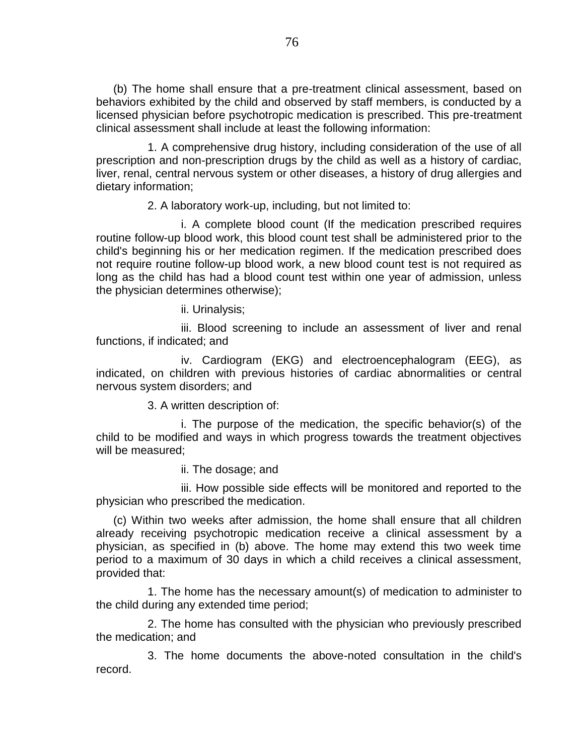(b) The home shall ensure that a pre-treatment clinical assessment, based on behaviors exhibited by the child and observed by staff members, is conducted by a licensed physician before psychotropic medication is prescribed. This pre-treatment clinical assessment shall include at least the following information:

1. A comprehensive drug history, including consideration of the use of all prescription and non-prescription drugs by the child as well as a history of cardiac, liver, renal, central nervous system or other diseases, a history of drug allergies and dietary information;

2. A laboratory work-up, including, but not limited to:

i. A complete blood count (If the medication prescribed requires routine follow-up blood work, this blood count test shall be administered prior to the child's beginning his or her medication regimen. If the medication prescribed does not require routine follow-up blood work, a new blood count test is not required as long as the child has had a blood count test within one year of admission, unless the physician determines otherwise);

ii. Urinalysis;

iii. Blood screening to include an assessment of liver and renal functions, if indicated; and

iv. Cardiogram (EKG) and electroencephalogram (EEG), as indicated, on children with previous histories of cardiac abnormalities or central nervous system disorders; and

3. A written description of:

i. The purpose of the medication, the specific behavior(s) of the child to be modified and ways in which progress towards the treatment objectives will be measured;

ii. The dosage; and

iii. How possible side effects will be monitored and reported to the physician who prescribed the medication.

(c) Within two weeks after admission, the home shall ensure that all children already receiving psychotropic medication receive a clinical assessment by a physician, as specified in (b) above. The home may extend this two week time period to a maximum of 30 days in which a child receives a clinical assessment, provided that:

1. The home has the necessary amount(s) of medication to administer to the child during any extended time period;

2. The home has consulted with the physician who previously prescribed the medication; and

3. The home documents the above-noted consultation in the child's record.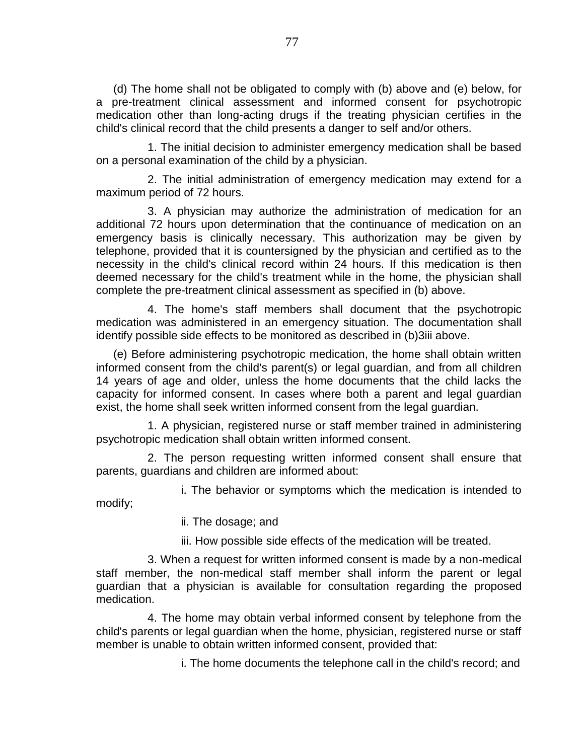(d) The home shall not be obligated to comply with (b) above and (e) below, for a pre-treatment clinical assessment and informed consent for psychotropic medication other than long-acting drugs if the treating physician certifies in the child's clinical record that the child presents a danger to self and/or others.

1. The initial decision to administer emergency medication shall be based on a personal examination of the child by a physician.

2. The initial administration of emergency medication may extend for a maximum period of 72 hours.

3. A physician may authorize the administration of medication for an additional 72 hours upon determination that the continuance of medication on an emergency basis is clinically necessary. This authorization may be given by telephone, provided that it is countersigned by the physician and certified as to the necessity in the child's clinical record within 24 hours. If this medication is then deemed necessary for the child's treatment while in the home, the physician shall complete the pre-treatment clinical assessment as specified in (b) above.

4. The home's staff members shall document that the psychotropic medication was administered in an emergency situation. The documentation shall identify possible side effects to be monitored as described in (b)3iii above.

(e) Before administering psychotropic medication, the home shall obtain written informed consent from the child's parent(s) or legal guardian, and from all children 14 years of age and older, unless the home documents that the child lacks the capacity for informed consent. In cases where both a parent and legal guardian exist, the home shall seek written informed consent from the legal guardian.

1. A physician, registered nurse or staff member trained in administering psychotropic medication shall obtain written informed consent.

2. The person requesting written informed consent shall ensure that parents, guardians and children are informed about:

i. The behavior or symptoms which the medication is intended to modify;

ii. The dosage; and

iii. How possible side effects of the medication will be treated.

3. When a request for written informed consent is made by a non-medical staff member, the non-medical staff member shall inform the parent or legal guardian that a physician is available for consultation regarding the proposed medication.

4. The home may obtain verbal informed consent by telephone from the child's parents or legal guardian when the home, physician, registered nurse or staff member is unable to obtain written informed consent, provided that:

i. The home documents the telephone call in the child's record; and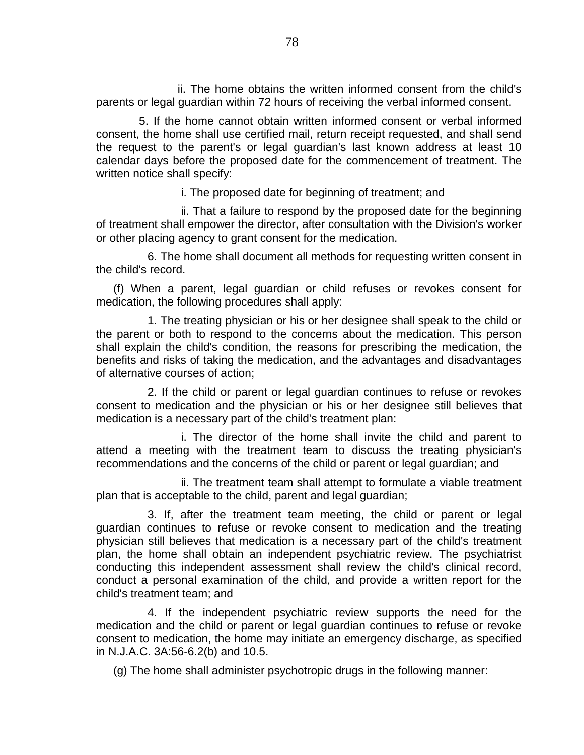ii. The home obtains the written informed consent from the child's parents or legal guardian within 72 hours of receiving the verbal informed consent.

5. If the home cannot obtain written informed consent or verbal informed consent, the home shall use certified mail, return receipt requested, and shall send the request to the parent's or legal guardian's last known address at least 10 calendar days before the proposed date for the commencement of treatment. The written notice shall specify:

i. The proposed date for beginning of treatment; and

ii. That a failure to respond by the proposed date for the beginning of treatment shall empower the director, after consultation with the Division's worker or other placing agency to grant consent for the medication.

6. The home shall document all methods for requesting written consent in the child's record.

(f) When a parent, legal guardian or child refuses or revokes consent for medication, the following procedures shall apply:

1. The treating physician or his or her designee shall speak to the child or the parent or both to respond to the concerns about the medication. This person shall explain the child's condition, the reasons for prescribing the medication, the benefits and risks of taking the medication, and the advantages and disadvantages of alternative courses of action;

2. If the child or parent or legal guardian continues to refuse or revokes consent to medication and the physician or his or her designee still believes that medication is a necessary part of the child's treatment plan:

i. The director of the home shall invite the child and parent to attend a meeting with the treatment team to discuss the treating physician's recommendations and the concerns of the child or parent or legal guardian; and

ii. The treatment team shall attempt to formulate a viable treatment plan that is acceptable to the child, parent and legal guardian;

3. If, after the treatment team meeting, the child or parent or legal guardian continues to refuse or revoke consent to medication and the treating physician still believes that medication is a necessary part of the child's treatment plan, the home shall obtain an independent psychiatric review. The psychiatrist conducting this independent assessment shall review the child's clinical record, conduct a personal examination of the child, and provide a written report for the child's treatment team; and

4. If the independent psychiatric review supports the need for the medication and the child or parent or legal guardian continues to refuse or revoke consent to medication, the home may initiate an emergency discharge, as specified in N.J.A.C. 3A:56-6.2(b) and 10.5.

(g) The home shall administer psychotropic drugs in the following manner: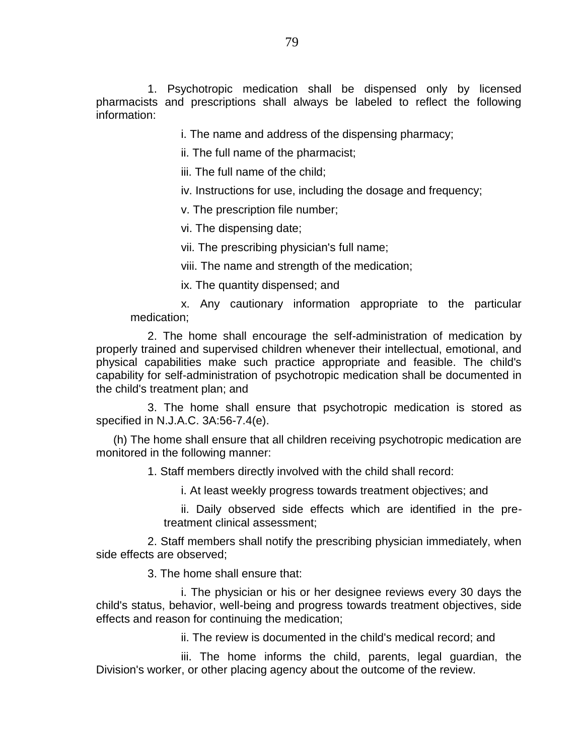1. Psychotropic medication shall be dispensed only by licensed pharmacists and prescriptions shall always be labeled to reflect the following information:

i. The name and address of the dispensing pharmacy;

ii. The full name of the pharmacist;

iii. The full name of the child;

iv. Instructions for use, including the dosage and frequency;

v. The prescription file number;

vi. The dispensing date;

vii. The prescribing physician's full name;

viii. The name and strength of the medication;

ix. The quantity dispensed; and

x. Any cautionary information appropriate to the particular medication;

2. The home shall encourage the self-administration of medication by properly trained and supervised children whenever their intellectual, emotional, and physical capabilities make such practice appropriate and feasible. The child's capability for self-administration of psychotropic medication shall be documented in the child's treatment plan; and

3. The home shall ensure that psychotropic medication is stored as specified in N.J.A.C. 3A:56-7.4(e).

(h) The home shall ensure that all children receiving psychotropic medication are monitored in the following manner:

1. Staff members directly involved with the child shall record:

i. At least weekly progress towards treatment objectives; and

ii. Daily observed side effects which are identified in the pretreatment clinical assessment;

2. Staff members shall notify the prescribing physician immediately, when side effects are observed;

3. The home shall ensure that:

i. The physician or his or her designee reviews every 30 days the child's status, behavior, well-being and progress towards treatment objectives, side effects and reason for continuing the medication;

ii. The review is documented in the child's medical record; and

iii. The home informs the child, parents, legal guardian, the Division's worker, or other placing agency about the outcome of the review.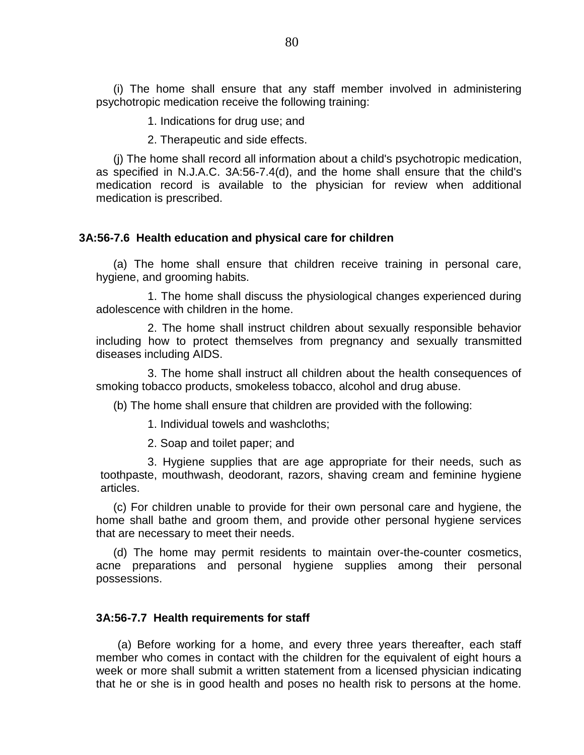(i) The home shall ensure that any staff member involved in administering psychotropic medication receive the following training:

1. Indications for drug use; and

2. Therapeutic and side effects.

(j) The home shall record all information about a child's psychotropic medication, as specified in N.J.A.C. 3A:56-7.4(d), and the home shall ensure that the child's medication record is available to the physician for review when additional medication is prescribed.

## **3A:56-7.6 Health education and physical care for children**

(a) The home shall ensure that children receive training in personal care, hygiene, and grooming habits.

1. The home shall discuss the physiological changes experienced during adolescence with children in the home.

2. The home shall instruct children about sexually responsible behavior including how to protect themselves from pregnancy and sexually transmitted diseases including AIDS.

3. The home shall instruct all children about the health consequences of smoking tobacco products, smokeless tobacco, alcohol and drug abuse.

(b) The home shall ensure that children are provided with the following:

1. Individual towels and washcloths;

2. Soap and toilet paper; and

3. Hygiene supplies that are age appropriate for their needs, such as toothpaste, mouthwash, deodorant, razors, shaving cream and feminine hygiene articles.

(c) For children unable to provide for their own personal care and hygiene, the home shall bathe and groom them, and provide other personal hygiene services that are necessary to meet their needs.

(d) The home may permit residents to maintain over-the-counter cosmetics, acne preparations and personal hygiene supplies among their personal possessions.

### **3A:56-7.7 Health requirements for staff**

(a) Before working for a home, and every three years thereafter, each staff member who comes in contact with the children for the equivalent of eight hours a week or more shall submit a written statement from a licensed physician indicating that he or she is in good health and poses no health risk to persons at the home.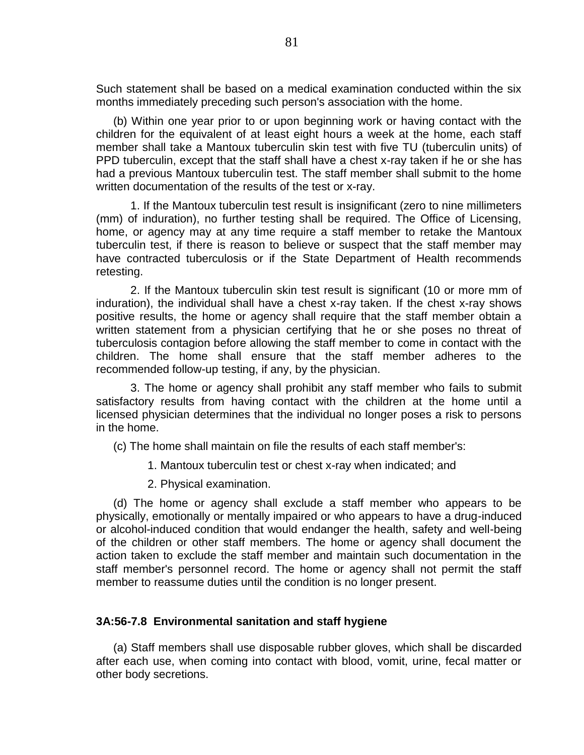Such statement shall be based on a medical examination conducted within the six months immediately preceding such person's association with the home.

(b) Within one year prior to or upon beginning work or having contact with the children for the equivalent of at least eight hours a week at the home, each staff member shall take a Mantoux tuberculin skin test with five TU (tuberculin units) of PPD tuberculin, except that the staff shall have a chest x-ray taken if he or she has had a previous Mantoux tuberculin test. The staff member shall submit to the home written documentation of the results of the test or x-ray.

1. If the Mantoux tuberculin test result is insignificant (zero to nine millimeters (mm) of induration), no further testing shall be required. The Office of Licensing, home, or agency may at any time require a staff member to retake the Mantoux tuberculin test, if there is reason to believe or suspect that the staff member may have contracted tuberculosis or if the State Department of Health recommends retesting.

2. If the Mantoux tuberculin skin test result is significant (10 or more mm of induration), the individual shall have a chest x-ray taken. If the chest x-ray shows positive results, the home or agency shall require that the staff member obtain a written statement from a physician certifying that he or she poses no threat of tuberculosis contagion before allowing the staff member to come in contact with the children. The home shall ensure that the staff member adheres to the recommended follow-up testing, if any, by the physician.

3. The home or agency shall prohibit any staff member who fails to submit satisfactory results from having contact with the children at the home until a licensed physician determines that the individual no longer poses a risk to persons in the home.

(c) The home shall maintain on file the results of each staff member's:

- 1. Mantoux tuberculin test or chest x-ray when indicated; and
- 2. Physical examination.

(d) The home or agency shall exclude a staff member who appears to be physically, emotionally or mentally impaired or who appears to have a drug-induced or alcohol-induced condition that would endanger the health, safety and well-being of the children or other staff members. The home or agency shall document the action taken to exclude the staff member and maintain such documentation in the staff member's personnel record. The home or agency shall not permit the staff member to reassume duties until the condition is no longer present.

### **3A:56-7.8 Environmental sanitation and staff hygiene**

(a) Staff members shall use disposable rubber gloves, which shall be discarded after each use, when coming into contact with blood, vomit, urine, fecal matter or other body secretions.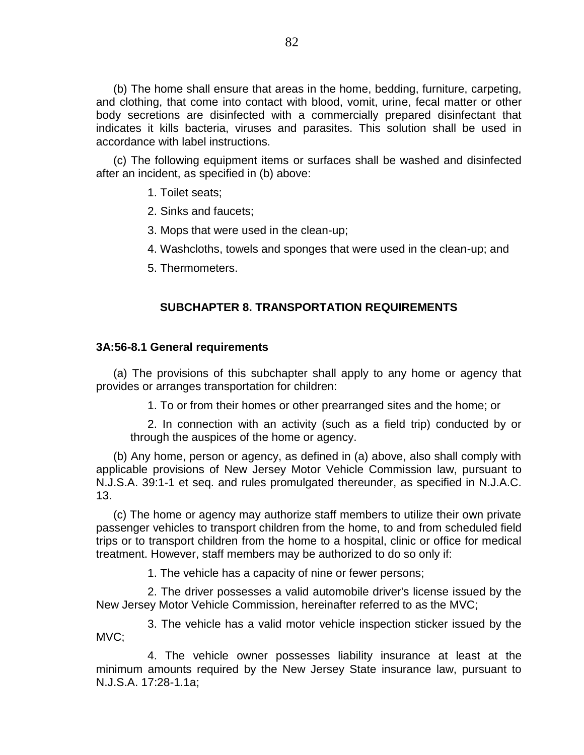(b) The home shall ensure that areas in the home, bedding, furniture, carpeting, and clothing, that come into contact with blood, vomit, urine, fecal matter or other body secretions are disinfected with a commercially prepared disinfectant that indicates it kills bacteria, viruses and parasites. This solution shall be used in accordance with label instructions.

(c) The following equipment items or surfaces shall be washed and disinfected after an incident, as specified in (b) above:

1. Toilet seats;

2. Sinks and faucets;

3. Mops that were used in the clean-up;

4. Washcloths, towels and sponges that were used in the clean-up; and

5. Thermometers.

## **SUBCHAPTER 8. TRANSPORTATION REQUIREMENTS**

#### **3A:56-8.1 General requirements**

(a) The provisions of this subchapter shall apply to any home or agency that provides or arranges transportation for children:

1. To or from their homes or other prearranged sites and the home; or

2. In connection with an activity (such as a field trip) conducted by or through the auspices of the home or agency.

(b) Any home, person or agency, as defined in (a) above, also shall comply with applicable provisions of New Jersey Motor Vehicle Commission law, pursuant to N.J.S.A. 39:1-1 et seq. and rules promulgated thereunder, as specified in N.J.A.C. 13.

(c) The home or agency may authorize staff members to utilize their own private passenger vehicles to transport children from the home, to and from scheduled field trips or to transport children from the home to a hospital, clinic or office for medical treatment. However, staff members may be authorized to do so only if:

1. The vehicle has a capacity of nine or fewer persons;

2. The driver possesses a valid automobile driver's license issued by the New Jersey Motor Vehicle Commission, hereinafter referred to as the MVC;

3. The vehicle has a valid motor vehicle inspection sticker issued by the MVC;

4. The vehicle owner possesses liability insurance at least at the minimum amounts required by the New Jersey State insurance law, pursuant to N.J.S.A. 17:28-1.1a;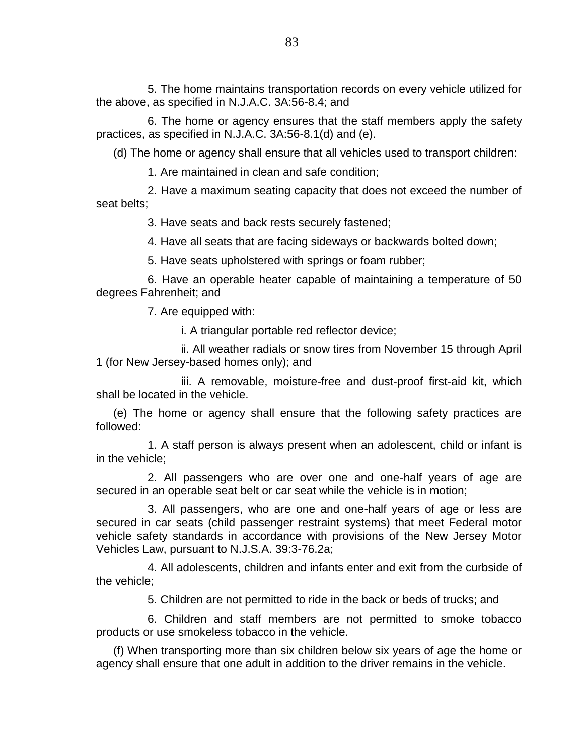5. The home maintains transportation records on every vehicle utilized for the above, as specified in N.J.A.C. 3A:56-8.4; and

6. The home or agency ensures that the staff members apply the safety practices, as specified in N.J.A.C. 3A:56-8.1(d) and (e).

(d) The home or agency shall ensure that all vehicles used to transport children:

1. Are maintained in clean and safe condition;

2. Have a maximum seating capacity that does not exceed the number of seat belts;

3. Have seats and back rests securely fastened;

4. Have all seats that are facing sideways or backwards bolted down;

5. Have seats upholstered with springs or foam rubber;

6. Have an operable heater capable of maintaining a temperature of 50 degrees Fahrenheit; and

7. Are equipped with:

i. A triangular portable red reflector device;

ii. All weather radials or snow tires from November 15 through April 1 (for New Jersey-based homes only); and

iii. A removable, moisture-free and dust-proof first-aid kit, which shall be located in the vehicle.

(e) The home or agency shall ensure that the following safety practices are followed:

1. A staff person is always present when an adolescent, child or infant is in the vehicle;

2. All passengers who are over one and one-half years of age are secured in an operable seat belt or car seat while the vehicle is in motion;

3. All passengers, who are one and one-half years of age or less are secured in car seats (child passenger restraint systems) that meet Federal motor vehicle safety standards in accordance with provisions of the New Jersey Motor Vehicles Law, pursuant to N.J.S.A. 39:3-76.2a;

4. All adolescents, children and infants enter and exit from the curbside of the vehicle;

5. Children are not permitted to ride in the back or beds of trucks; and

6. Children and staff members are not permitted to smoke tobacco products or use smokeless tobacco in the vehicle.

(f) When transporting more than six children below six years of age the home or agency shall ensure that one adult in addition to the driver remains in the vehicle.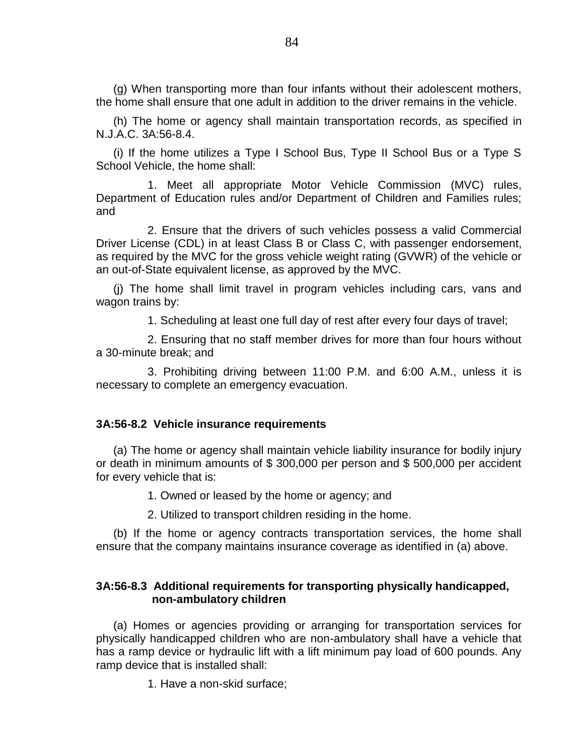(g) When transporting more than four infants without their adolescent mothers, the home shall ensure that one adult in addition to the driver remains in the vehicle.

(h) The home or agency shall maintain transportation records, as specified in N.J.A.C. 3A:56-8.4.

(i) If the home utilizes a Type I School Bus, Type II School Bus or a Type S School Vehicle, the home shall:

1. Meet all appropriate Motor Vehicle Commission (MVC) rules, Department of Education rules and/or Department of Children and Families rules; and

2. Ensure that the drivers of such vehicles possess a valid Commercial Driver License (CDL) in at least Class B or Class C, with passenger endorsement, as required by the MVC for the gross vehicle weight rating (GVWR) of the vehicle or an out-of-State equivalent license, as approved by the MVC.

(j) The home shall limit travel in program vehicles including cars, vans and wagon trains by:

1. Scheduling at least one full day of rest after every four days of travel;

2. Ensuring that no staff member drives for more than four hours without a 30-minute break; and

3. Prohibiting driving between 11:00 P.M. and 6:00 A.M., unless it is necessary to complete an emergency evacuation.

## **3A:56-8.2 Vehicle insurance requirements**

(a) The home or agency shall maintain vehicle liability insurance for bodily injury or death in minimum amounts of \$ 300,000 per person and \$ 500,000 per accident for every vehicle that is:

1. Owned or leased by the home or agency; and

2. Utilized to transport children residing in the home.

(b) If the home or agency contracts transportation services, the home shall ensure that the company maintains insurance coverage as identified in (a) above.

# **3A:56-8.3 Additional requirements for transporting physically handicapped, non-ambulatory children**

(a) Homes or agencies providing or arranging for transportation services for physically handicapped children who are non-ambulatory shall have a vehicle that has a ramp device or hydraulic lift with a lift minimum pay load of 600 pounds. Any ramp device that is installed shall:

1. Have a non-skid surface;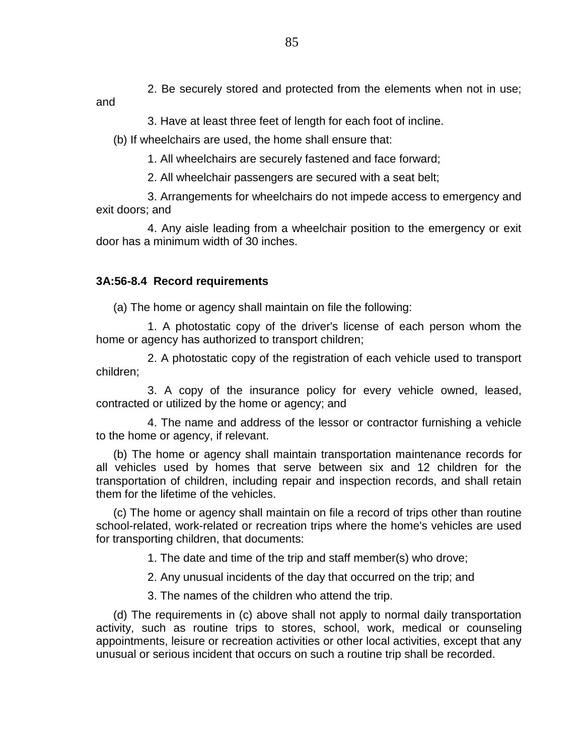2. Be securely stored and protected from the elements when not in use;

and

3. Have at least three feet of length for each foot of incline.

(b) If wheelchairs are used, the home shall ensure that:

1. All wheelchairs are securely fastened and face forward;

2. All wheelchair passengers are secured with a seat belt;

3. Arrangements for wheelchairs do not impede access to emergency and exit doors; and

4. Any aisle leading from a wheelchair position to the emergency or exit door has a minimum width of 30 inches.

# **3A:56-8.4 Record requirements**

(a) The home or agency shall maintain on file the following:

1. A photostatic copy of the driver's license of each person whom the home or agency has authorized to transport children;

2. A photostatic copy of the registration of each vehicle used to transport children;

3. A copy of the insurance policy for every vehicle owned, leased, contracted or utilized by the home or agency; and

4. The name and address of the lessor or contractor furnishing a vehicle to the home or agency, if relevant.

(b) The home or agency shall maintain transportation maintenance records for all vehicles used by homes that serve between six and 12 children for the transportation of children, including repair and inspection records, and shall retain them for the lifetime of the vehicles.

(c) The home or agency shall maintain on file a record of trips other than routine school-related, work-related or recreation trips where the home's vehicles are used for transporting children, that documents:

1. The date and time of the trip and staff member(s) who drove;

2. Any unusual incidents of the day that occurred on the trip; and

3. The names of the children who attend the trip.

(d) The requirements in (c) above shall not apply to normal daily transportation activity, such as routine trips to stores, school, work, medical or counseling appointments, leisure or recreation activities or other local activities, except that any unusual or serious incident that occurs on such a routine trip shall be recorded.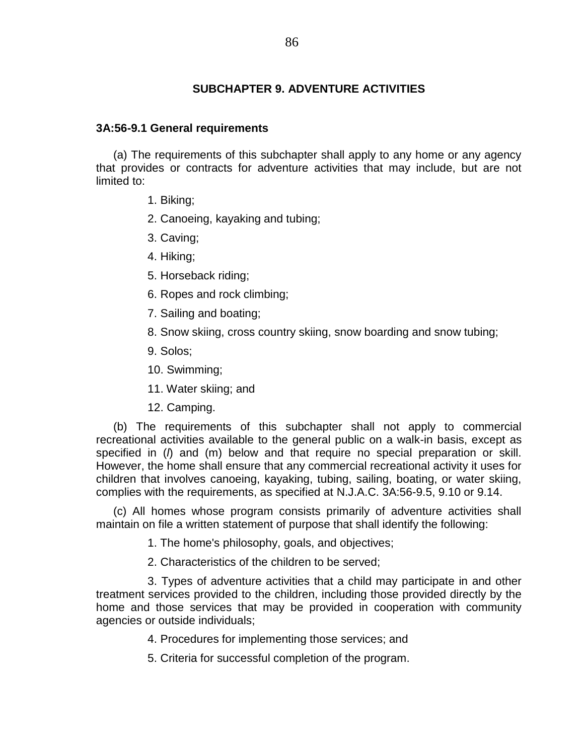# **SUBCHAPTER 9. ADVENTURE ACTIVITIES**

## **3A:56-9.1 General requirements**

(a) The requirements of this subchapter shall apply to any home or any agency that provides or contracts for adventure activities that may include, but are not limited to:

- 1. Biking;
- 2. Canoeing, kayaking and tubing;
- 3. Caving;
- 4. Hiking;
- 5. Horseback riding;
- 6. Ropes and rock climbing;
- 7. Sailing and boating;
- 8. Snow skiing, cross country skiing, snow boarding and snow tubing;
- 9. Solos;
- 10. Swimming;
- 11. Water skiing; and
- 12. Camping.

(b) The requirements of this subchapter shall not apply to commercial recreational activities available to the general public on a walk-in basis, except as specified in (*l*) and (m) below and that require no special preparation or skill. However, the home shall ensure that any commercial recreational activity it uses for children that involves canoeing, kayaking, tubing, sailing, boating, or water skiing, complies with the requirements, as specified at N.J.A.C. 3A:56-9.5, 9.10 or 9.14.

(c) All homes whose program consists primarily of adventure activities shall maintain on file a written statement of purpose that shall identify the following:

1. The home's philosophy, goals, and objectives;

2. Characteristics of the children to be served;

3. Types of adventure activities that a child may participate in and other treatment services provided to the children, including those provided directly by the home and those services that may be provided in cooperation with community agencies or outside individuals;

- 4. Procedures for implementing those services; and
- 5. Criteria for successful completion of the program.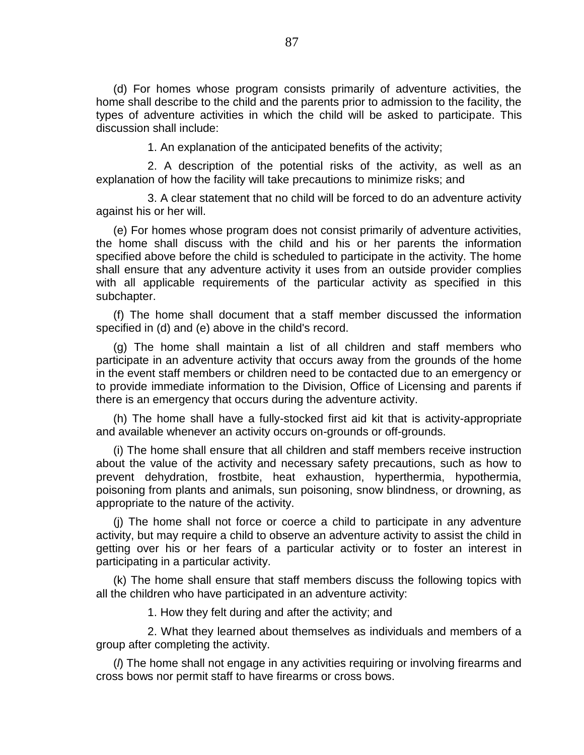(d) For homes whose program consists primarily of adventure activities, the home shall describe to the child and the parents prior to admission to the facility, the types of adventure activities in which the child will be asked to participate. This discussion shall include:

1. An explanation of the anticipated benefits of the activity;

2. A description of the potential risks of the activity, as well as an explanation of how the facility will take precautions to minimize risks; and

3. A clear statement that no child will be forced to do an adventure activity against his or her will.

(e) For homes whose program does not consist primarily of adventure activities, the home shall discuss with the child and his or her parents the information specified above before the child is scheduled to participate in the activity. The home shall ensure that any adventure activity it uses from an outside provider complies with all applicable requirements of the particular activity as specified in this subchapter.

(f) The home shall document that a staff member discussed the information specified in (d) and (e) above in the child's record.

(g) The home shall maintain a list of all children and staff members who participate in an adventure activity that occurs away from the grounds of the home in the event staff members or children need to be contacted due to an emergency or to provide immediate information to the Division, Office of Licensing and parents if there is an emergency that occurs during the adventure activity.

(h) The home shall have a fully-stocked first aid kit that is activity-appropriate and available whenever an activity occurs on-grounds or off-grounds.

(i) The home shall ensure that all children and staff members receive instruction about the value of the activity and necessary safety precautions, such as how to prevent dehydration, frostbite, heat exhaustion, hyperthermia, hypothermia, poisoning from plants and animals, sun poisoning, snow blindness, or drowning, as appropriate to the nature of the activity.

(j) The home shall not force or coerce a child to participate in any adventure activity, but may require a child to observe an adventure activity to assist the child in getting over his or her fears of a particular activity or to foster an interest in participating in a particular activity.

(k) The home shall ensure that staff members discuss the following topics with all the children who have participated in an adventure activity:

1. How they felt during and after the activity; and

2. What they learned about themselves as individuals and members of a group after completing the activity.

(*l*) The home shall not engage in any activities requiring or involving firearms and cross bows nor permit staff to have firearms or cross bows.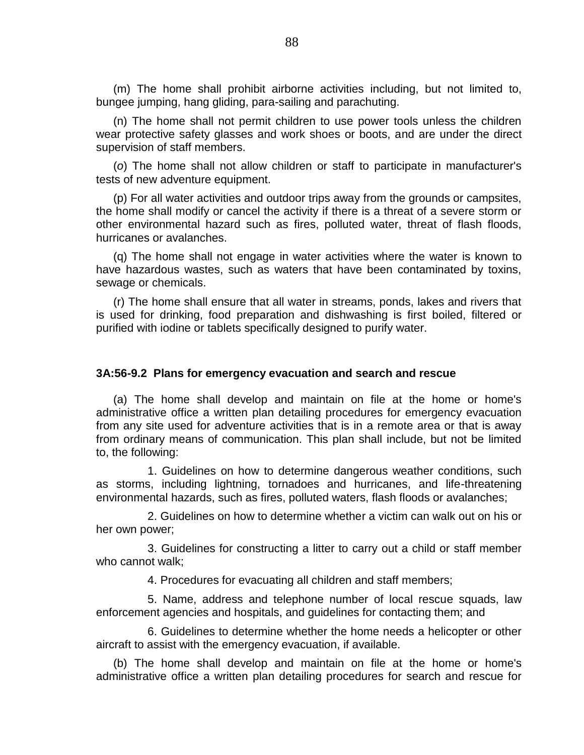(m) The home shall prohibit airborne activities including, but not limited to, bungee jumping, hang gliding, para-sailing and parachuting.

(n) The home shall not permit children to use power tools unless the children wear protective safety glasses and work shoes or boots, and are under the direct supervision of staff members.

(*o*) The home shall not allow children or staff to participate in manufacturer's tests of new adventure equipment.

(p) For all water activities and outdoor trips away from the grounds or campsites, the home shall modify or cancel the activity if there is a threat of a severe storm or other environmental hazard such as fires, polluted water, threat of flash floods, hurricanes or avalanches.

(q) The home shall not engage in water activities where the water is known to have hazardous wastes, such as waters that have been contaminated by toxins, sewage or chemicals.

(r) The home shall ensure that all water in streams, ponds, lakes and rivers that is used for drinking, food preparation and dishwashing is first boiled, filtered or purified with iodine or tablets specifically designed to purify water.

#### **3A:56-9.2 Plans for emergency evacuation and search and rescue**

(a) The home shall develop and maintain on file at the home or home's administrative office a written plan detailing procedures for emergency evacuation from any site used for adventure activities that is in a remote area or that is away from ordinary means of communication. This plan shall include, but not be limited to, the following:

1. Guidelines on how to determine dangerous weather conditions, such as storms, including lightning, tornadoes and hurricanes, and life-threatening environmental hazards, such as fires, polluted waters, flash floods or avalanches;

2. Guidelines on how to determine whether a victim can walk out on his or her own power;

3. Guidelines for constructing a litter to carry out a child or staff member who cannot walk;

4. Procedures for evacuating all children and staff members;

5. Name, address and telephone number of local rescue squads, law enforcement agencies and hospitals, and guidelines for contacting them; and

6. Guidelines to determine whether the home needs a helicopter or other aircraft to assist with the emergency evacuation, if available.

(b) The home shall develop and maintain on file at the home or home's administrative office a written plan detailing procedures for search and rescue for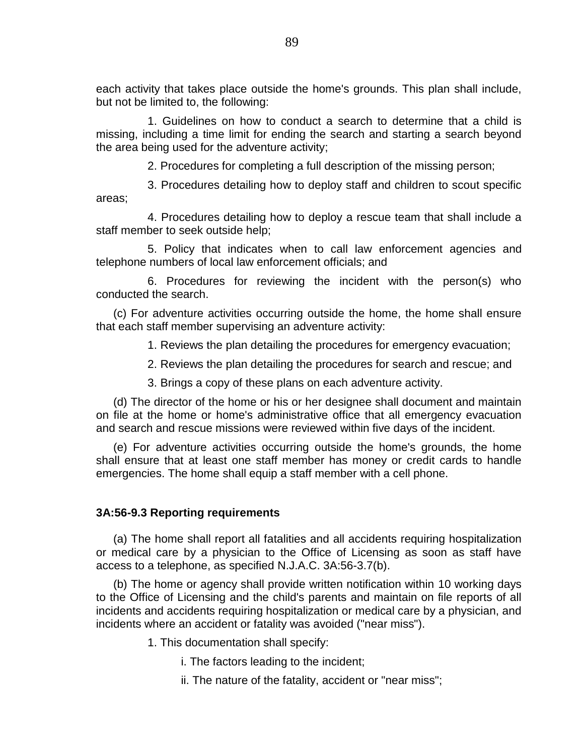each activity that takes place outside the home's grounds. This plan shall include, but not be limited to, the following:

1. Guidelines on how to conduct a search to determine that a child is missing, including a time limit for ending the search and starting a search beyond the area being used for the adventure activity;

2. Procedures for completing a full description of the missing person;

3. Procedures detailing how to deploy staff and children to scout specific areas;

4. Procedures detailing how to deploy a rescue team that shall include a staff member to seek outside help;

5. Policy that indicates when to call law enforcement agencies and telephone numbers of local law enforcement officials; and

6. Procedures for reviewing the incident with the person(s) who conducted the search.

(c) For adventure activities occurring outside the home, the home shall ensure that each staff member supervising an adventure activity:

1. Reviews the plan detailing the procedures for emergency evacuation;

2. Reviews the plan detailing the procedures for search and rescue; and

3. Brings a copy of these plans on each adventure activity.

(d) The director of the home or his or her designee shall document and maintain on file at the home or home's administrative office that all emergency evacuation and search and rescue missions were reviewed within five days of the incident.

(e) For adventure activities occurring outside the home's grounds, the home shall ensure that at least one staff member has money or credit cards to handle emergencies. The home shall equip a staff member with a cell phone.

## **3A:56-9.3 Reporting requirements**

(a) The home shall report all fatalities and all accidents requiring hospitalization or medical care by a physician to the Office of Licensing as soon as staff have access to a telephone, as specified N.J.A.C. 3A:56-3.7(b).

(b) The home or agency shall provide written notification within 10 working days to the Office of Licensing and the child's parents and maintain on file reports of all incidents and accidents requiring hospitalization or medical care by a physician, and incidents where an accident or fatality was avoided ("near miss").

1. This documentation shall specify:

- i. The factors leading to the incident;
- ii. The nature of the fatality, accident or "near miss";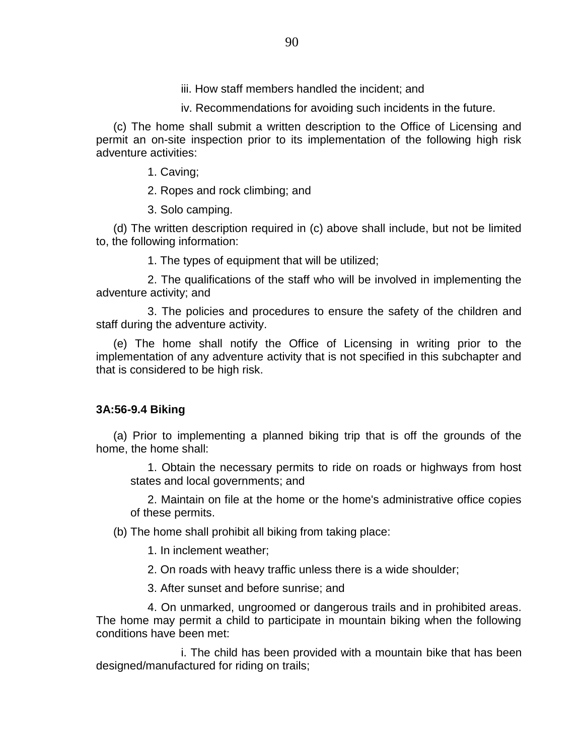iii. How staff members handled the incident; and

iv. Recommendations for avoiding such incidents in the future.

(c) The home shall submit a written description to the Office of Licensing and permit an on-site inspection prior to its implementation of the following high risk adventure activities:

1. Caving;

2. Ropes and rock climbing; and

3. Solo camping.

(d) The written description required in (c) above shall include, but not be limited to, the following information:

1. The types of equipment that will be utilized;

2. The qualifications of the staff who will be involved in implementing the adventure activity; and

3. The policies and procedures to ensure the safety of the children and staff during the adventure activity.

(e) The home shall notify the Office of Licensing in writing prior to the implementation of any adventure activity that is not specified in this subchapter and that is considered to be high risk.

## **3A:56-9.4 Biking**

(a) Prior to implementing a planned biking trip that is off the grounds of the home, the home shall:

1. Obtain the necessary permits to ride on roads or highways from host states and local governments; and

2. Maintain on file at the home or the home's administrative office copies of these permits.

(b) The home shall prohibit all biking from taking place:

1. In inclement weather;

2. On roads with heavy traffic unless there is a wide shoulder;

3. After sunset and before sunrise; and

4. On unmarked, ungroomed or dangerous trails and in prohibited areas. The home may permit a child to participate in mountain biking when the following conditions have been met:

i. The child has been provided with a mountain bike that has been designed/manufactured for riding on trails;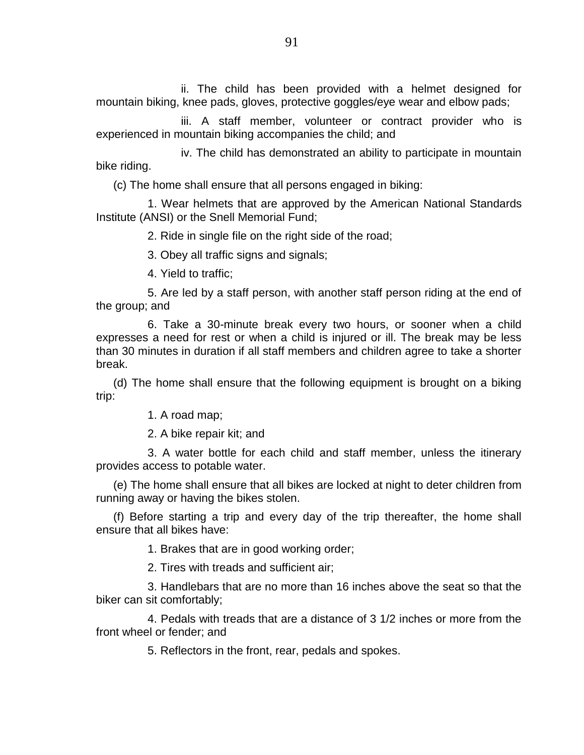ii. The child has been provided with a helmet designed for mountain biking, knee pads, gloves, protective goggles/eye wear and elbow pads;

iii. A staff member, volunteer or contract provider who is experienced in mountain biking accompanies the child; and

iv. The child has demonstrated an ability to participate in mountain bike riding.

(c) The home shall ensure that all persons engaged in biking:

1. Wear helmets that are approved by the American National Standards Institute (ANSI) or the Snell Memorial Fund;

2. Ride in single file on the right side of the road;

3. Obey all traffic signs and signals;

4. Yield to traffic;

5. Are led by a staff person, with another staff person riding at the end of the group; and

6. Take a 30-minute break every two hours, or sooner when a child expresses a need for rest or when a child is injured or ill. The break may be less than 30 minutes in duration if all staff members and children agree to take a shorter break.

(d) The home shall ensure that the following equipment is brought on a biking trip:

1. A road map;

2. A bike repair kit; and

3. A water bottle for each child and staff member, unless the itinerary provides access to potable water.

(e) The home shall ensure that all bikes are locked at night to deter children from running away or having the bikes stolen.

(f) Before starting a trip and every day of the trip thereafter, the home shall ensure that all bikes have:

1. Brakes that are in good working order;

2. Tires with treads and sufficient air;

3. Handlebars that are no more than 16 inches above the seat so that the biker can sit comfortably;

4. Pedals with treads that are a distance of 3 1/2 inches or more from the front wheel or fender; and

5. Reflectors in the front, rear, pedals and spokes.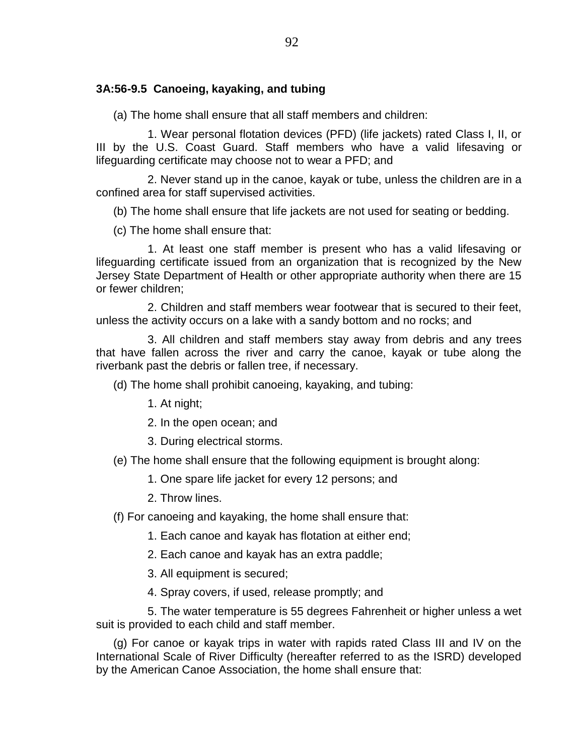# **3A:56-9.5 Canoeing, kayaking, and tubing**

(a) The home shall ensure that all staff members and children:

1. Wear personal flotation devices (PFD) (life jackets) rated Class I, II, or III by the U.S. Coast Guard. Staff members who have a valid lifesaving or lifeguarding certificate may choose not to wear a PFD; and

2. Never stand up in the canoe, kayak or tube, unless the children are in a confined area for staff supervised activities.

(b) The home shall ensure that life jackets are not used for seating or bedding.

(c) The home shall ensure that:

1. At least one staff member is present who has a valid lifesaving or lifeguarding certificate issued from an organization that is recognized by the New Jersey State Department of Health or other appropriate authority when there are 15 or fewer children;

2. Children and staff members wear footwear that is secured to their feet, unless the activity occurs on a lake with a sandy bottom and no rocks; and

3. All children and staff members stay away from debris and any trees that have fallen across the river and carry the canoe, kayak or tube along the riverbank past the debris or fallen tree, if necessary.

(d) The home shall prohibit canoeing, kayaking, and tubing:

1. At night;

2. In the open ocean; and

3. During electrical storms.

(e) The home shall ensure that the following equipment is brought along:

1. One spare life jacket for every 12 persons; and

2. Throw lines.

(f) For canoeing and kayaking, the home shall ensure that:

1. Each canoe and kayak has flotation at either end;

2. Each canoe and kayak has an extra paddle;

3. All equipment is secured;

4. Spray covers, if used, release promptly; and

5. The water temperature is 55 degrees Fahrenheit or higher unless a wet suit is provided to each child and staff member.

(g) For canoe or kayak trips in water with rapids rated Class III and IV on the International Scale of River Difficulty (hereafter referred to as the ISRD) developed by the American Canoe Association, the home shall ensure that: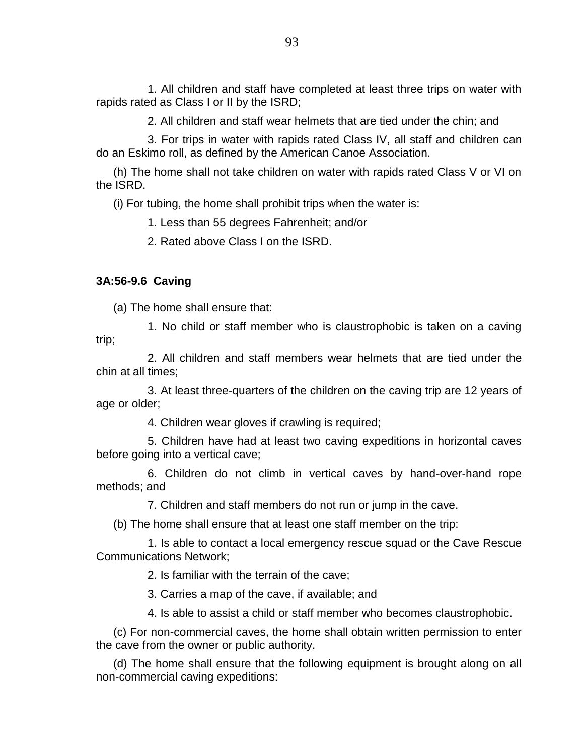1. All children and staff have completed at least three trips on water with rapids rated as Class I or II by the ISRD;

2. All children and staff wear helmets that are tied under the chin; and

3. For trips in water with rapids rated Class IV, all staff and children can do an Eskimo roll, as defined by the American Canoe Association.

(h) The home shall not take children on water with rapids rated Class V or VI on the ISRD.

(i) For tubing, the home shall prohibit trips when the water is:

1. Less than 55 degrees Fahrenheit; and/or

2. Rated above Class I on the ISRD.

## **3A:56-9.6 Caving**

(a) The home shall ensure that:

1. No child or staff member who is claustrophobic is taken on a caving trip;

2. All children and staff members wear helmets that are tied under the chin at all times;

3. At least three-quarters of the children on the caving trip are 12 years of age or older;

4. Children wear gloves if crawling is required;

5. Children have had at least two caving expeditions in horizontal caves before going into a vertical cave;

6. Children do not climb in vertical caves by hand-over-hand rope methods; and

7. Children and staff members do not run or jump in the cave.

(b) The home shall ensure that at least one staff member on the trip:

1. Is able to contact a local emergency rescue squad or the Cave Rescue Communications Network;

2. Is familiar with the terrain of the cave;

3. Carries a map of the cave, if available; and

4. Is able to assist a child or staff member who becomes claustrophobic.

(c) For non-commercial caves, the home shall obtain written permission to enter the cave from the owner or public authority.

(d) The home shall ensure that the following equipment is brought along on all non-commercial caving expeditions: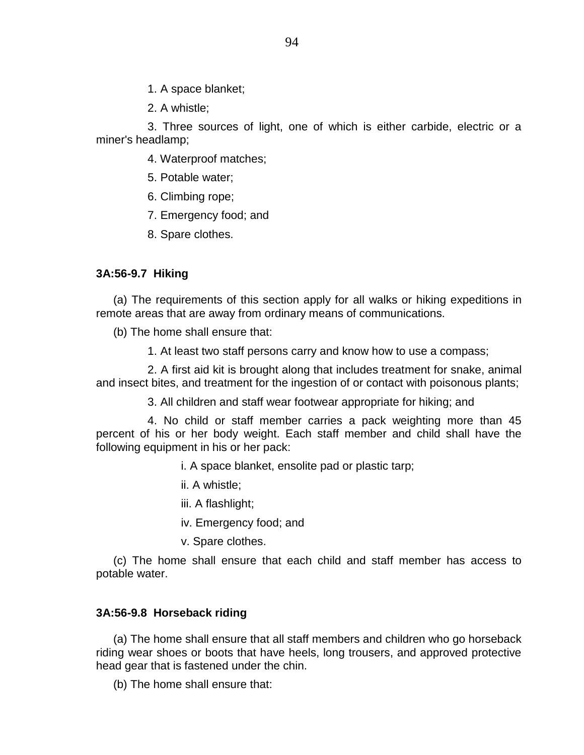1. A space blanket;

2. A whistle;

3. Three sources of light, one of which is either carbide, electric or a miner's headlamp;

4. Waterproof matches;

- 5. Potable water;
- 6. Climbing rope;
- 7. Emergency food; and
- 8. Spare clothes.

# **3A:56-9.7 Hiking**

(a) The requirements of this section apply for all walks or hiking expeditions in remote areas that are away from ordinary means of communications.

(b) The home shall ensure that:

1. At least two staff persons carry and know how to use a compass;

2. A first aid kit is brought along that includes treatment for snake, animal and insect bites, and treatment for the ingestion of or contact with poisonous plants;

3. All children and staff wear footwear appropriate for hiking; and

4. No child or staff member carries a pack weighting more than 45 percent of his or her body weight. Each staff member and child shall have the following equipment in his or her pack:

- i. A space blanket, ensolite pad or plastic tarp;
- ii. A whistle;
- iii. A flashlight;
- iv. Emergency food; and
- v. Spare clothes.

(c) The home shall ensure that each child and staff member has access to potable water.

# **3A:56-9.8 Horseback riding**

(a) The home shall ensure that all staff members and children who go horseback riding wear shoes or boots that have heels, long trousers, and approved protective head gear that is fastened under the chin.

(b) The home shall ensure that: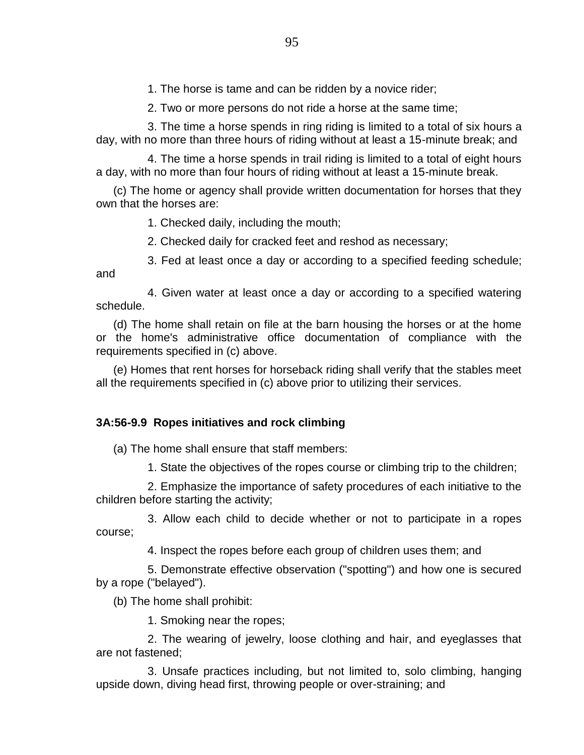1. The horse is tame and can be ridden by a novice rider;

2. Two or more persons do not ride a horse at the same time;

3. The time a horse spends in ring riding is limited to a total of six hours a day, with no more than three hours of riding without at least a 15-minute break; and

4. The time a horse spends in trail riding is limited to a total of eight hours a day, with no more than four hours of riding without at least a 15-minute break.

(c) The home or agency shall provide written documentation for horses that they own that the horses are:

1. Checked daily, including the mouth;

2. Checked daily for cracked feet and reshod as necessary;

3. Fed at least once a day or according to a specified feeding schedule; and

4. Given water at least once a day or according to a specified watering schedule.

(d) The home shall retain on file at the barn housing the horses or at the home or the home's administrative office documentation of compliance with the requirements specified in (c) above.

(e) Homes that rent horses for horseback riding shall verify that the stables meet all the requirements specified in (c) above prior to utilizing their services.

# **3A:56-9.9 Ropes initiatives and rock climbing**

(a) The home shall ensure that staff members:

1. State the objectives of the ropes course or climbing trip to the children;

2. Emphasize the importance of safety procedures of each initiative to the children before starting the activity;

3. Allow each child to decide whether or not to participate in a ropes course;

4. Inspect the ropes before each group of children uses them; and

5. Demonstrate effective observation ("spotting") and how one is secured by a rope ("belayed").

(b) The home shall prohibit:

1. Smoking near the ropes;

2. The wearing of jewelry, loose clothing and hair, and eyeglasses that are not fastened;

3. Unsafe practices including, but not limited to, solo climbing, hanging upside down, diving head first, throwing people or over-straining; and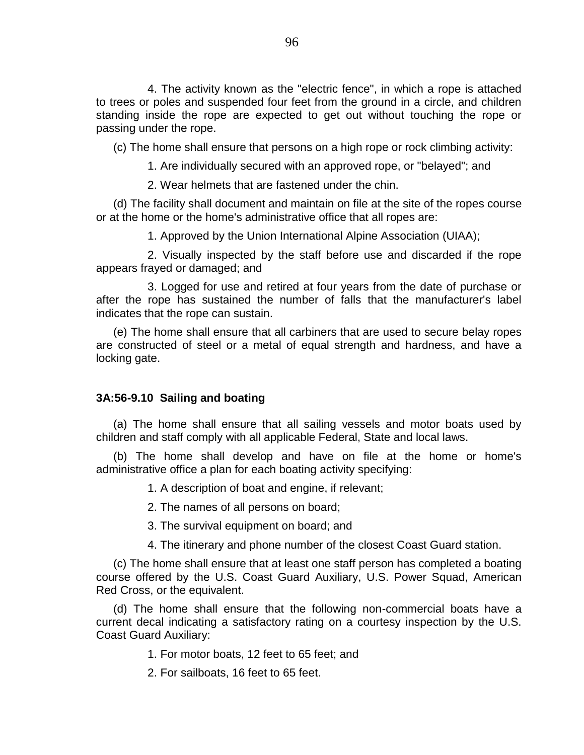4. The activity known as the "electric fence", in which a rope is attached to trees or poles and suspended four feet from the ground in a circle, and children standing inside the rope are expected to get out without touching the rope or passing under the rope.

(c) The home shall ensure that persons on a high rope or rock climbing activity:

1. Are individually secured with an approved rope, or "belayed"; and

2. Wear helmets that are fastened under the chin.

(d) The facility shall document and maintain on file at the site of the ropes course or at the home or the home's administrative office that all ropes are:

1. Approved by the Union International Alpine Association (UIAA);

2. Visually inspected by the staff before use and discarded if the rope appears frayed or damaged; and

3. Logged for use and retired at four years from the date of purchase or after the rope has sustained the number of falls that the manufacturer's label indicates that the rope can sustain.

(e) The home shall ensure that all carbiners that are used to secure belay ropes are constructed of steel or a metal of equal strength and hardness, and have a locking gate.

# **3A:56-9.10 Sailing and boating**

(a) The home shall ensure that all sailing vessels and motor boats used by children and staff comply with all applicable Federal, State and local laws.

(b) The home shall develop and have on file at the home or home's administrative office a plan for each boating activity specifying:

1. A description of boat and engine, if relevant;

2. The names of all persons on board;

3. The survival equipment on board; and

4. The itinerary and phone number of the closest Coast Guard station.

(c) The home shall ensure that at least one staff person has completed a boating course offered by the U.S. Coast Guard Auxiliary, U.S. Power Squad, American Red Cross, or the equivalent.

(d) The home shall ensure that the following non-commercial boats have a current decal indicating a satisfactory rating on a courtesy inspection by the U.S. Coast Guard Auxiliary:

1. For motor boats, 12 feet to 65 feet; and

2. For sailboats, 16 feet to 65 feet.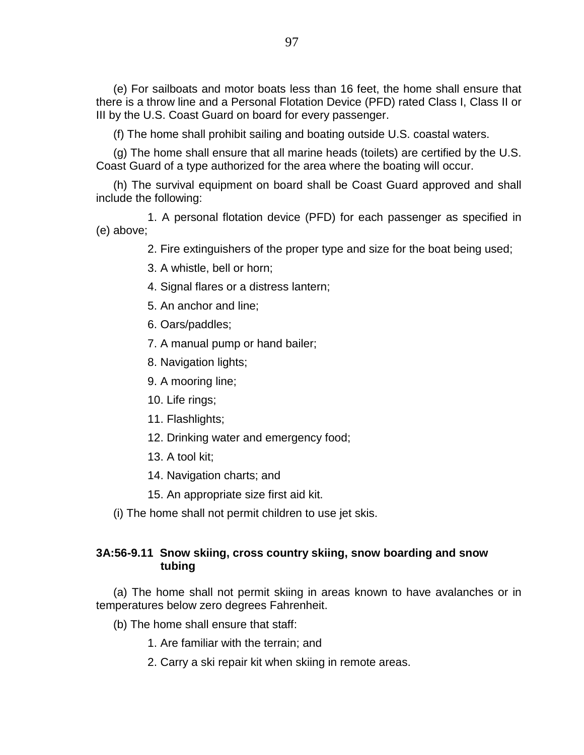(e) For sailboats and motor boats less than 16 feet, the home shall ensure that there is a throw line and a Personal Flotation Device (PFD) rated Class I, Class II or III by the U.S. Coast Guard on board for every passenger.

(f) The home shall prohibit sailing and boating outside U.S. coastal waters.

(g) The home shall ensure that all marine heads (toilets) are certified by the U.S. Coast Guard of a type authorized for the area where the boating will occur.

(h) The survival equipment on board shall be Coast Guard approved and shall include the following:

1. A personal flotation device (PFD) for each passenger as specified in (e) above;

2. Fire extinguishers of the proper type and size for the boat being used;

- 3. A whistle, bell or horn;
- 4. Signal flares or a distress lantern;
- 5. An anchor and line;
- 6. Oars/paddles;
- 7. A manual pump or hand bailer;
- 8. Navigation lights;
- 9. A mooring line;
- 10. Life rings;
- 11. Flashlights;
- 12. Drinking water and emergency food;
- 13. A tool kit;
- 14. Navigation charts; and
- 15. An appropriate size first aid kit.
- (i) The home shall not permit children to use jet skis.

# **3A:56-9.11 Snow skiing, cross country skiing, snow boarding and snow tubing**

(a) The home shall not permit skiing in areas known to have avalanches or in temperatures below zero degrees Fahrenheit.

- (b) The home shall ensure that staff:
	- 1. Are familiar with the terrain; and
	- 2. Carry a ski repair kit when skiing in remote areas.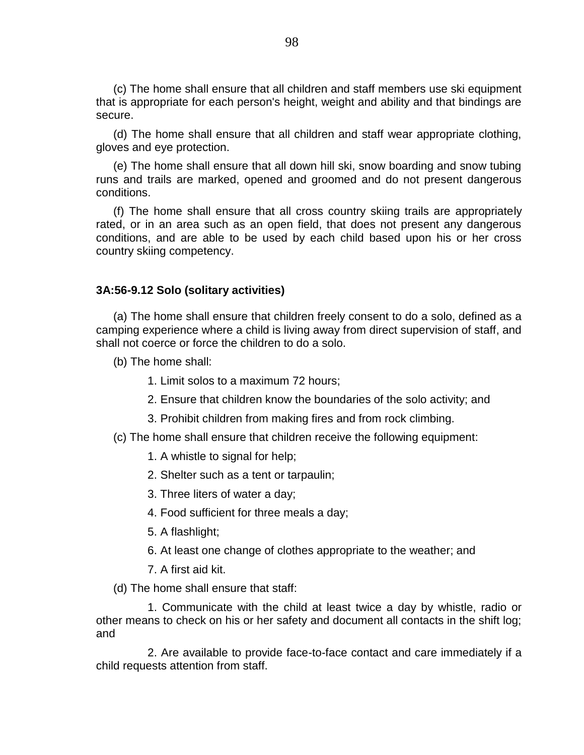(c) The home shall ensure that all children and staff members use ski equipment that is appropriate for each person's height, weight and ability and that bindings are secure.

(d) The home shall ensure that all children and staff wear appropriate clothing, gloves and eye protection.

(e) The home shall ensure that all down hill ski, snow boarding and snow tubing runs and trails are marked, opened and groomed and do not present dangerous conditions.

(f) The home shall ensure that all cross country skiing trails are appropriately rated, or in an area such as an open field, that does not present any dangerous conditions, and are able to be used by each child based upon his or her cross country skiing competency.

## **3A:56-9.12 Solo (solitary activities)**

(a) The home shall ensure that children freely consent to do a solo, defined as a camping experience where a child is living away from direct supervision of staff, and shall not coerce or force the children to do a solo.

(b) The home shall:

- 1. Limit solos to a maximum 72 hours;
- 2. Ensure that children know the boundaries of the solo activity; and
- 3. Prohibit children from making fires and from rock climbing.
- (c) The home shall ensure that children receive the following equipment:
	- 1. A whistle to signal for help;
	- 2. Shelter such as a tent or tarpaulin;
	- 3. Three liters of water a day;
	- 4. Food sufficient for three meals a day;
	- 5. A flashlight;
	- 6. At least one change of clothes appropriate to the weather; and
	- 7. A first aid kit.

(d) The home shall ensure that staff:

1. Communicate with the child at least twice a day by whistle, radio or other means to check on his or her safety and document all contacts in the shift log; and

2. Are available to provide face-to-face contact and care immediately if a child requests attention from staff.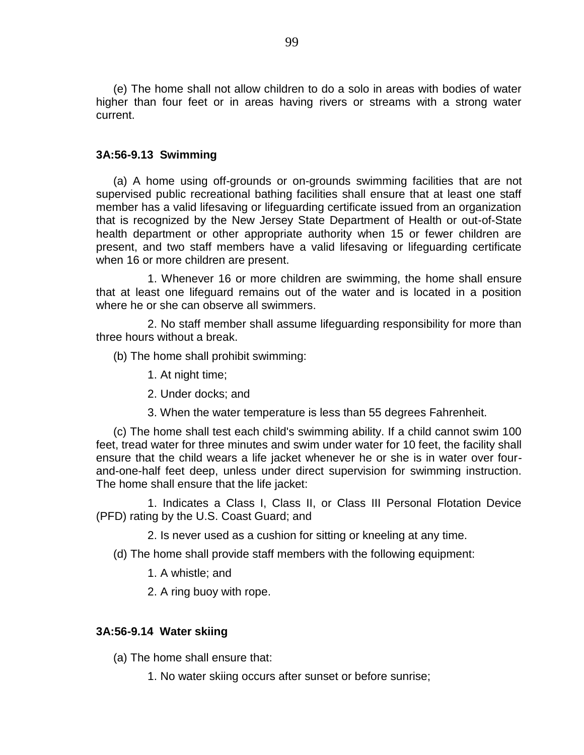(e) The home shall not allow children to do a solo in areas with bodies of water higher than four feet or in areas having rivers or streams with a strong water current.

## **3A:56-9.13 Swimming**

(a) A home using off-grounds or on-grounds swimming facilities that are not supervised public recreational bathing facilities shall ensure that at least one staff member has a valid lifesaving or lifeguarding certificate issued from an organization that is recognized by the New Jersey State Department of Health or out-of-State health department or other appropriate authority when 15 or fewer children are present, and two staff members have a valid lifesaving or lifeguarding certificate when 16 or more children are present.

1. Whenever 16 or more children are swimming, the home shall ensure that at least one lifeguard remains out of the water and is located in a position where he or she can observe all swimmers.

2. No staff member shall assume lifeguarding responsibility for more than three hours without a break.

(b) The home shall prohibit swimming:

- 1. At night time;
- 2. Under docks; and
- 3. When the water temperature is less than 55 degrees Fahrenheit.

(c) The home shall test each child's swimming ability. If a child cannot swim 100 feet, tread water for three minutes and swim under water for 10 feet, the facility shall ensure that the child wears a life jacket whenever he or she is in water over fourand-one-half feet deep, unless under direct supervision for swimming instruction. The home shall ensure that the life jacket:

1. Indicates a Class I, Class II, or Class III Personal Flotation Device (PFD) rating by the U.S. Coast Guard; and

2. Is never used as a cushion for sitting or kneeling at any time.

(d) The home shall provide staff members with the following equipment:

1. A whistle; and

2. A ring buoy with rope.

## **3A:56-9.14 Water skiing**

(a) The home shall ensure that:

1. No water skiing occurs after sunset or before sunrise;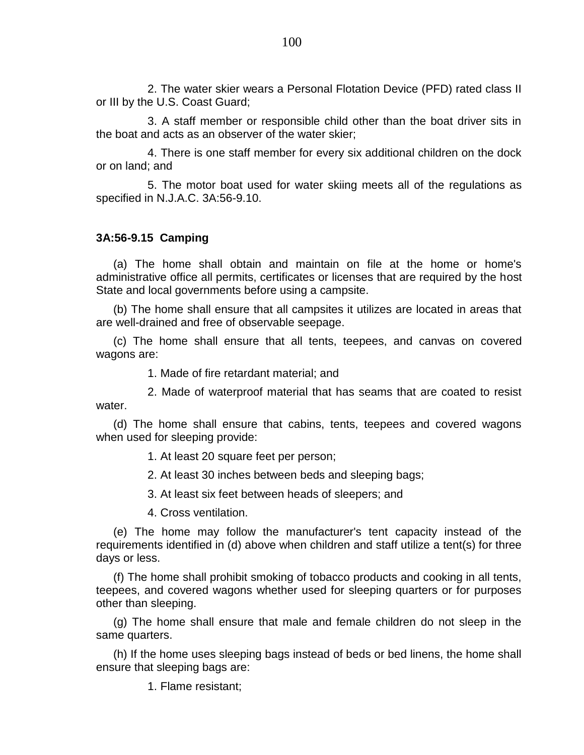2. The water skier wears a Personal Flotation Device (PFD) rated class II or III by the U.S. Coast Guard;

3. A staff member or responsible child other than the boat driver sits in the boat and acts as an observer of the water skier;

4. There is one staff member for every six additional children on the dock or on land; and

5. The motor boat used for water skiing meets all of the regulations as specified in N.J.A.C. 3A:56-9.10.

# **3A:56-9.15 Camping**

(a) The home shall obtain and maintain on file at the home or home's administrative office all permits, certificates or licenses that are required by the host State and local governments before using a campsite.

(b) The home shall ensure that all campsites it utilizes are located in areas that are well-drained and free of observable seepage.

(c) The home shall ensure that all tents, teepees, and canvas on covered wagons are:

1. Made of fire retardant material; and

2. Made of waterproof material that has seams that are coated to resist water.

(d) The home shall ensure that cabins, tents, teepees and covered wagons when used for sleeping provide:

1. At least 20 square feet per person;

2. At least 30 inches between beds and sleeping bags;

3. At least six feet between heads of sleepers; and

4. Cross ventilation.

(e) The home may follow the manufacturer's tent capacity instead of the requirements identified in (d) above when children and staff utilize a tent(s) for three days or less.

(f) The home shall prohibit smoking of tobacco products and cooking in all tents, teepees, and covered wagons whether used for sleeping quarters or for purposes other than sleeping.

(g) The home shall ensure that male and female children do not sleep in the same quarters.

(h) If the home uses sleeping bags instead of beds or bed linens, the home shall ensure that sleeping bags are:

1. Flame resistant;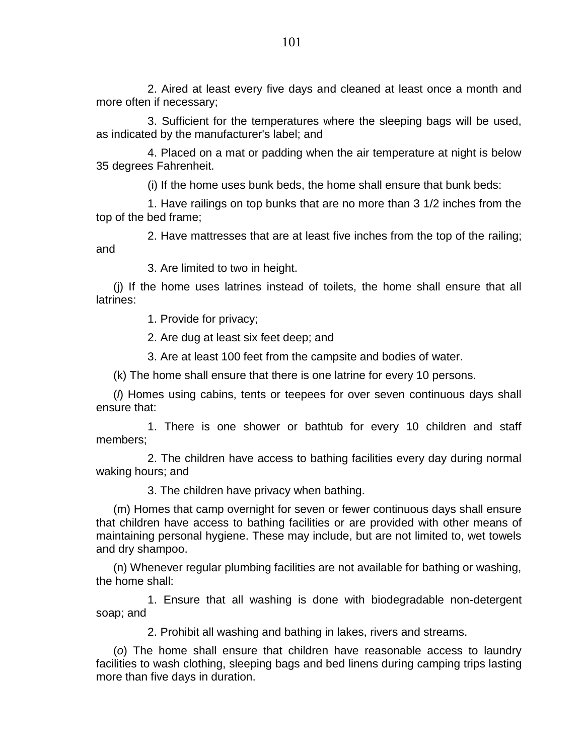2. Aired at least every five days and cleaned at least once a month and more often if necessary;

3. Sufficient for the temperatures where the sleeping bags will be used, as indicated by the manufacturer's label; and

4. Placed on a mat or padding when the air temperature at night is below 35 degrees Fahrenheit.

(i) If the home uses bunk beds, the home shall ensure that bunk beds:

1. Have railings on top bunks that are no more than 3 1/2 inches from the top of the bed frame;

2. Have mattresses that are at least five inches from the top of the railing; and

3. Are limited to two in height.

(j) If the home uses latrines instead of toilets, the home shall ensure that all latrines:

1. Provide for privacy;

2. Are dug at least six feet deep; and

3. Are at least 100 feet from the campsite and bodies of water.

(k) The home shall ensure that there is one latrine for every 10 persons.

(*l*) Homes using cabins, tents or teepees for over seven continuous days shall ensure that:

1. There is one shower or bathtub for every 10 children and staff members;

2. The children have access to bathing facilities every day during normal waking hours; and

3. The children have privacy when bathing.

(m) Homes that camp overnight for seven or fewer continuous days shall ensure that children have access to bathing facilities or are provided with other means of maintaining personal hygiene. These may include, but are not limited to, wet towels and dry shampoo.

(n) Whenever regular plumbing facilities are not available for bathing or washing, the home shall:

1. Ensure that all washing is done with biodegradable non-detergent soap; and

2. Prohibit all washing and bathing in lakes, rivers and streams.

(*o*) The home shall ensure that children have reasonable access to laundry facilities to wash clothing, sleeping bags and bed linens during camping trips lasting more than five days in duration.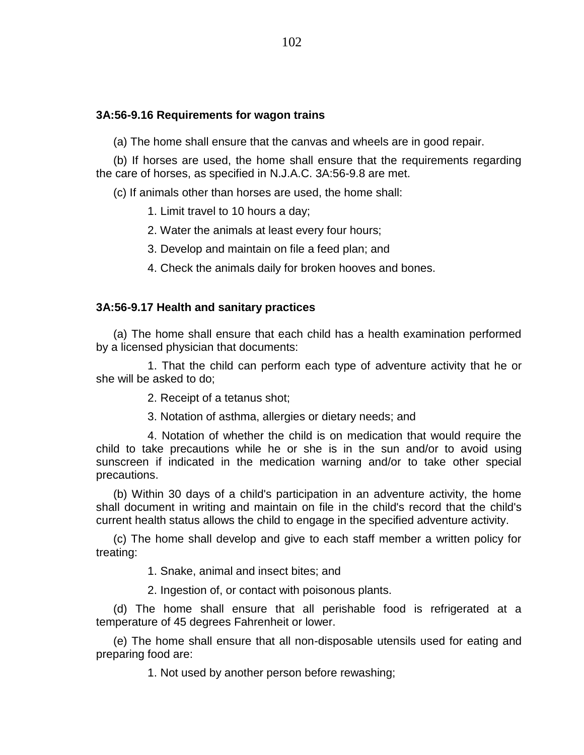## **3A:56-9.16 Requirements for wagon trains**

(a) The home shall ensure that the canvas and wheels are in good repair.

(b) If horses are used, the home shall ensure that the requirements regarding the care of horses, as specified in N.J.A.C. 3A:56-9.8 are met.

(c) If animals other than horses are used, the home shall:

1. Limit travel to 10 hours a day;

2. Water the animals at least every four hours;

3. Develop and maintain on file a feed plan; and

4. Check the animals daily for broken hooves and bones.

#### **3A:56-9.17 Health and sanitary practices**

(a) The home shall ensure that each child has a health examination performed by a licensed physician that documents:

1. That the child can perform each type of adventure activity that he or she will be asked to do;

2. Receipt of a tetanus shot;

3. Notation of asthma, allergies or dietary needs; and

4. Notation of whether the child is on medication that would require the child to take precautions while he or she is in the sun and/or to avoid using sunscreen if indicated in the medication warning and/or to take other special precautions.

(b) Within 30 days of a child's participation in an adventure activity, the home shall document in writing and maintain on file in the child's record that the child's current health status allows the child to engage in the specified adventure activity.

(c) The home shall develop and give to each staff member a written policy for treating:

1. Snake, animal and insect bites; and

2. Ingestion of, or contact with poisonous plants.

(d) The home shall ensure that all perishable food is refrigerated at a temperature of 45 degrees Fahrenheit or lower.

(e) The home shall ensure that all non-disposable utensils used for eating and preparing food are:

1. Not used by another person before rewashing;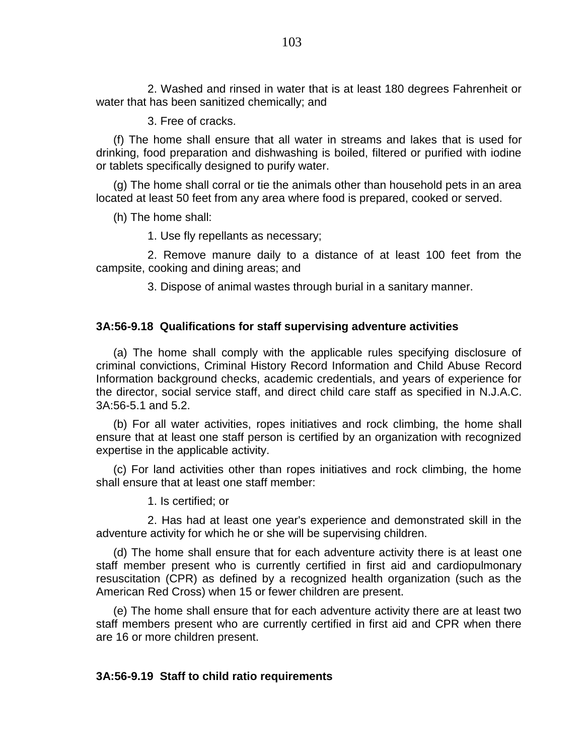2. Washed and rinsed in water that is at least 180 degrees Fahrenheit or water that has been sanitized chemically; and

3. Free of cracks.

(f) The home shall ensure that all water in streams and lakes that is used for drinking, food preparation and dishwashing is boiled, filtered or purified with iodine or tablets specifically designed to purify water.

(g) The home shall corral or tie the animals other than household pets in an area located at least 50 feet from any area where food is prepared, cooked or served.

(h) The home shall:

1. Use fly repellants as necessary;

2. Remove manure daily to a distance of at least 100 feet from the campsite, cooking and dining areas; and

3. Dispose of animal wastes through burial in a sanitary manner.

# **3A:56-9.18 Qualifications for staff supervising adventure activities**

(a) The home shall comply with the applicable rules specifying disclosure of criminal convictions, Criminal History Record Information and Child Abuse Record Information background checks, academic credentials, and years of experience for the director, social service staff, and direct child care staff as specified in N.J.A.C. 3A:56-5.1 and 5.2.

(b) For all water activities, ropes initiatives and rock climbing, the home shall ensure that at least one staff person is certified by an organization with recognized expertise in the applicable activity.

(c) For land activities other than ropes initiatives and rock climbing, the home shall ensure that at least one staff member:

1. Is certified; or

2. Has had at least one year's experience and demonstrated skill in the adventure activity for which he or she will be supervising children.

(d) The home shall ensure that for each adventure activity there is at least one staff member present who is currently certified in first aid and cardiopulmonary resuscitation (CPR) as defined by a recognized health organization (such as the American Red Cross) when 15 or fewer children are present.

(e) The home shall ensure that for each adventure activity there are at least two staff members present who are currently certified in first aid and CPR when there are 16 or more children present.

### **3A:56-9.19 Staff to child ratio requirements**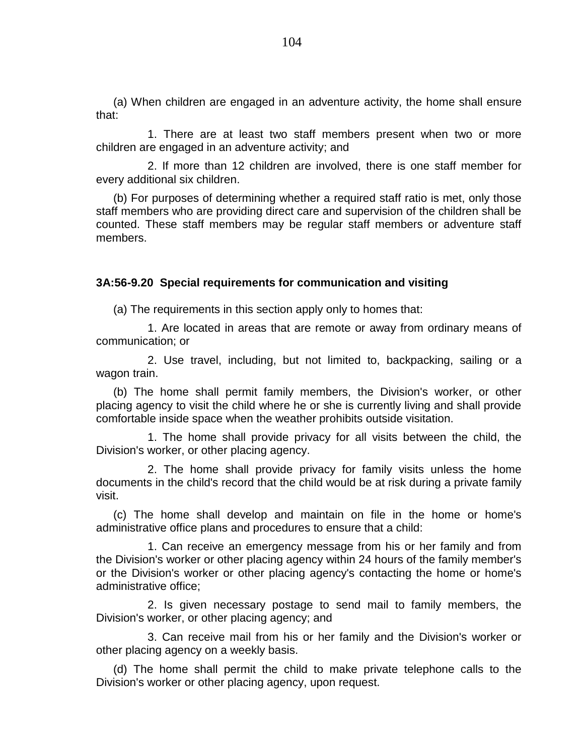(a) When children are engaged in an adventure activity, the home shall ensure that:

1. There are at least two staff members present when two or more children are engaged in an adventure activity; and

2. If more than 12 children are involved, there is one staff member for every additional six children.

(b) For purposes of determining whether a required staff ratio is met, only those staff members who are providing direct care and supervision of the children shall be counted. These staff members may be regular staff members or adventure staff members.

## **3A:56-9.20 Special requirements for communication and visiting**

(a) The requirements in this section apply only to homes that:

1. Are located in areas that are remote or away from ordinary means of communication; or

2. Use travel, including, but not limited to, backpacking, sailing or a wagon train.

(b) The home shall permit family members, the Division's worker, or other placing agency to visit the child where he or she is currently living and shall provide comfortable inside space when the weather prohibits outside visitation.

1. The home shall provide privacy for all visits between the child, the Division's worker, or other placing agency.

2. The home shall provide privacy for family visits unless the home documents in the child's record that the child would be at risk during a private family visit.

(c) The home shall develop and maintain on file in the home or home's administrative office plans and procedures to ensure that a child:

1. Can receive an emergency message from his or her family and from the Division's worker or other placing agency within 24 hours of the family member's or the Division's worker or other placing agency's contacting the home or home's administrative office;

2. Is given necessary postage to send mail to family members, the Division's worker, or other placing agency; and

3. Can receive mail from his or her family and the Division's worker or other placing agency on a weekly basis.

(d) The home shall permit the child to make private telephone calls to the Division's worker or other placing agency, upon request.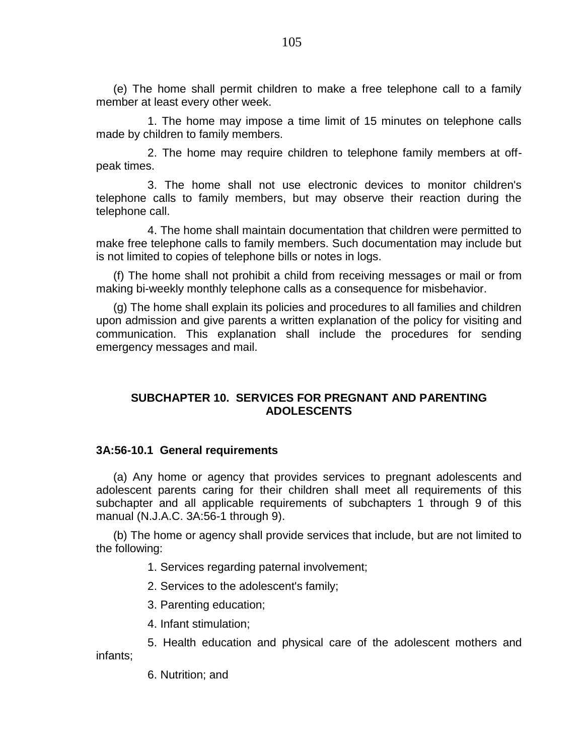(e) The home shall permit children to make a free telephone call to a family member at least every other week.

1. The home may impose a time limit of 15 minutes on telephone calls made by children to family members.

2. The home may require children to telephone family members at offpeak times.

3. The home shall not use electronic devices to monitor children's telephone calls to family members, but may observe their reaction during the telephone call.

4. The home shall maintain documentation that children were permitted to make free telephone calls to family members. Such documentation may include but is not limited to copies of telephone bills or notes in logs.

(f) The home shall not prohibit a child from receiving messages or mail or from making bi-weekly monthly telephone calls as a consequence for misbehavior.

(g) The home shall explain its policies and procedures to all families and children upon admission and give parents a written explanation of the policy for visiting and communication. This explanation shall include the procedures for sending emergency messages and mail.

# **SUBCHAPTER 10. SERVICES FOR PREGNANT AND PARENTING ADOLESCENTS**

### **3A:56-10.1 General requirements**

(a) Any home or agency that provides services to pregnant adolescents and adolescent parents caring for their children shall meet all requirements of this subchapter and all applicable requirements of subchapters 1 through 9 of this manual (N.J.A.C. 3A:56-1 through 9).

(b) The home or agency shall provide services that include, but are not limited to the following:

1. Services regarding paternal involvement;

2. Services to the adolescent's family;

3. Parenting education;

4. Infant stimulation;

5. Health education and physical care of the adolescent mothers and infants;

6. Nutrition; and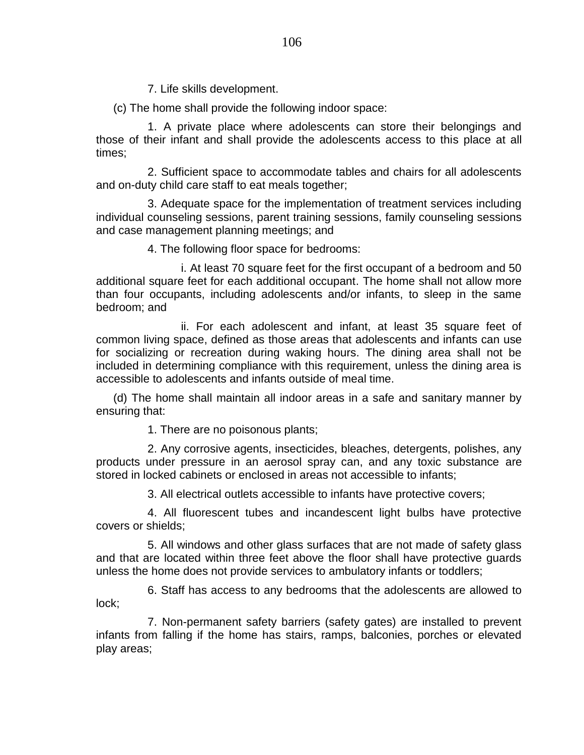7. Life skills development.

(c) The home shall provide the following indoor space:

1. A private place where adolescents can store their belongings and those of their infant and shall provide the adolescents access to this place at all times;

2. Sufficient space to accommodate tables and chairs for all adolescents and on-duty child care staff to eat meals together;

3. Adequate space for the implementation of treatment services including individual counseling sessions, parent training sessions, family counseling sessions and case management planning meetings; and

4. The following floor space for bedrooms:

i. At least 70 square feet for the first occupant of a bedroom and 50 additional square feet for each additional occupant. The home shall not allow more than four occupants, including adolescents and/or infants, to sleep in the same bedroom; and

ii. For each adolescent and infant, at least 35 square feet of common living space, defined as those areas that adolescents and infants can use for socializing or recreation during waking hours. The dining area shall not be included in determining compliance with this requirement, unless the dining area is accessible to adolescents and infants outside of meal time.

(d) The home shall maintain all indoor areas in a safe and sanitary manner by ensuring that:

1. There are no poisonous plants;

2. Any corrosive agents, insecticides, bleaches, detergents, polishes, any products under pressure in an aerosol spray can, and any toxic substance are stored in locked cabinets or enclosed in areas not accessible to infants;

3. All electrical outlets accessible to infants have protective covers;

4. All fluorescent tubes and incandescent light bulbs have protective covers or shields;

5. All windows and other glass surfaces that are not made of safety glass and that are located within three feet above the floor shall have protective guards unless the home does not provide services to ambulatory infants or toddlers;

6. Staff has access to any bedrooms that the adolescents are allowed to lock;

7. Non-permanent safety barriers (safety gates) are installed to prevent infants from falling if the home has stairs, ramps, balconies, porches or elevated play areas;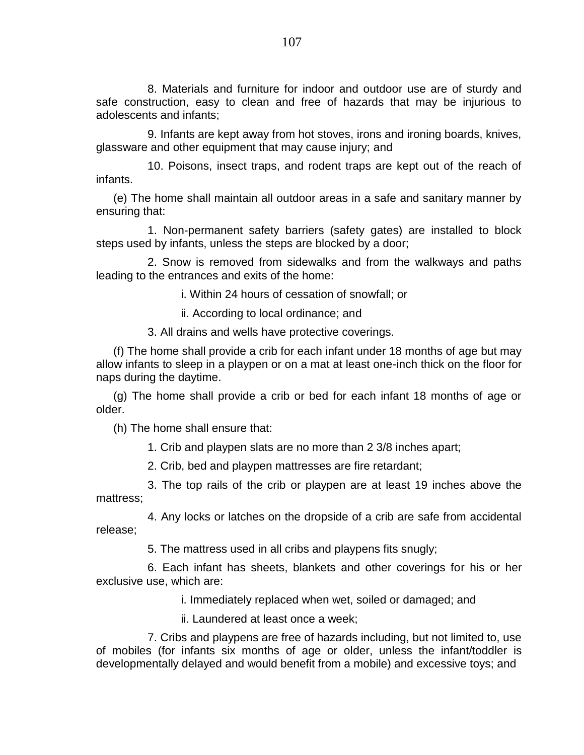8. Materials and furniture for indoor and outdoor use are of sturdy and safe construction, easy to clean and free of hazards that may be injurious to adolescents and infants;

9. Infants are kept away from hot stoves, irons and ironing boards, knives, glassware and other equipment that may cause injury; and

10. Poisons, insect traps, and rodent traps are kept out of the reach of infants.

(e) The home shall maintain all outdoor areas in a safe and sanitary manner by ensuring that:

1. Non-permanent safety barriers (safety gates) are installed to block steps used by infants, unless the steps are blocked by a door;

2. Snow is removed from sidewalks and from the walkways and paths leading to the entrances and exits of the home:

i. Within 24 hours of cessation of snowfall; or

ii. According to local ordinance; and

3. All drains and wells have protective coverings.

(f) The home shall provide a crib for each infant under 18 months of age but may allow infants to sleep in a playpen or on a mat at least one-inch thick on the floor for naps during the daytime.

(g) The home shall provide a crib or bed for each infant 18 months of age or older.

(h) The home shall ensure that:

1. Crib and playpen slats are no more than 2 3/8 inches apart;

2. Crib, bed and playpen mattresses are fire retardant;

3. The top rails of the crib or playpen are at least 19 inches above the mattress;

4. Any locks or latches on the dropside of a crib are safe from accidental release;

5. The mattress used in all cribs and playpens fits snugly;

6. Each infant has sheets, blankets and other coverings for his or her exclusive use, which are:

i. Immediately replaced when wet, soiled or damaged; and

ii. Laundered at least once a week;

7. Cribs and playpens are free of hazards including, but not limited to, use of mobiles (for infants six months of age or older, unless the infant/toddler is developmentally delayed and would benefit from a mobile) and excessive toys; and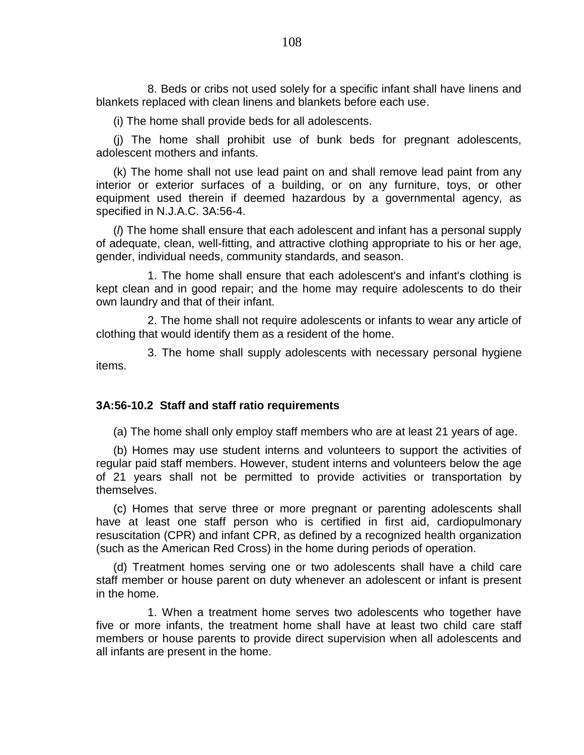8. Beds or cribs not used solely for a specific infant shall have linens and blankets replaced with clean linens and blankets before each use.

(i) The home shall provide beds for all adolescents.

(j) The home shall prohibit use of bunk beds for pregnant adolescents, adolescent mothers and infants.

(k) The home shall not use lead paint on and shall remove lead paint from any interior or exterior surfaces of a building, or on any furniture, toys, or other equipment used therein if deemed hazardous by a governmental agency, as specified in N.J.A.C. 3A:56-4.

(*l*) The home shall ensure that each adolescent and infant has a personal supply of adequate, clean, well-fitting, and attractive clothing appropriate to his or her age, gender, individual needs, community standards, and season.

1. The home shall ensure that each adolescent's and infant's clothing is kept clean and in good repair; and the home may require adolescents to do their own laundry and that of their infant.

2. The home shall not require adolescents or infants to wear any article of clothing that would identify them as a resident of the home.

3. The home shall supply adolescents with necessary personal hygiene items.

### **3A:56-10.2 Staff and staff ratio requirements**

(a) The home shall only employ staff members who are at least 21 years of age.

(b) Homes may use student interns and volunteers to support the activities of regular paid staff members. However, student interns and volunteers below the age of 21 years shall not be permitted to provide activities or transportation by themselves.

(c) Homes that serve three or more pregnant or parenting adolescents shall have at least one staff person who is certified in first aid, cardiopulmonary resuscitation (CPR) and infant CPR, as defined by a recognized health organization (such as the American Red Cross) in the home during periods of operation.

(d) Treatment homes serving one or two adolescents shall have a child care staff member or house parent on duty whenever an adolescent or infant is present in the home.

1. When a treatment home serves two adolescents who together have five or more infants, the treatment home shall have at least two child care staff members or house parents to provide direct supervision when all adolescents and all infants are present in the home.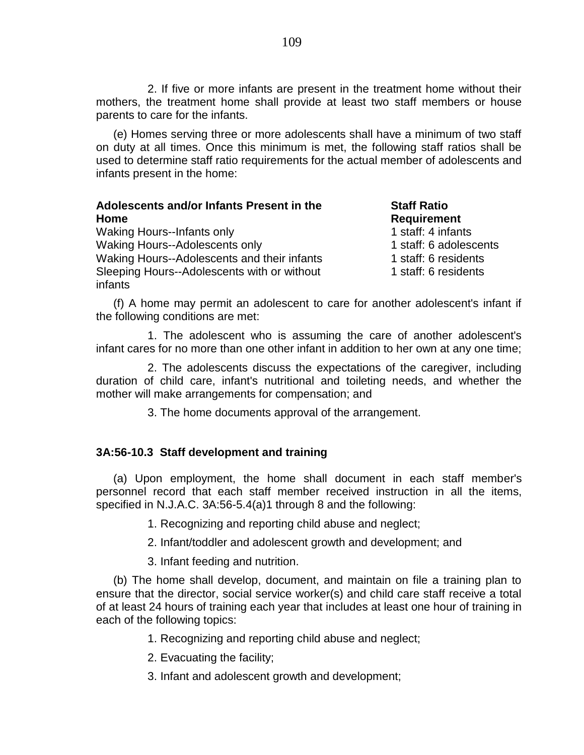2. If five or more infants are present in the treatment home without their mothers, the treatment home shall provide at least two staff members or house parents to care for the infants.

(e) Homes serving three or more adolescents shall have a minimum of two staff on duty at all times. Once this minimum is met, the following staff ratios shall be used to determine staff ratio requirements for the actual member of adolescents and infants present in the home:

| Adolescents and/or Infants Present in the              | <b>Staff Ratio</b>     |
|--------------------------------------------------------|------------------------|
| Home                                                   | <b>Requirement</b>     |
| <b>Waking Hours--Infants only</b>                      | 1 staff: 4 infants     |
| Waking Hours--Adolescents only                         | 1 staff: 6 adolescents |
| Waking Hours--Adolescents and their infants            | 1 staff: 6 residents   |
| Sleeping Hours--Adolescents with or without<br>infants | 1 staff: 6 residents   |

(f) A home may permit an adolescent to care for another adolescent's infant if the following conditions are met:

1. The adolescent who is assuming the care of another adolescent's infant cares for no more than one other infant in addition to her own at any one time;

2. The adolescents discuss the expectations of the caregiver, including duration of child care, infant's nutritional and toileting needs, and whether the mother will make arrangements for compensation; and

3. The home documents approval of the arrangement.

## **3A:56-10.3 Staff development and training**

(a) Upon employment, the home shall document in each staff member's personnel record that each staff member received instruction in all the items, specified in N.J.A.C. 3A:56-5.4(a)1 through 8 and the following:

1. Recognizing and reporting child abuse and neglect;

2. Infant/toddler and adolescent growth and development; and

3. Infant feeding and nutrition.

(b) The home shall develop, document, and maintain on file a training plan to ensure that the director, social service worker(s) and child care staff receive a total of at least 24 hours of training each year that includes at least one hour of training in each of the following topics:

1. Recognizing and reporting child abuse and neglect;

2. Evacuating the facility;

3. Infant and adolescent growth and development;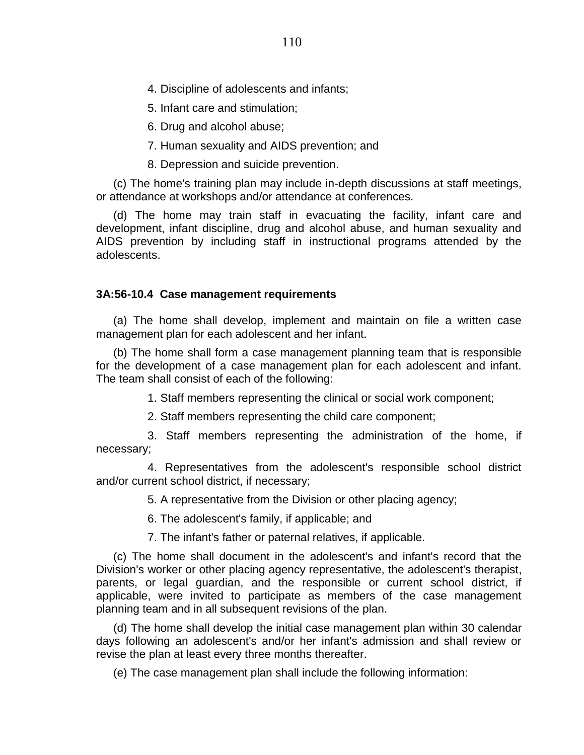4. Discipline of adolescents and infants;

5. Infant care and stimulation;

6. Drug and alcohol abuse;

7. Human sexuality and AIDS prevention; and

8. Depression and suicide prevention.

(c) The home's training plan may include in-depth discussions at staff meetings, or attendance at workshops and/or attendance at conferences.

(d) The home may train staff in evacuating the facility, infant care and development, infant discipline, drug and alcohol abuse, and human sexuality and AIDS prevention by including staff in instructional programs attended by the adolescents.

# **3A:56-10.4 Case management requirements**

(a) The home shall develop, implement and maintain on file a written case management plan for each adolescent and her infant.

(b) The home shall form a case management planning team that is responsible for the development of a case management plan for each adolescent and infant. The team shall consist of each of the following:

1. Staff members representing the clinical or social work component;

2. Staff members representing the child care component;

3. Staff members representing the administration of the home, if necessary;

4. Representatives from the adolescent's responsible school district and/or current school district, if necessary;

5. A representative from the Division or other placing agency;

6. The adolescent's family, if applicable; and

7. The infant's father or paternal relatives, if applicable.

(c) The home shall document in the adolescent's and infant's record that the Division's worker or other placing agency representative, the adolescent's therapist, parents, or legal guardian, and the responsible or current school district, if applicable, were invited to participate as members of the case management planning team and in all subsequent revisions of the plan.

(d) The home shall develop the initial case management plan within 30 calendar days following an adolescent's and/or her infant's admission and shall review or revise the plan at least every three months thereafter.

(e) The case management plan shall include the following information: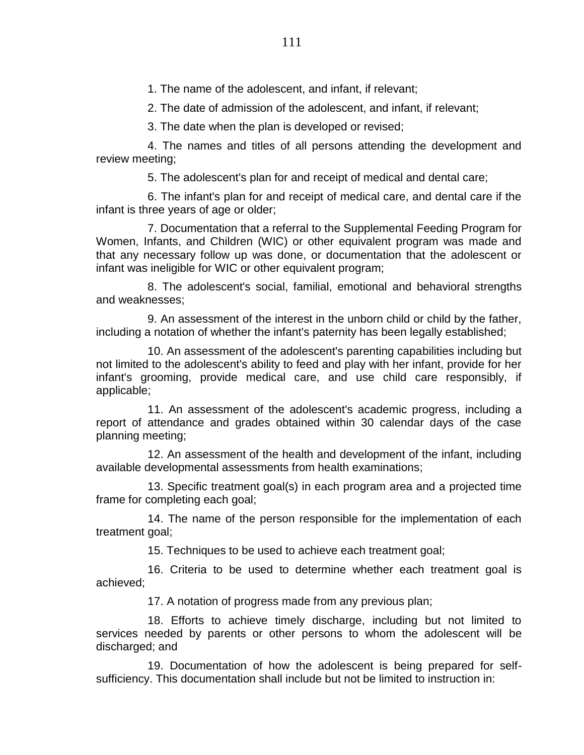1. The name of the adolescent, and infant, if relevant;

2. The date of admission of the adolescent, and infant, if relevant;

3. The date when the plan is developed or revised;

4. The names and titles of all persons attending the development and review meeting;

5. The adolescent's plan for and receipt of medical and dental care;

6. The infant's plan for and receipt of medical care, and dental care if the infant is three years of age or older;

7. Documentation that a referral to the Supplemental Feeding Program for Women, Infants, and Children (WIC) or other equivalent program was made and that any necessary follow up was done, or documentation that the adolescent or infant was ineligible for WIC or other equivalent program;

8. The adolescent's social, familial, emotional and behavioral strengths and weaknesses;

9. An assessment of the interest in the unborn child or child by the father, including a notation of whether the infant's paternity has been legally established;

10. An assessment of the adolescent's parenting capabilities including but not limited to the adolescent's ability to feed and play with her infant, provide for her infant's grooming, provide medical care, and use child care responsibly, if applicable;

11. An assessment of the adolescent's academic progress, including a report of attendance and grades obtained within 30 calendar days of the case planning meeting;

12. An assessment of the health and development of the infant, including available developmental assessments from health examinations;

13. Specific treatment goal(s) in each program area and a projected time frame for completing each goal;

14. The name of the person responsible for the implementation of each treatment goal;

15. Techniques to be used to achieve each treatment goal;

16. Criteria to be used to determine whether each treatment goal is achieved;

17. A notation of progress made from any previous plan;

18. Efforts to achieve timely discharge, including but not limited to services needed by parents or other persons to whom the adolescent will be discharged; and

19. Documentation of how the adolescent is being prepared for selfsufficiency. This documentation shall include but not be limited to instruction in: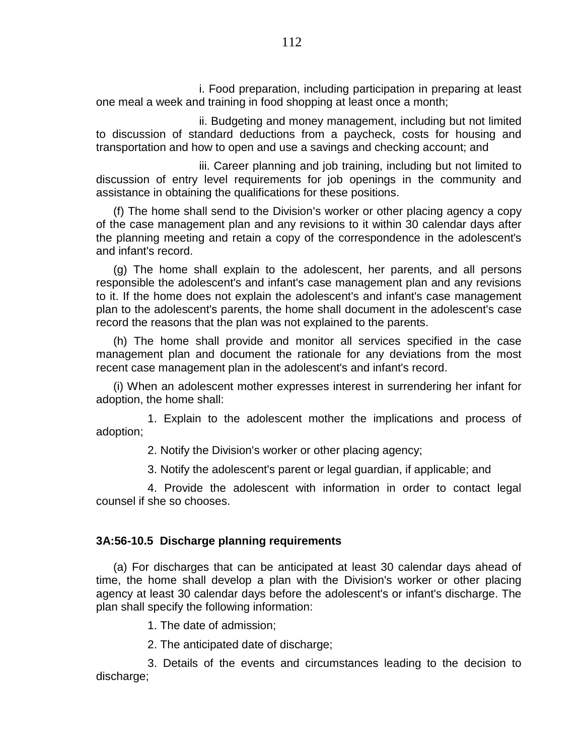i. Food preparation, including participation in preparing at least one meal a week and training in food shopping at least once a month;

ii. Budgeting and money management, including but not limited to discussion of standard deductions from a paycheck, costs for housing and transportation and how to open and use a savings and checking account; and

iii. Career planning and job training, including but not limited to discussion of entry level requirements for job openings in the community and assistance in obtaining the qualifications for these positions.

(f) The home shall send to the Division's worker or other placing agency a copy of the case management plan and any revisions to it within 30 calendar days after the planning meeting and retain a copy of the correspondence in the adolescent's and infant's record.

(g) The home shall explain to the adolescent, her parents, and all persons responsible the adolescent's and infant's case management plan and any revisions to it. If the home does not explain the adolescent's and infant's case management plan to the adolescent's parents, the home shall document in the adolescent's case record the reasons that the plan was not explained to the parents.

(h) The home shall provide and monitor all services specified in the case management plan and document the rationale for any deviations from the most recent case management plan in the adolescent's and infant's record.

(i) When an adolescent mother expresses interest in surrendering her infant for adoption, the home shall:

1. Explain to the adolescent mother the implications and process of adoption;

2. Notify the Division's worker or other placing agency;

3. Notify the adolescent's parent or legal guardian, if applicable; and

4. Provide the adolescent with information in order to contact legal counsel if she so chooses.

### **3A:56-10.5 Discharge planning requirements**

(a) For discharges that can be anticipated at least 30 calendar days ahead of time, the home shall develop a plan with the Division's worker or other placing agency at least 30 calendar days before the adolescent's or infant's discharge. The plan shall specify the following information:

1. The date of admission;

2. The anticipated date of discharge;

3. Details of the events and circumstances leading to the decision to discharge;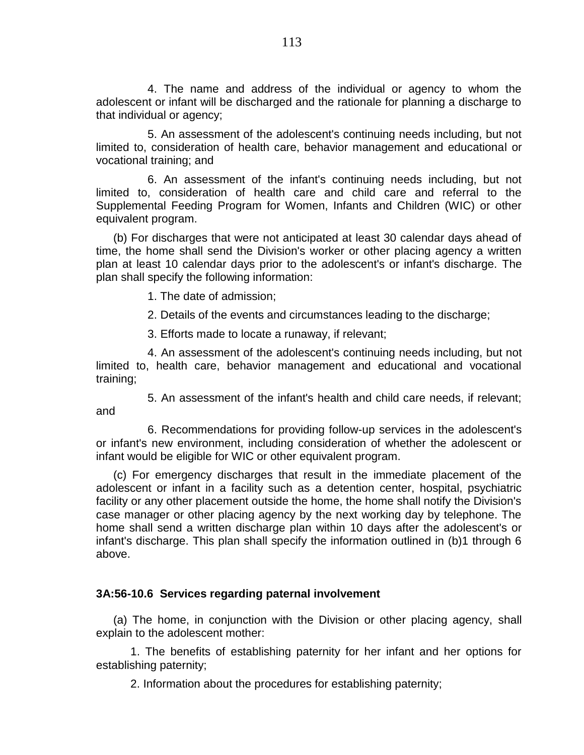4. The name and address of the individual or agency to whom the adolescent or infant will be discharged and the rationale for planning a discharge to that individual or agency;

5. An assessment of the adolescent's continuing needs including, but not limited to, consideration of health care, behavior management and educational or vocational training; and

6. An assessment of the infant's continuing needs including, but not limited to, consideration of health care and child care and referral to the Supplemental Feeding Program for Women, Infants and Children (WIC) or other equivalent program.

(b) For discharges that were not anticipated at least 30 calendar days ahead of time, the home shall send the Division's worker or other placing agency a written plan at least 10 calendar days prior to the adolescent's or infant's discharge. The plan shall specify the following information:

1. The date of admission;

2. Details of the events and circumstances leading to the discharge;

3. Efforts made to locate a runaway, if relevant;

4. An assessment of the adolescent's continuing needs including, but not limited to, health care, behavior management and educational and vocational training;

5. An assessment of the infant's health and child care needs, if relevant; and

6. Recommendations for providing follow-up services in the adolescent's or infant's new environment, including consideration of whether the adolescent or infant would be eligible for WIC or other equivalent program.

(c) For emergency discharges that result in the immediate placement of the adolescent or infant in a facility such as a detention center, hospital, psychiatric facility or any other placement outside the home, the home shall notify the Division's case manager or other placing agency by the next working day by telephone. The home shall send a written discharge plan within 10 days after the adolescent's or infant's discharge. This plan shall specify the information outlined in (b)1 through 6 above.

# **3A:56-10.6 Services regarding paternal involvement**

(a) The home, in conjunction with the Division or other placing agency, shall explain to the adolescent mother:

1. The benefits of establishing paternity for her infant and her options for establishing paternity;

2. Information about the procedures for establishing paternity;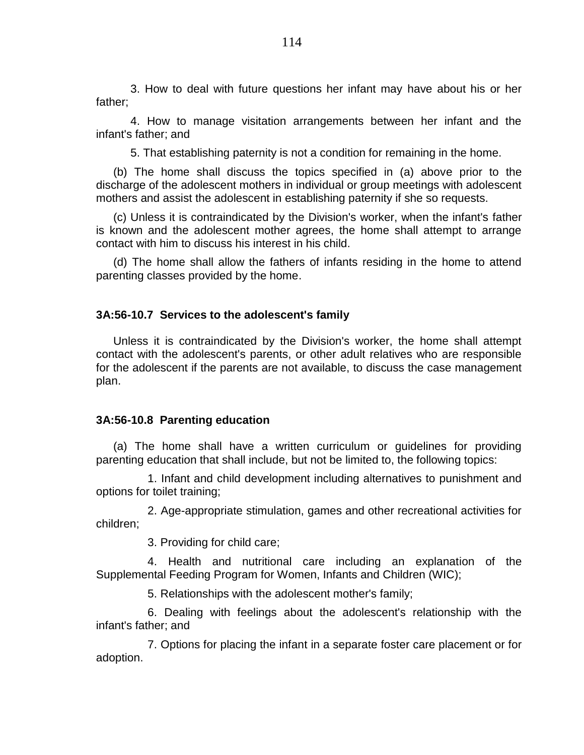3. How to deal with future questions her infant may have about his or her father;

4. How to manage visitation arrangements between her infant and the infant's father; and

5. That establishing paternity is not a condition for remaining in the home.

(b) The home shall discuss the topics specified in (a) above prior to the discharge of the adolescent mothers in individual or group meetings with adolescent mothers and assist the adolescent in establishing paternity if she so requests.

(c) Unless it is contraindicated by the Division's worker, when the infant's father is known and the adolescent mother agrees, the home shall attempt to arrange contact with him to discuss his interest in his child.

(d) The home shall allow the fathers of infants residing in the home to attend parenting classes provided by the home.

### **3A:56-10.7 Services to the adolescent's family**

Unless it is contraindicated by the Division's worker, the home shall attempt contact with the adolescent's parents, or other adult relatives who are responsible for the adolescent if the parents are not available, to discuss the case management plan.

### **3A:56-10.8 Parenting education**

(a) The home shall have a written curriculum or guidelines for providing parenting education that shall include, but not be limited to, the following topics:

1. Infant and child development including alternatives to punishment and options for toilet training;

2. Age-appropriate stimulation, games and other recreational activities for children;

3. Providing for child care;

4. Health and nutritional care including an explanation of the Supplemental Feeding Program for Women, Infants and Children (WIC);

5. Relationships with the adolescent mother's family;

6. Dealing with feelings about the adolescent's relationship with the infant's father; and

7. Options for placing the infant in a separate foster care placement or for adoption.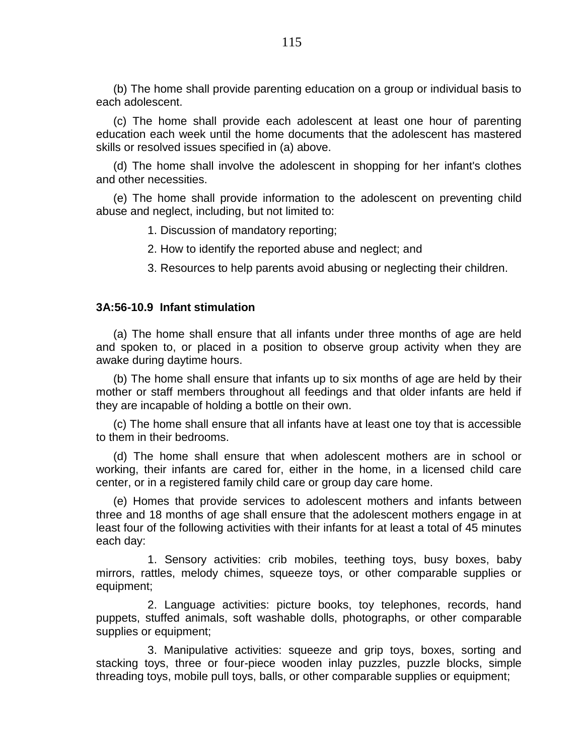(b) The home shall provide parenting education on a group or individual basis to each adolescent.

(c) The home shall provide each adolescent at least one hour of parenting education each week until the home documents that the adolescent has mastered skills or resolved issues specified in (a) above.

(d) The home shall involve the adolescent in shopping for her infant's clothes and other necessities.

(e) The home shall provide information to the adolescent on preventing child abuse and neglect, including, but not limited to:

1. Discussion of mandatory reporting;

2. How to identify the reported abuse and neglect; and

3. Resources to help parents avoid abusing or neglecting their children.

### **3A:56-10.9 Infant stimulation**

(a) The home shall ensure that all infants under three months of age are held and spoken to, or placed in a position to observe group activity when they are awake during daytime hours.

(b) The home shall ensure that infants up to six months of age are held by their mother or staff members throughout all feedings and that older infants are held if they are incapable of holding a bottle on their own.

(c) The home shall ensure that all infants have at least one toy that is accessible to them in their bedrooms.

(d) The home shall ensure that when adolescent mothers are in school or working, their infants are cared for, either in the home, in a licensed child care center, or in a registered family child care or group day care home.

(e) Homes that provide services to adolescent mothers and infants between three and 18 months of age shall ensure that the adolescent mothers engage in at least four of the following activities with their infants for at least a total of 45 minutes each day:

1. Sensory activities: crib mobiles, teething toys, busy boxes, baby mirrors, rattles, melody chimes, squeeze toys, or other comparable supplies or equipment;

2. Language activities: picture books, toy telephones, records, hand puppets, stuffed animals, soft washable dolls, photographs, or other comparable supplies or equipment;

3. Manipulative activities: squeeze and grip toys, boxes, sorting and stacking toys, three or four-piece wooden inlay puzzles, puzzle blocks, simple threading toys, mobile pull toys, balls, or other comparable supplies or equipment;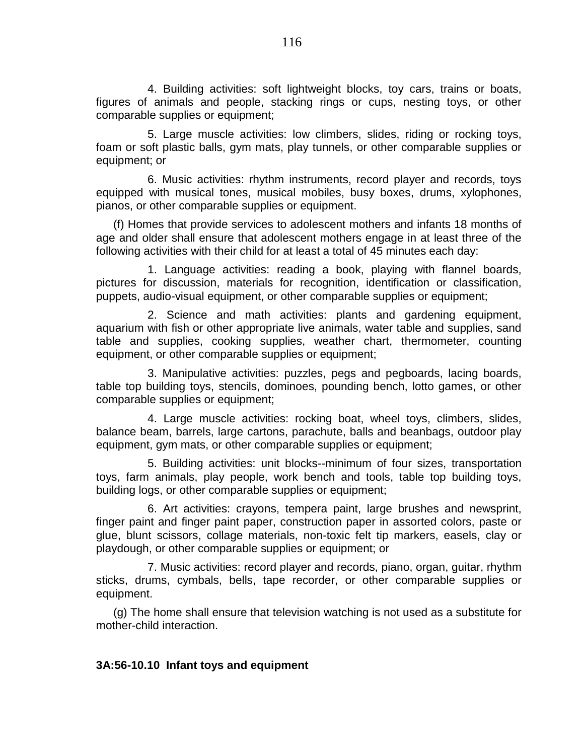4. Building activities: soft lightweight blocks, toy cars, trains or boats, figures of animals and people, stacking rings or cups, nesting toys, or other comparable supplies or equipment;

5. Large muscle activities: low climbers, slides, riding or rocking toys, foam or soft plastic balls, gym mats, play tunnels, or other comparable supplies or equipment; or

6. Music activities: rhythm instruments, record player and records, toys equipped with musical tones, musical mobiles, busy boxes, drums, xylophones, pianos, or other comparable supplies or equipment.

(f) Homes that provide services to adolescent mothers and infants 18 months of age and older shall ensure that adolescent mothers engage in at least three of the following activities with their child for at least a total of 45 minutes each day:

1. Language activities: reading a book, playing with flannel boards, pictures for discussion, materials for recognition, identification or classification, puppets, audio-visual equipment, or other comparable supplies or equipment;

2. Science and math activities: plants and gardening equipment, aquarium with fish or other appropriate live animals, water table and supplies, sand table and supplies, cooking supplies, weather chart, thermometer, counting equipment, or other comparable supplies or equipment;

3. Manipulative activities: puzzles, pegs and pegboards, lacing boards, table top building toys, stencils, dominoes, pounding bench, lotto games, or other comparable supplies or equipment;

4. Large muscle activities: rocking boat, wheel toys, climbers, slides, balance beam, barrels, large cartons, parachute, balls and beanbags, outdoor play equipment, gym mats, or other comparable supplies or equipment;

5. Building activities: unit blocks--minimum of four sizes, transportation toys, farm animals, play people, work bench and tools, table top building toys, building logs, or other comparable supplies or equipment;

6. Art activities: crayons, tempera paint, large brushes and newsprint, finger paint and finger paint paper, construction paper in assorted colors, paste or glue, blunt scissors, collage materials, non-toxic felt tip markers, easels, clay or playdough, or other comparable supplies or equipment; or

7. Music activities: record player and records, piano, organ, guitar, rhythm sticks, drums, cymbals, bells, tape recorder, or other comparable supplies or equipment.

(g) The home shall ensure that television watching is not used as a substitute for mother-child interaction.

# **3A:56-10.10 Infant toys and equipment**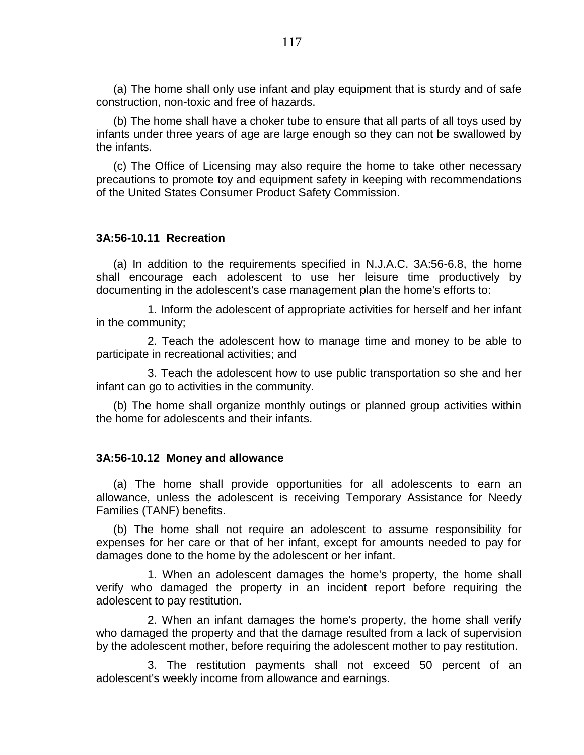(a) The home shall only use infant and play equipment that is sturdy and of safe construction, non-toxic and free of hazards.

(b) The home shall have a choker tube to ensure that all parts of all toys used by infants under three years of age are large enough so they can not be swallowed by the infants.

(c) The Office of Licensing may also require the home to take other necessary precautions to promote toy and equipment safety in keeping with recommendations of the United States Consumer Product Safety Commission.

## **3A:56-10.11 Recreation**

(a) In addition to the requirements specified in N.J.A.C. 3A:56-6.8, the home shall encourage each adolescent to use her leisure time productively by documenting in the adolescent's case management plan the home's efforts to:

1. Inform the adolescent of appropriate activities for herself and her infant in the community;

2. Teach the adolescent how to manage time and money to be able to participate in recreational activities; and

3. Teach the adolescent how to use public transportation so she and her infant can go to activities in the community.

(b) The home shall organize monthly outings or planned group activities within the home for adolescents and their infants.

### **3A:56-10.12 Money and allowance**

(a) The home shall provide opportunities for all adolescents to earn an allowance, unless the adolescent is receiving Temporary Assistance for Needy Families (TANF) benefits.

(b) The home shall not require an adolescent to assume responsibility for expenses for her care or that of her infant, except for amounts needed to pay for damages done to the home by the adolescent or her infant.

1. When an adolescent damages the home's property, the home shall verify who damaged the property in an incident report before requiring the adolescent to pay restitution.

2. When an infant damages the home's property, the home shall verify who damaged the property and that the damage resulted from a lack of supervision by the adolescent mother, before requiring the adolescent mother to pay restitution.

3. The restitution payments shall not exceed 50 percent of an adolescent's weekly income from allowance and earnings.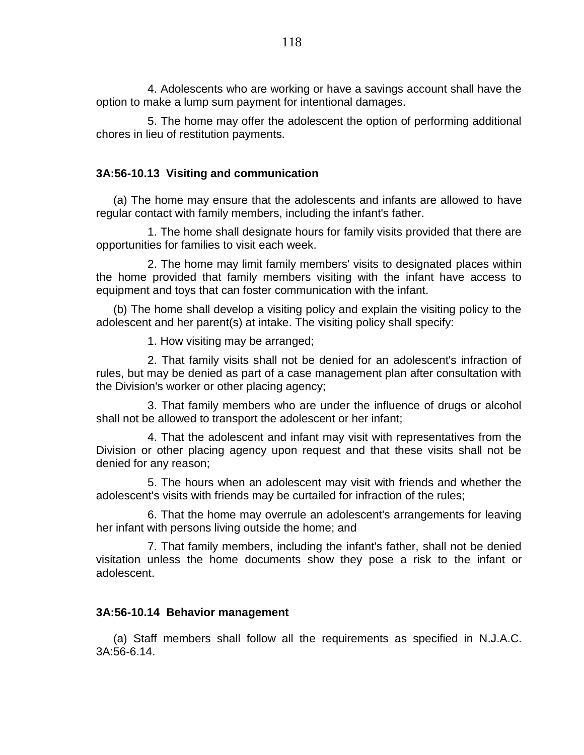4. Adolescents who are working or have a savings account shall have the option to make a lump sum payment for intentional damages.

5. The home may offer the adolescent the option of performing additional chores in lieu of restitution payments.

# **3A:56-10.13 Visiting and communication**

(a) The home may ensure that the adolescents and infants are allowed to have regular contact with family members, including the infant's father.

1. The home shall designate hours for family visits provided that there are opportunities for families to visit each week.

2. The home may limit family members' visits to designated places within the home provided that family members visiting with the infant have access to equipment and toys that can foster communication with the infant.

(b) The home shall develop a visiting policy and explain the visiting policy to the adolescent and her parent(s) at intake. The visiting policy shall specify:

1. How visiting may be arranged;

2. That family visits shall not be denied for an adolescent's infraction of rules, but may be denied as part of a case management plan after consultation with the Division's worker or other placing agency;

3. That family members who are under the influence of drugs or alcohol shall not be allowed to transport the adolescent or her infant;

4. That the adolescent and infant may visit with representatives from the Division or other placing agency upon request and that these visits shall not be denied for any reason;

5. The hours when an adolescent may visit with friends and whether the adolescent's visits with friends may be curtailed for infraction of the rules;

6. That the home may overrule an adolescent's arrangements for leaving her infant with persons living outside the home; and

7. That family members, including the infant's father, shall not be denied visitation unless the home documents show they pose a risk to the infant or adolescent.

# **3A:56-10.14 Behavior management**

(a) Staff members shall follow all the requirements as specified in N.J.A.C. 3A:56-6.14.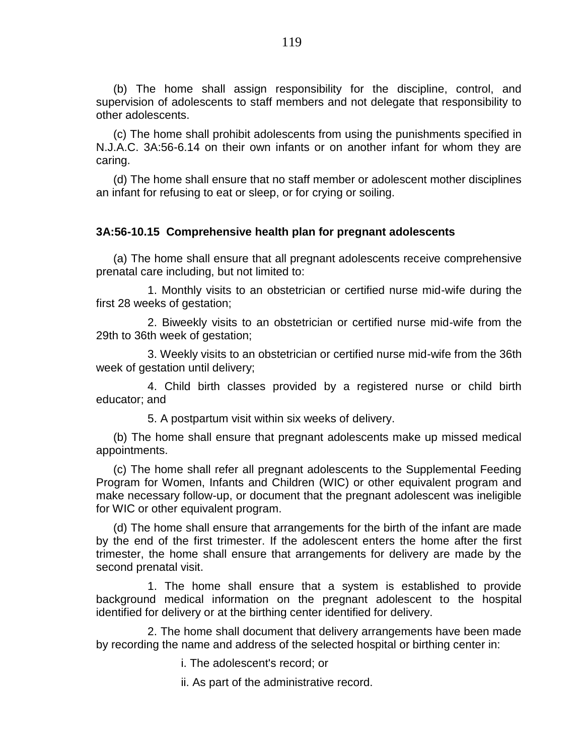(b) The home shall assign responsibility for the discipline, control, and supervision of adolescents to staff members and not delegate that responsibility to other adolescents.

(c) The home shall prohibit adolescents from using the punishments specified in N.J.A.C. 3A:56-6.14 on their own infants or on another infant for whom they are caring.

(d) The home shall ensure that no staff member or adolescent mother disciplines an infant for refusing to eat or sleep, or for crying or soiling.

## **3A:56-10.15 Comprehensive health plan for pregnant adolescents**

(a) The home shall ensure that all pregnant adolescents receive comprehensive prenatal care including, but not limited to:

1. Monthly visits to an obstetrician or certified nurse mid-wife during the first 28 weeks of gestation;

2. Biweekly visits to an obstetrician or certified nurse mid-wife from the 29th to 36th week of gestation;

3. Weekly visits to an obstetrician or certified nurse mid-wife from the 36th week of gestation until delivery;

4. Child birth classes provided by a registered nurse or child birth educator; and

5. A postpartum visit within six weeks of delivery.

(b) The home shall ensure that pregnant adolescents make up missed medical appointments.

(c) The home shall refer all pregnant adolescents to the Supplemental Feeding Program for Women, Infants and Children (WIC) or other equivalent program and make necessary follow-up, or document that the pregnant adolescent was ineligible for WIC or other equivalent program.

(d) The home shall ensure that arrangements for the birth of the infant are made by the end of the first trimester. If the adolescent enters the home after the first trimester, the home shall ensure that arrangements for delivery are made by the second prenatal visit.

1. The home shall ensure that a system is established to provide background medical information on the pregnant adolescent to the hospital identified for delivery or at the birthing center identified for delivery.

2. The home shall document that delivery arrangements have been made by recording the name and address of the selected hospital or birthing center in:

i. The adolescent's record; or

ii. As part of the administrative record.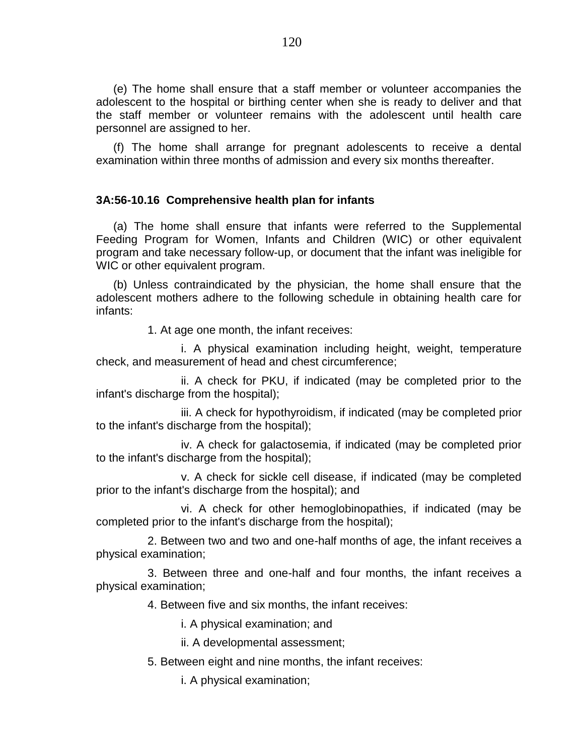(e) The home shall ensure that a staff member or volunteer accompanies the adolescent to the hospital or birthing center when she is ready to deliver and that the staff member or volunteer remains with the adolescent until health care personnel are assigned to her.

(f) The home shall arrange for pregnant adolescents to receive a dental examination within three months of admission and every six months thereafter.

# **3A:56-10.16 Comprehensive health plan for infants**

(a) The home shall ensure that infants were referred to the Supplemental Feeding Program for Women, Infants and Children (WIC) or other equivalent program and take necessary follow-up, or document that the infant was ineligible for WIC or other equivalent program.

(b) Unless contraindicated by the physician, the home shall ensure that the adolescent mothers adhere to the following schedule in obtaining health care for infants:

1. At age one month, the infant receives:

i. A physical examination including height, weight, temperature check, and measurement of head and chest circumference;

ii. A check for PKU, if indicated (may be completed prior to the infant's discharge from the hospital);

iii. A check for hypothyroidism, if indicated (may be completed prior to the infant's discharge from the hospital);

iv. A check for galactosemia, if indicated (may be completed prior to the infant's discharge from the hospital);

v. A check for sickle cell disease, if indicated (may be completed prior to the infant's discharge from the hospital); and

vi. A check for other hemoglobinopathies, if indicated (may be completed prior to the infant's discharge from the hospital);

2. Between two and two and one-half months of age, the infant receives a physical examination;

3. Between three and one-half and four months, the infant receives a physical examination;

4. Between five and six months, the infant receives:

i. A physical examination; and

ii. A developmental assessment;

5. Between eight and nine months, the infant receives:

i. A physical examination;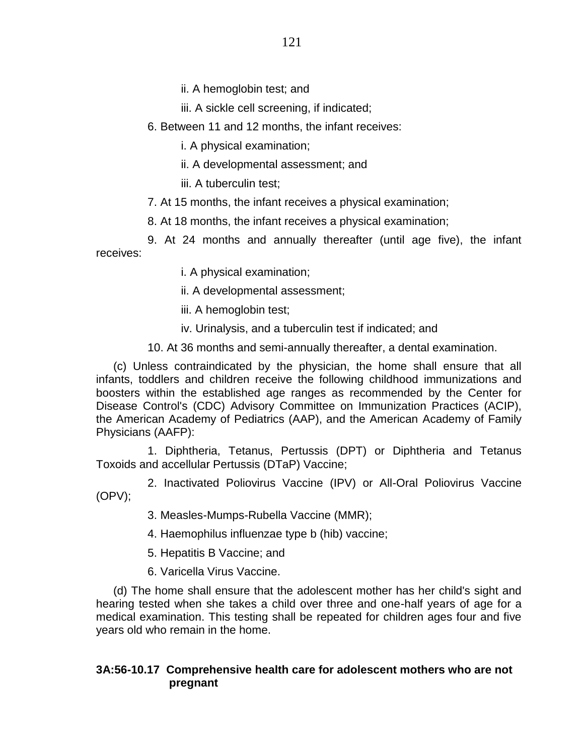ii. A hemoglobin test; and

iii. A sickle cell screening, if indicated;

6. Between 11 and 12 months, the infant receives:

i. A physical examination;

- ii. A developmental assessment; and
- iii. A tuberculin test;
- 7. At 15 months, the infant receives a physical examination;
- 8. At 18 months, the infant receives a physical examination;

9. At 24 months and annually thereafter (until age five), the infant receives:

i. A physical examination;

ii. A developmental assessment;

iii. A hemoglobin test;

iv. Urinalysis, and a tuberculin test if indicated; and

10. At 36 months and semi-annually thereafter, a dental examination.

(c) Unless contraindicated by the physician, the home shall ensure that all infants, toddlers and children receive the following childhood immunizations and boosters within the established age ranges as recommended by the Center for Disease Control's (CDC) Advisory Committee on Immunization Practices (ACIP), the American Academy of Pediatrics (AAP), and the American Academy of Family Physicians (AAFP):

1. Diphtheria, Tetanus, Pertussis (DPT) or Diphtheria and Tetanus Toxoids and accellular Pertussis (DTaP) Vaccine;

2. Inactivated Poliovirus Vaccine (IPV) or All-Oral Poliovirus Vaccine (OPV);

3. Measles-Mumps-Rubella Vaccine (MMR);

4. Haemophilus influenzae type b (hib) vaccine;

5. Hepatitis B Vaccine; and

6. Varicella Virus Vaccine.

(d) The home shall ensure that the adolescent mother has her child's sight and hearing tested when she takes a child over three and one-half years of age for a medical examination. This testing shall be repeated for children ages four and five years old who remain in the home.

# **3A:56-10.17 Comprehensive health care for adolescent mothers who are not pregnant**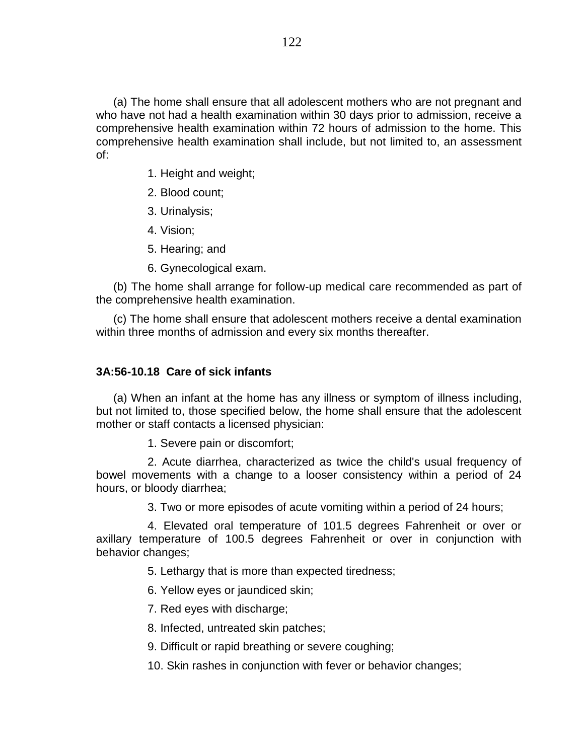(a) The home shall ensure that all adolescent mothers who are not pregnant and who have not had a health examination within 30 days prior to admission, receive a comprehensive health examination within 72 hours of admission to the home. This comprehensive health examination shall include, but not limited to, an assessment of:

- 1. Height and weight;
- 2. Blood count;
- 3. Urinalysis;
- 4. Vision;
- 5. Hearing; and
- 6. Gynecological exam.

(b) The home shall arrange for follow-up medical care recommended as part of the comprehensive health examination.

(c) The home shall ensure that adolescent mothers receive a dental examination within three months of admission and every six months thereafter.

### **3A:56-10.18 Care of sick infants**

(a) When an infant at the home has any illness or symptom of illness including, but not limited to, those specified below, the home shall ensure that the adolescent mother or staff contacts a licensed physician:

1. Severe pain or discomfort;

2. Acute diarrhea, characterized as twice the child's usual frequency of bowel movements with a change to a looser consistency within a period of 24 hours, or bloody diarrhea;

3. Two or more episodes of acute vomiting within a period of 24 hours;

4. Elevated oral temperature of 101.5 degrees Fahrenheit or over or axillary temperature of 100.5 degrees Fahrenheit or over in conjunction with behavior changes;

5. Lethargy that is more than expected tiredness;

6. Yellow eyes or jaundiced skin;

7. Red eyes with discharge;

8. Infected, untreated skin patches;

9. Difficult or rapid breathing or severe coughing;

10. Skin rashes in conjunction with fever or behavior changes;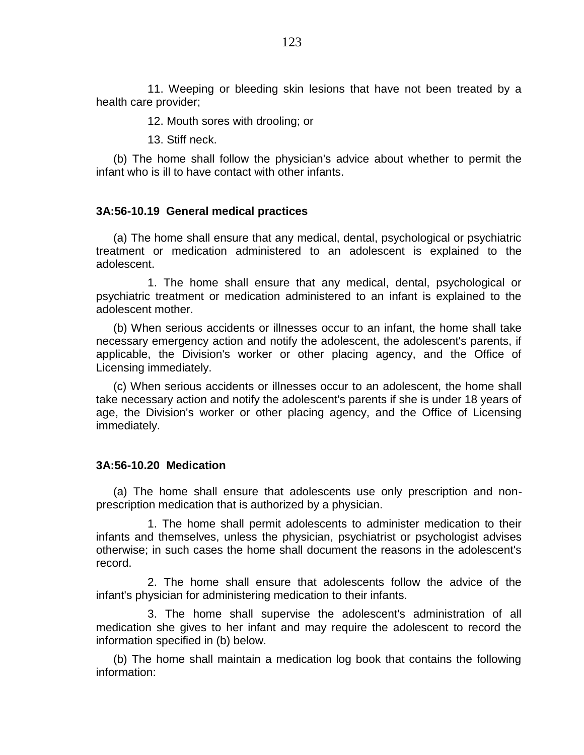11. Weeping or bleeding skin lesions that have not been treated by a health care provider;

12. Mouth sores with drooling; or

13. Stiff neck.

(b) The home shall follow the physician's advice about whether to permit the infant who is ill to have contact with other infants.

# **3A:56-10.19 General medical practices**

(a) The home shall ensure that any medical, dental, psychological or psychiatric treatment or medication administered to an adolescent is explained to the adolescent.

1. The home shall ensure that any medical, dental, psychological or psychiatric treatment or medication administered to an infant is explained to the adolescent mother.

(b) When serious accidents or illnesses occur to an infant, the home shall take necessary emergency action and notify the adolescent, the adolescent's parents, if applicable, the Division's worker or other placing agency, and the Office of Licensing immediately.

(c) When serious accidents or illnesses occur to an adolescent, the home shall take necessary action and notify the adolescent's parents if she is under 18 years of age, the Division's worker or other placing agency, and the Office of Licensing immediately.

# **3A:56-10.20 Medication**

(a) The home shall ensure that adolescents use only prescription and nonprescription medication that is authorized by a physician.

1. The home shall permit adolescents to administer medication to their infants and themselves, unless the physician, psychiatrist or psychologist advises otherwise; in such cases the home shall document the reasons in the adolescent's record.

2. The home shall ensure that adolescents follow the advice of the infant's physician for administering medication to their infants.

3. The home shall supervise the adolescent's administration of all medication she gives to her infant and may require the adolescent to record the information specified in (b) below.

(b) The home shall maintain a medication log book that contains the following information: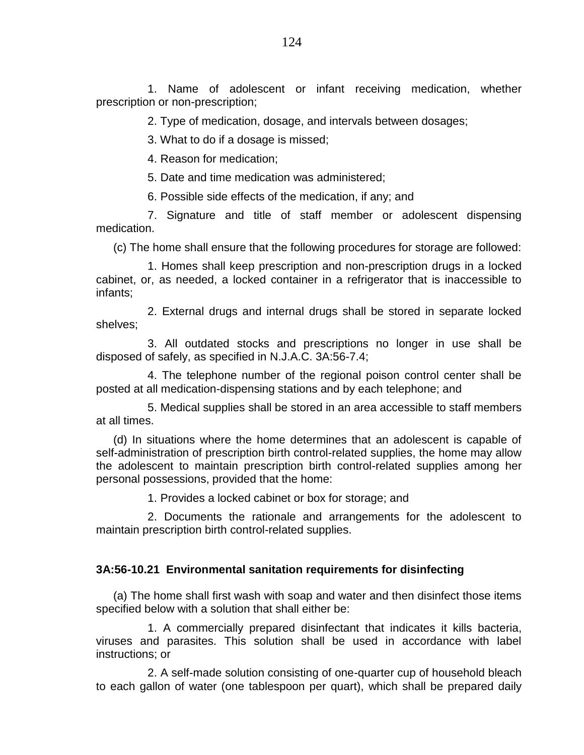1. Name of adolescent or infant receiving medication, whether prescription or non-prescription;

2. Type of medication, dosage, and intervals between dosages;

3. What to do if a dosage is missed;

4. Reason for medication;

5. Date and time medication was administered;

6. Possible side effects of the medication, if any; and

7. Signature and title of staff member or adolescent dispensing medication.

(c) The home shall ensure that the following procedures for storage are followed:

1. Homes shall keep prescription and non-prescription drugs in a locked cabinet, or, as needed, a locked container in a refrigerator that is inaccessible to infants;

2. External drugs and internal drugs shall be stored in separate locked shelves;

3. All outdated stocks and prescriptions no longer in use shall be disposed of safely, as specified in N.J.A.C. 3A:56-7.4;

4. The telephone number of the regional poison control center shall be posted at all medication-dispensing stations and by each telephone; and

5. Medical supplies shall be stored in an area accessible to staff members at all times.

(d) In situations where the home determines that an adolescent is capable of self-administration of prescription birth control-related supplies, the home may allow the adolescent to maintain prescription birth control-related supplies among her personal possessions, provided that the home:

1. Provides a locked cabinet or box for storage; and

2. Documents the rationale and arrangements for the adolescent to maintain prescription birth control-related supplies.

# **3A:56-10.21 Environmental sanitation requirements for disinfecting**

(a) The home shall first wash with soap and water and then disinfect those items specified below with a solution that shall either be:

1. A commercially prepared disinfectant that indicates it kills bacteria, viruses and parasites. This solution shall be used in accordance with label instructions; or

2. A self-made solution consisting of one-quarter cup of household bleach to each gallon of water (one tablespoon per quart), which shall be prepared daily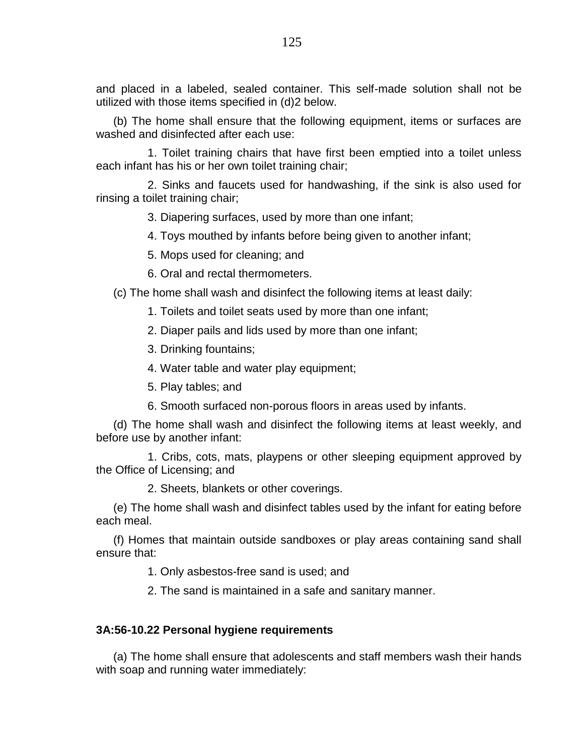and placed in a labeled, sealed container. This self-made solution shall not be utilized with those items specified in (d)2 below.

(b) The home shall ensure that the following equipment, items or surfaces are washed and disinfected after each use:

1. Toilet training chairs that have first been emptied into a toilet unless each infant has his or her own toilet training chair;

2. Sinks and faucets used for handwashing, if the sink is also used for rinsing a toilet training chair;

3. Diapering surfaces, used by more than one infant;

4. Toys mouthed by infants before being given to another infant;

5. Mops used for cleaning; and

6. Oral and rectal thermometers.

(c) The home shall wash and disinfect the following items at least daily:

- 1. Toilets and toilet seats used by more than one infant;
- 2. Diaper pails and lids used by more than one infant;
- 3. Drinking fountains;
- 4. Water table and water play equipment;
- 5. Play tables; and
- 6. Smooth surfaced non-porous floors in areas used by infants.

(d) The home shall wash and disinfect the following items at least weekly, and before use by another infant:

1. Cribs, cots, mats, playpens or other sleeping equipment approved by the Office of Licensing; and

2. Sheets, blankets or other coverings.

(e) The home shall wash and disinfect tables used by the infant for eating before each meal.

(f) Homes that maintain outside sandboxes or play areas containing sand shall ensure that:

1. Only asbestos-free sand is used; and

2. The sand is maintained in a safe and sanitary manner.

# **3A:56-10.22 Personal hygiene requirements**

(a) The home shall ensure that adolescents and staff members wash their hands with soap and running water immediately: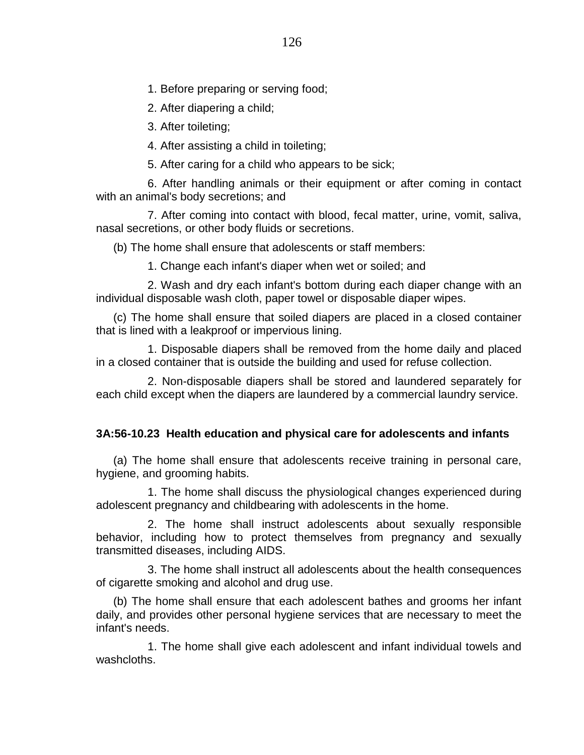1. Before preparing or serving food;

2. After diapering a child;

3. After toileting;

4. After assisting a child in toileting;

5. After caring for a child who appears to be sick;

6. After handling animals or their equipment or after coming in contact with an animal's body secretions; and

7. After coming into contact with blood, fecal matter, urine, vomit, saliva, nasal secretions, or other body fluids or secretions.

(b) The home shall ensure that adolescents or staff members:

1. Change each infant's diaper when wet or soiled; and

2. Wash and dry each infant's bottom during each diaper change with an individual disposable wash cloth, paper towel or disposable diaper wipes.

(c) The home shall ensure that soiled diapers are placed in a closed container that is lined with a leakproof or impervious lining.

1. Disposable diapers shall be removed from the home daily and placed in a closed container that is outside the building and used for refuse collection.

2. Non-disposable diapers shall be stored and laundered separately for each child except when the diapers are laundered by a commercial laundry service.

# **3A:56-10.23 Health education and physical care for adolescents and infants**

(a) The home shall ensure that adolescents receive training in personal care, hygiene, and grooming habits.

1. The home shall discuss the physiological changes experienced during adolescent pregnancy and childbearing with adolescents in the home.

2. The home shall instruct adolescents about sexually responsible behavior, including how to protect themselves from pregnancy and sexually transmitted diseases, including AIDS.

3. The home shall instruct all adolescents about the health consequences of cigarette smoking and alcohol and drug use.

(b) The home shall ensure that each adolescent bathes and grooms her infant daily, and provides other personal hygiene services that are necessary to meet the infant's needs.

1. The home shall give each adolescent and infant individual towels and washcloths.